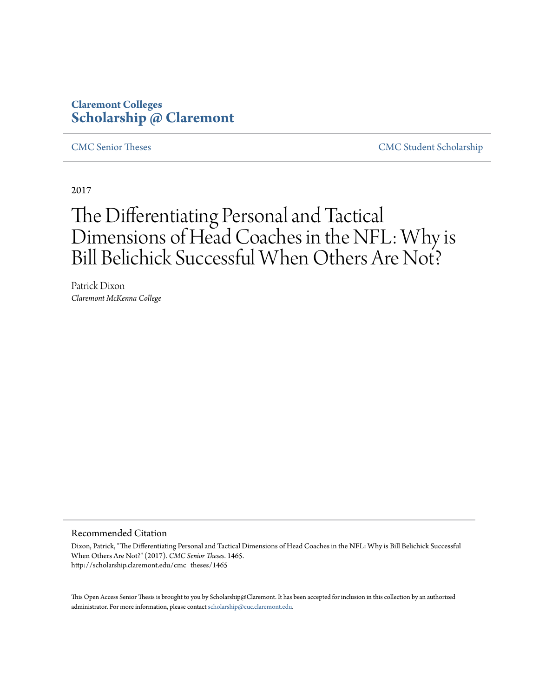## **Claremont Colleges [Scholarship @ Claremont](http://scholarship.claremont.edu)**

[CMC Senior Theses](http://scholarship.claremont.edu/cmc_theses) [CMC Student Scholarship](http://scholarship.claremont.edu/cmc_student)

2017

# The Differentiating Personal and Tactical Dimensions of Head Coaches in the NFL: Why is Bill Belichick Successful When Others Are Not?

Patrick Dixon *Claremont McKenna College*

#### Recommended Citation

Dixon, Patrick, "The Differentiating Personal and Tactical Dimensions of Head Coaches in the NFL: Why is Bill Belichick Successful When Others Are Not?" (2017). *CMC Senior Theses*. 1465. http://scholarship.claremont.edu/cmc\_theses/1465

This Open Access Senior Thesis is brought to you by Scholarship@Claremont. It has been accepted for inclusion in this collection by an authorized administrator. For more information, please contact [scholarship@cuc.claremont.edu.](mailto:scholarship@cuc.claremont.edu)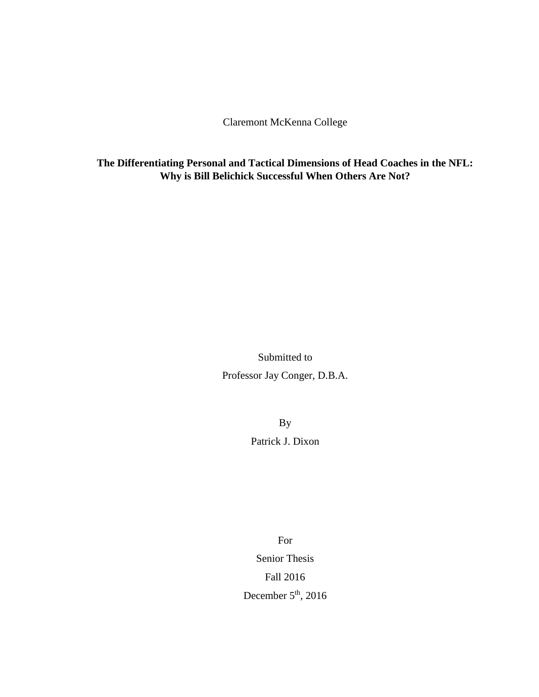Claremont McKenna College

**The Differentiating Personal and Tactical Dimensions of Head Coaches in the NFL: Why is Bill Belichick Successful When Others Are Not?**

> Submitted to Professor Jay Conger, D.B.A.

> > By

Patrick J. Dixon

For Senior Thesis Fall 2016 December  $5<sup>th</sup>$ , 2016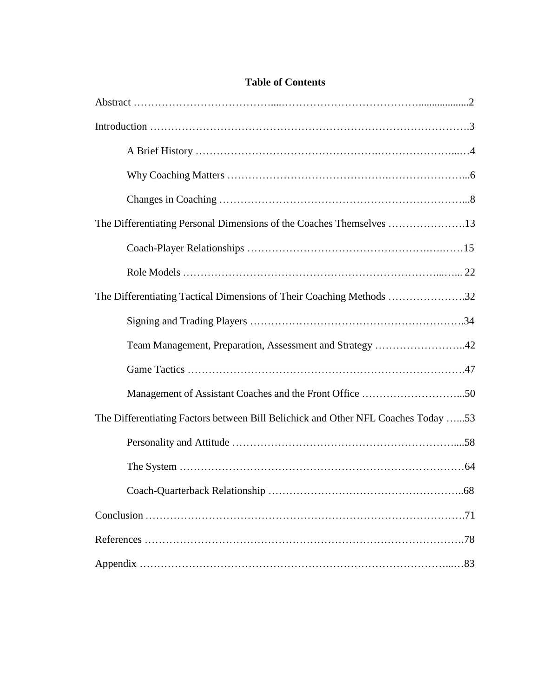| The Differentiating Tactical Dimensions of Their Coaching Methods 32              |
|-----------------------------------------------------------------------------------|
|                                                                                   |
| Team Management, Preparation, Assessment and Strategy 42                          |
|                                                                                   |
| Management of Assistant Coaches and the Front Office 50                           |
| The Differentiating Factors between Bill Belichick and Other NFL Coaches Today 53 |
|                                                                                   |
|                                                                                   |
|                                                                                   |
|                                                                                   |
|                                                                                   |
|                                                                                   |

### **Table of Contents**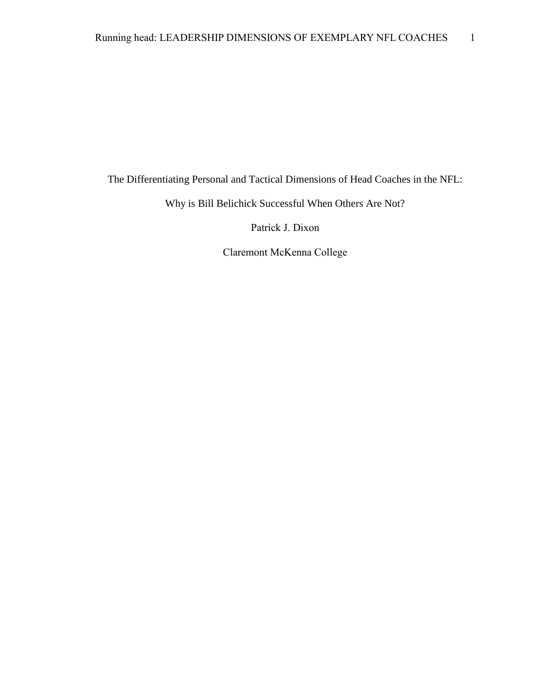The Differentiating Personal and Tactical Dimensions of Head Coaches in the NFL:

Why is Bill Belichick Successful When Others Are Not?

Patrick J. Dixon

Claremont McKenna College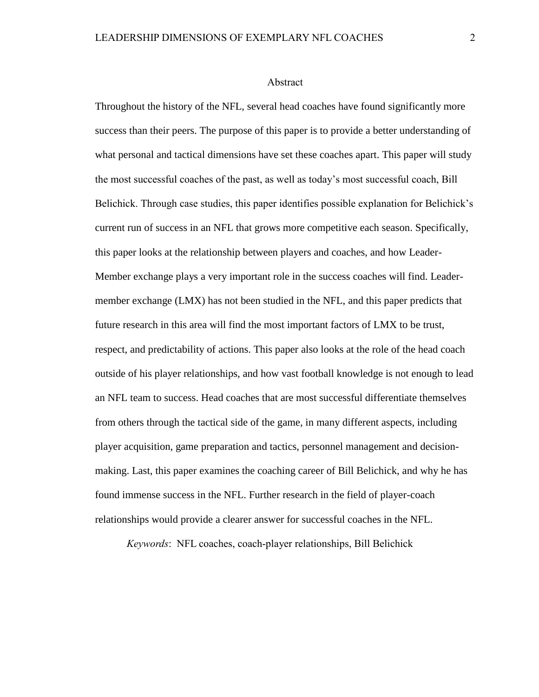#### Abstract

Throughout the history of the NFL, several head coaches have found significantly more success than their peers. The purpose of this paper is to provide a better understanding of what personal and tactical dimensions have set these coaches apart. This paper will study the most successful coaches of the past, as well as today's most successful coach, Bill Belichick. Through case studies, this paper identifies possible explanation for Belichick's current run of success in an NFL that grows more competitive each season. Specifically, this paper looks at the relationship between players and coaches, and how Leader-Member exchange plays a very important role in the success coaches will find. Leadermember exchange (LMX) has not been studied in the NFL, and this paper predicts that future research in this area will find the most important factors of LMX to be trust, respect, and predictability of actions. This paper also looks at the role of the head coach outside of his player relationships, and how vast football knowledge is not enough to lead an NFL team to success. Head coaches that are most successful differentiate themselves from others through the tactical side of the game, in many different aspects, including player acquisition, game preparation and tactics, personnel management and decisionmaking. Last, this paper examines the coaching career of Bill Belichick, and why he has found immense success in the NFL. Further research in the field of player-coach relationships would provide a clearer answer for successful coaches in the NFL.

*Keywords*: NFL coaches, coach-player relationships, Bill Belichick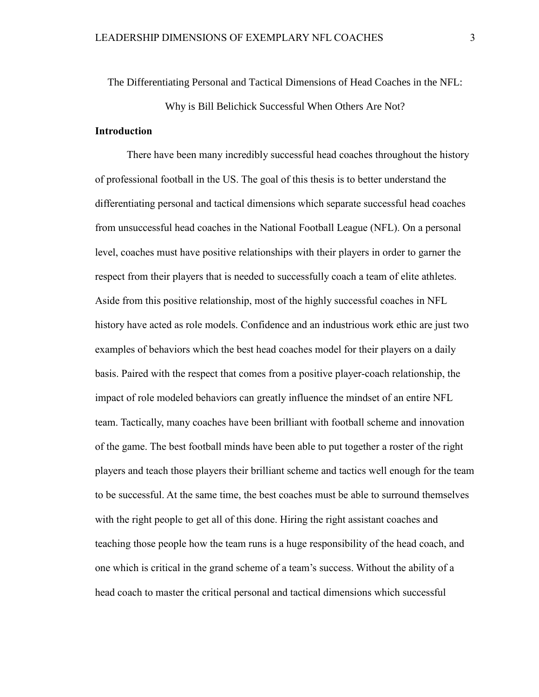# The Differentiating Personal and Tactical Dimensions of Head Coaches in the NFL: Why is Bill Belichick Successful When Others Are Not?

#### **Introduction**

There have been many incredibly successful head coaches throughout the history of professional football in the US. The goal of this thesis is to better understand the differentiating personal and tactical dimensions which separate successful head coaches from unsuccessful head coaches in the National Football League (NFL). On a personal level, coaches must have positive relationships with their players in order to garner the respect from their players that is needed to successfully coach a team of elite athletes. Aside from this positive relationship, most of the highly successful coaches in NFL history have acted as role models. Confidence and an industrious work ethic are just two examples of behaviors which the best head coaches model for their players on a daily basis. Paired with the respect that comes from a positive player-coach relationship, the impact of role modeled behaviors can greatly influence the mindset of an entire NFL team. Tactically, many coaches have been brilliant with football scheme and innovation of the game. The best football minds have been able to put together a roster of the right players and teach those players their brilliant scheme and tactics well enough for the team to be successful. At the same time, the best coaches must be able to surround themselves with the right people to get all of this done. Hiring the right assistant coaches and teaching those people how the team runs is a huge responsibility of the head coach, and one which is critical in the grand scheme of a team's success. Without the ability of a head coach to master the critical personal and tactical dimensions which successful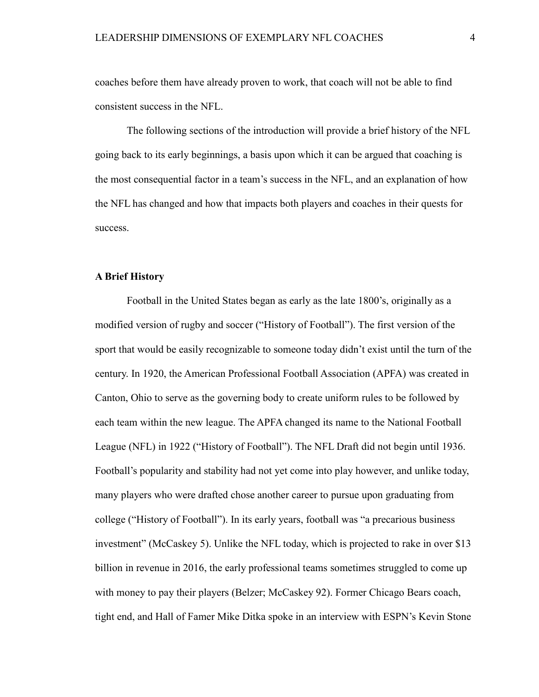coaches before them have already proven to work, that coach will not be able to find consistent success in the NFL.

The following sections of the introduction will provide a brief history of the NFL going back to its early beginnings, a basis upon which it can be argued that coaching is the most consequential factor in a team's success in the NFL, and an explanation of how the NFL has changed and how that impacts both players and coaches in their quests for success.

#### **A Brief History**

Football in the United States began as early as the late 1800's, originally as a modified version of rugby and soccer ("History of Football"). The first version of the sport that would be easily recognizable to someone today didn't exist until the turn of the century. In 1920, the American Professional Football Association (APFA) was created in Canton, Ohio to serve as the governing body to create uniform rules to be followed by each team within the new league. The APFA changed its name to the National Football League (NFL) in 1922 ("History of Football"). The NFL Draft did not begin until 1936. Football's popularity and stability had not yet come into play however, and unlike today, many players who were drafted chose another career to pursue upon graduating from college ("History of Football"). In its early years, football was "a precarious business investment" (McCaskey 5). Unlike the NFL today, which is projected to rake in over \$13 billion in revenue in 2016, the early professional teams sometimes struggled to come up with money to pay their players (Belzer; McCaskey 92). Former Chicago Bears coach, tight end, and Hall of Famer Mike Ditka spoke in an interview with ESPN's Kevin Stone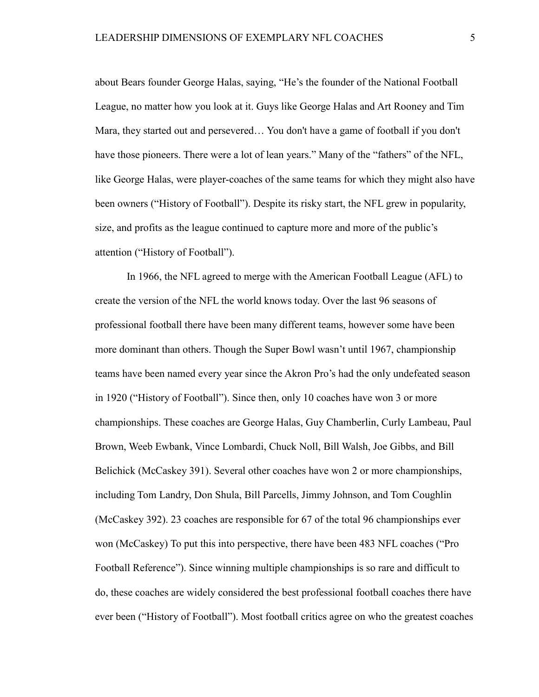about Bears founder George Halas, saying, "He's the founder of the National Football League, no matter how you look at it. Guys like George Halas and Art Rooney and Tim Mara, they started out and persevered… You don't have a game of football if you don't have those pioneers. There were a lot of lean years." Many of the "fathers" of the NFL, like George Halas, were player-coaches of the same teams for which they might also have been owners ("History of Football"). Despite its risky start, the NFL grew in popularity, size, and profits as the league continued to capture more and more of the public's attention ("History of Football").

In 1966, the NFL agreed to merge with the American Football League (AFL) to create the version of the NFL the world knows today. Over the last 96 seasons of professional football there have been many different teams, however some have been more dominant than others. Though the Super Bowl wasn't until 1967, championship teams have been named every year since the Akron Pro's had the only undefeated season in 1920 ("History of Football"). Since then, only 10 coaches have won 3 or more championships. These coaches are George Halas, Guy Chamberlin, Curly Lambeau, Paul Brown, Weeb Ewbank, Vince Lombardi, Chuck Noll, Bill Walsh, Joe Gibbs, and Bill Belichick (McCaskey 391). Several other coaches have won 2 or more championships, including Tom Landry, Don Shula, Bill Parcells, Jimmy Johnson, and Tom Coughlin (McCaskey 392). 23 coaches are responsible for 67 of the total 96 championships ever won (McCaskey) To put this into perspective, there have been 483 NFL coaches ("Pro Football Reference"). Since winning multiple championships is so rare and difficult to do, these coaches are widely considered the best professional football coaches there have ever been ("History of Football"). Most football critics agree on who the greatest coaches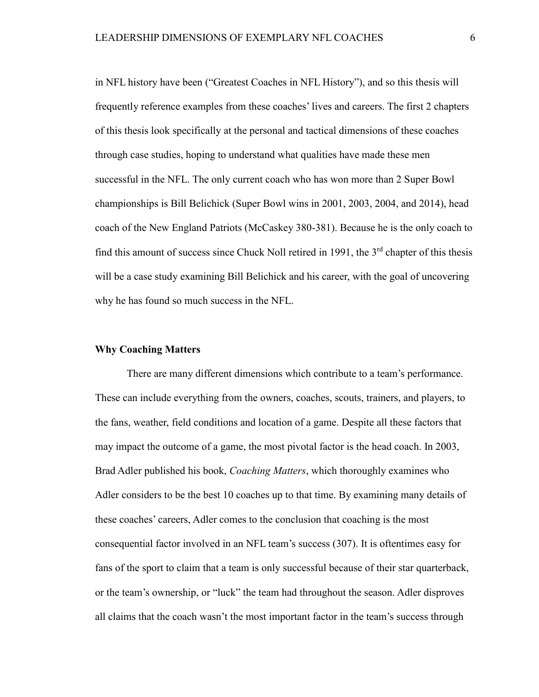in NFL history have been ("Greatest Coaches in NFL History"), and so this thesis will frequently reference examples from these coaches' lives and careers. The first 2 chapters of this thesis look specifically at the personal and tactical dimensions of these coaches through case studies, hoping to understand what qualities have made these men successful in the NFL. The only current coach who has won more than 2 Super Bowl championships is Bill Belichick (Super Bowl wins in 2001, 2003, 2004, and 2014), head coach of the New England Patriots (McCaskey 380-381). Because he is the only coach to find this amount of success since Chuck Noll retired in 1991, the  $3<sup>rd</sup>$  chapter of this thesis will be a case study examining Bill Belichick and his career, with the goal of uncovering why he has found so much success in the NFL.

#### **Why Coaching Matters**

There are many different dimensions which contribute to a team's performance. These can include everything from the owners, coaches, scouts, trainers, and players, to the fans, weather, field conditions and location of a game. Despite all these factors that may impact the outcome of a game, the most pivotal factor is the head coach. In 2003, Brad Adler published his book, *Coaching Matters*, which thoroughly examines who Adler considers to be the best 10 coaches up to that time. By examining many details of these coaches' careers, Adler comes to the conclusion that coaching is the most consequential factor involved in an NFL team's success (307). It is oftentimes easy for fans of the sport to claim that a team is only successful because of their star quarterback, or the team's ownership, or "luck" the team had throughout the season. Adler disproves all claims that the coach wasn't the most important factor in the team's success through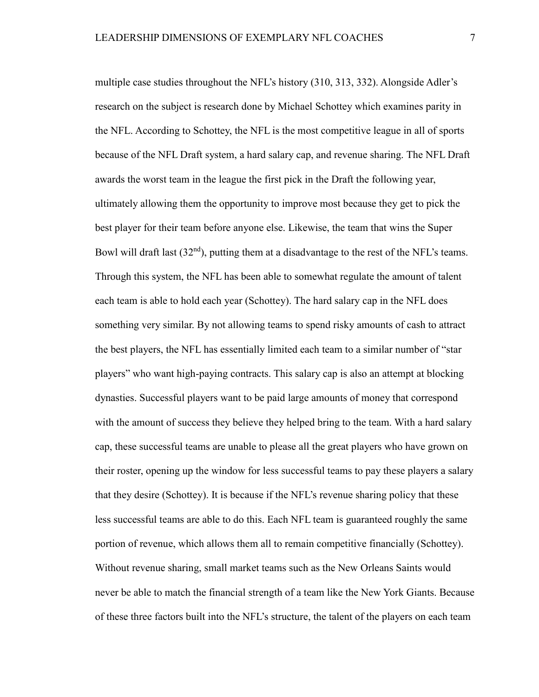multiple case studies throughout the NFL's history (310, 313, 332). Alongside Adler's research on the subject is research done by Michael Schottey which examines parity in the NFL. According to Schottey, the NFL is the most competitive league in all of sports because of the NFL Draft system, a hard salary cap, and revenue sharing. The NFL Draft awards the worst team in the league the first pick in the Draft the following year, ultimately allowing them the opportunity to improve most because they get to pick the best player for their team before anyone else. Likewise, the team that wins the Super Bowl will draft last  $(32<sup>nd</sup>)$ , putting them at a disadvantage to the rest of the NFL's teams. Through this system, the NFL has been able to somewhat regulate the amount of talent each team is able to hold each year (Schottey). The hard salary cap in the NFL does something very similar. By not allowing teams to spend risky amounts of cash to attract the best players, the NFL has essentially limited each team to a similar number of "star players" who want high-paying contracts. This salary cap is also an attempt at blocking dynasties. Successful players want to be paid large amounts of money that correspond with the amount of success they believe they helped bring to the team. With a hard salary cap, these successful teams are unable to please all the great players who have grown on their roster, opening up the window for less successful teams to pay these players a salary that they desire (Schottey). It is because if the NFL's revenue sharing policy that these less successful teams are able to do this. Each NFL team is guaranteed roughly the same portion of revenue, which allows them all to remain competitive financially (Schottey). Without revenue sharing, small market teams such as the New Orleans Saints would never be able to match the financial strength of a team like the New York Giants. Because of these three factors built into the NFL's structure, the talent of the players on each team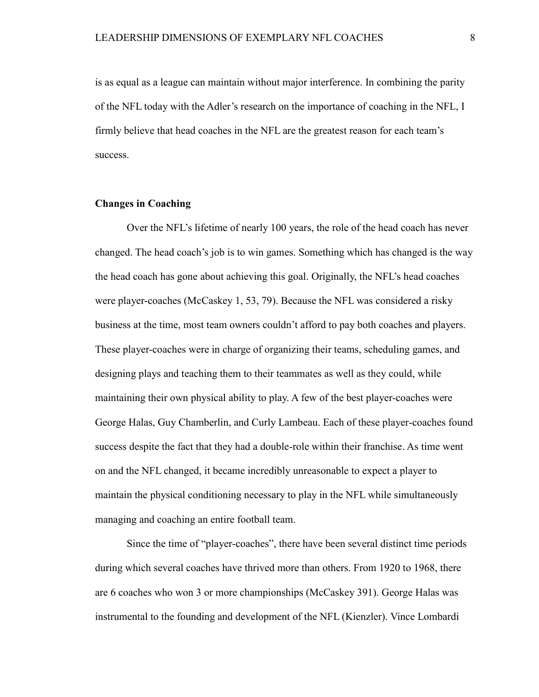is as equal as a league can maintain without major interference. In combining the parity of the NFL today with the Adler's research on the importance of coaching in the NFL, I firmly believe that head coaches in the NFL are the greatest reason for each team's success.

#### **Changes in Coaching**

Over the NFL's lifetime of nearly 100 years, the role of the head coach has never changed. The head coach's job is to win games. Something which has changed is the way the head coach has gone about achieving this goal. Originally, the NFL's head coaches were player-coaches (McCaskey 1, 53, 79). Because the NFL was considered a risky business at the time, most team owners couldn't afford to pay both coaches and players. These player-coaches were in charge of organizing their teams, scheduling games, and designing plays and teaching them to their teammates as well as they could, while maintaining their own physical ability to play. A few of the best player-coaches were George Halas, Guy Chamberlin, and Curly Lambeau. Each of these player-coaches found success despite the fact that they had a double-role within their franchise. As time went on and the NFL changed, it became incredibly unreasonable to expect a player to maintain the physical conditioning necessary to play in the NFL while simultaneously managing and coaching an entire football team.

Since the time of "player-coaches", there have been several distinct time periods during which several coaches have thrived more than others. From 1920 to 1968, there are 6 coaches who won 3 or more championships (McCaskey 391). George Halas was instrumental to the founding and development of the NFL (Kienzler). Vince Lombardi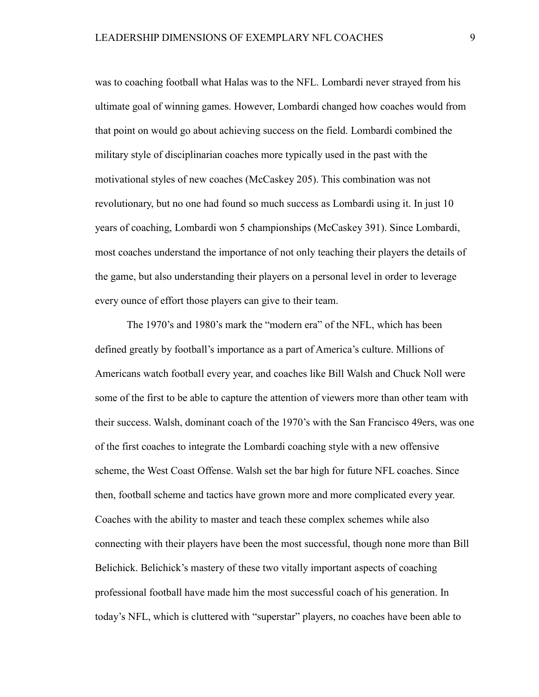was to coaching football what Halas was to the NFL. Lombardi never strayed from his ultimate goal of winning games. However, Lombardi changed how coaches would from that point on would go about achieving success on the field. Lombardi combined the military style of disciplinarian coaches more typically used in the past with the motivational styles of new coaches (McCaskey 205). This combination was not revolutionary, but no one had found so much success as Lombardi using it. In just 10 years of coaching, Lombardi won 5 championships (McCaskey 391). Since Lombardi, most coaches understand the importance of not only teaching their players the details of the game, but also understanding their players on a personal level in order to leverage every ounce of effort those players can give to their team.

The 1970's and 1980's mark the "modern era" of the NFL, which has been defined greatly by football's importance as a part of America's culture. Millions of Americans watch football every year, and coaches like Bill Walsh and Chuck Noll were some of the first to be able to capture the attention of viewers more than other team with their success. Walsh, dominant coach of the 1970's with the San Francisco 49ers, was one of the first coaches to integrate the Lombardi coaching style with a new offensive scheme, the West Coast Offense. Walsh set the bar high for future NFL coaches. Since then, football scheme and tactics have grown more and more complicated every year. Coaches with the ability to master and teach these complex schemes while also connecting with their players have been the most successful, though none more than Bill Belichick. Belichick's mastery of these two vitally important aspects of coaching professional football have made him the most successful coach of his generation. In today's NFL, which is cluttered with "superstar" players, no coaches have been able to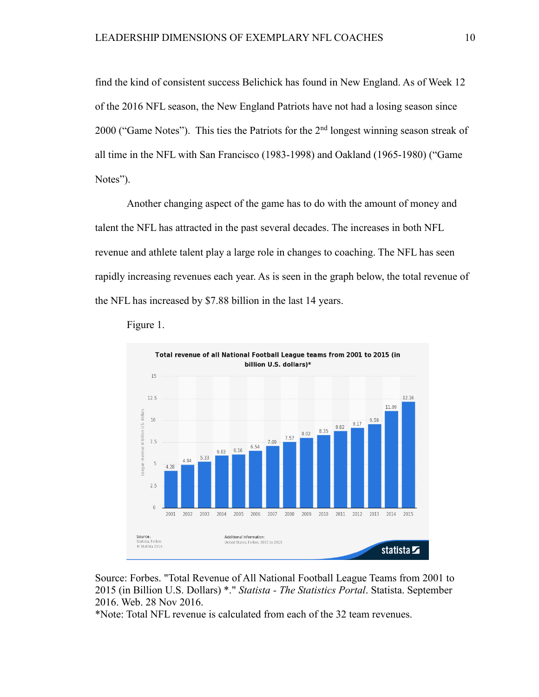find the kind of consistent success Belichick has found in New England. As of Week 12 of the 2016 NFL season, the New England Patriots have not had a losing season since 2000 ("Game Notes"). This ties the Patriots for the  $2<sup>nd</sup>$  longest winning season streak of all time in the NFL with San Francisco (1983-1998) and Oakland (1965-1980) ("Game Notes").

Another changing aspect of the game has to do with the amount of money and talent the NFL has attracted in the past several decades. The increases in both NFL revenue and athlete talent play a large role in changes to coaching. The NFL has seen rapidly increasing revenues each year. As is seen in the graph below, the total revenue of the NFL has increased by \$7.88 billion in the last 14 years.



Figure 1.

Source: Forbes. "Total Revenue of All National Football League Teams from 2001 to 2015 (in Billion U.S. Dollars) \*." *Statista - The Statistics Portal*. Statista. September 2016. Web. 28 Nov 2016.

\*Note: Total NFL revenue is calculated from each of the 32 team revenues.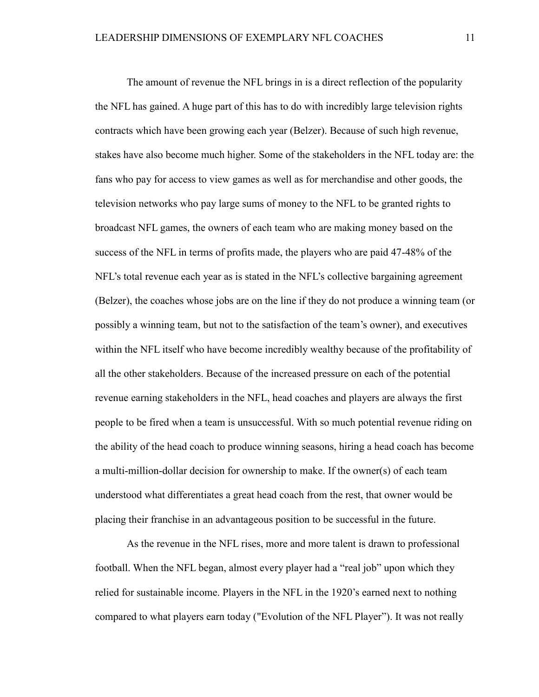The amount of revenue the NFL brings in is a direct reflection of the popularity the NFL has gained. A huge part of this has to do with incredibly large television rights contracts which have been growing each year (Belzer). Because of such high revenue, stakes have also become much higher. Some of the stakeholders in the NFL today are: the fans who pay for access to view games as well as for merchandise and other goods, the television networks who pay large sums of money to the NFL to be granted rights to broadcast NFL games, the owners of each team who are making money based on the success of the NFL in terms of profits made, the players who are paid 47-48% of the NFL's total revenue each year as is stated in the NFL's collective bargaining agreement (Belzer), the coaches whose jobs are on the line if they do not produce a winning team (or possibly a winning team, but not to the satisfaction of the team's owner), and executives within the NFL itself who have become incredibly wealthy because of the profitability of all the other stakeholders. Because of the increased pressure on each of the potential revenue earning stakeholders in the NFL, head coaches and players are always the first people to be fired when a team is unsuccessful. With so much potential revenue riding on the ability of the head coach to produce winning seasons, hiring a head coach has become a multi-million-dollar decision for ownership to make. If the owner(s) of each team understood what differentiates a great head coach from the rest, that owner would be placing their franchise in an advantageous position to be successful in the future.

As the revenue in the NFL rises, more and more talent is drawn to professional football. When the NFL began, almost every player had a "real job" upon which they relied for sustainable income. Players in the NFL in the 1920's earned next to nothing compared to what players earn today ("Evolution of the NFL Player"). It was not really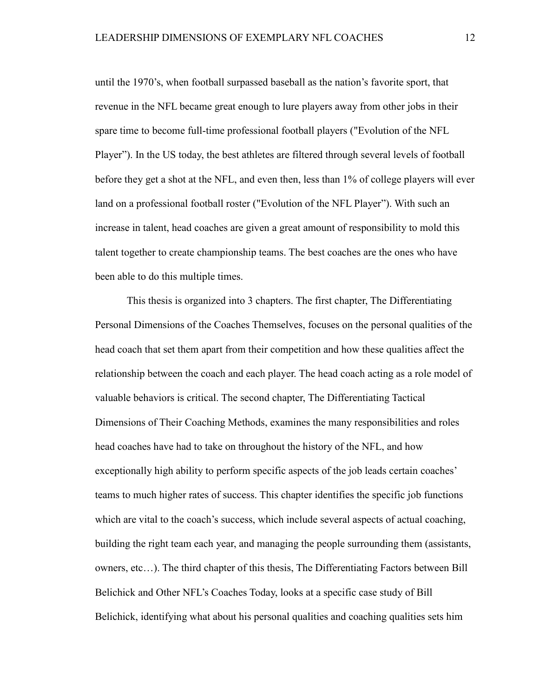until the 1970's, when football surpassed baseball as the nation's favorite sport, that revenue in the NFL became great enough to lure players away from other jobs in their spare time to become full-time professional football players ("Evolution of the NFL Player"). In the US today, the best athletes are filtered through several levels of football before they get a shot at the NFL, and even then, less than 1% of college players will ever land on a professional football roster ("Evolution of the NFL Player"). With such an increase in talent, head coaches are given a great amount of responsibility to mold this talent together to create championship teams. The best coaches are the ones who have been able to do this multiple times.

This thesis is organized into 3 chapters. The first chapter, The Differentiating Personal Dimensions of the Coaches Themselves, focuses on the personal qualities of the head coach that set them apart from their competition and how these qualities affect the relationship between the coach and each player. The head coach acting as a role model of valuable behaviors is critical. The second chapter, The Differentiating Tactical Dimensions of Their Coaching Methods, examines the many responsibilities and roles head coaches have had to take on throughout the history of the NFL, and how exceptionally high ability to perform specific aspects of the job leads certain coaches' teams to much higher rates of success. This chapter identifies the specific job functions which are vital to the coach's success, which include several aspects of actual coaching, building the right team each year, and managing the people surrounding them (assistants, owners, etc…). The third chapter of this thesis, The Differentiating Factors between Bill Belichick and Other NFL's Coaches Today, looks at a specific case study of Bill Belichick, identifying what about his personal qualities and coaching qualities sets him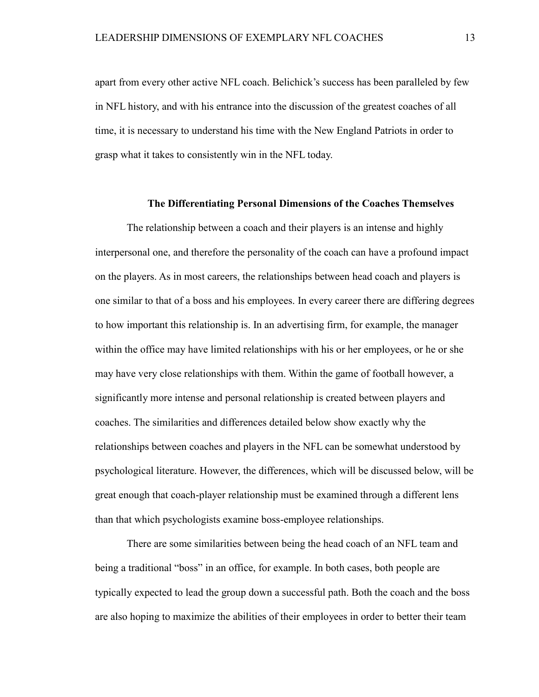apart from every other active NFL coach. Belichick's success has been paralleled by few in NFL history, and with his entrance into the discussion of the greatest coaches of all time, it is necessary to understand his time with the New England Patriots in order to grasp what it takes to consistently win in the NFL today.

#### **The Differentiating Personal Dimensions of the Coaches Themselves**

The relationship between a coach and their players is an intense and highly interpersonal one, and therefore the personality of the coach can have a profound impact on the players. As in most careers, the relationships between head coach and players is one similar to that of a boss and his employees. In every career there are differing degrees to how important this relationship is. In an advertising firm, for example, the manager within the office may have limited relationships with his or her employees, or he or she may have very close relationships with them. Within the game of football however, a significantly more intense and personal relationship is created between players and coaches. The similarities and differences detailed below show exactly why the relationships between coaches and players in the NFL can be somewhat understood by psychological literature. However, the differences, which will be discussed below, will be great enough that coach-player relationship must be examined through a different lens than that which psychologists examine boss-employee relationships.

There are some similarities between being the head coach of an NFL team and being a traditional "boss" in an office, for example. In both cases, both people are typically expected to lead the group down a successful path. Both the coach and the boss are also hoping to maximize the abilities of their employees in order to better their team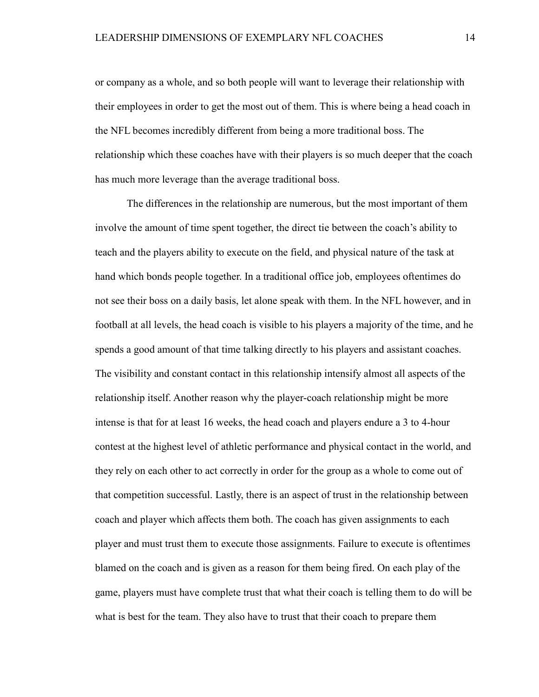or company as a whole, and so both people will want to leverage their relationship with their employees in order to get the most out of them. This is where being a head coach in the NFL becomes incredibly different from being a more traditional boss. The relationship which these coaches have with their players is so much deeper that the coach has much more leverage than the average traditional boss.

The differences in the relationship are numerous, but the most important of them involve the amount of time spent together, the direct tie between the coach's ability to teach and the players ability to execute on the field, and physical nature of the task at hand which bonds people together. In a traditional office job, employees oftentimes do not see their boss on a daily basis, let alone speak with them. In the NFL however, and in football at all levels, the head coach is visible to his players a majority of the time, and he spends a good amount of that time talking directly to his players and assistant coaches. The visibility and constant contact in this relationship intensify almost all aspects of the relationship itself. Another reason why the player-coach relationship might be more intense is that for at least 16 weeks, the head coach and players endure a 3 to 4-hour contest at the highest level of athletic performance and physical contact in the world, and they rely on each other to act correctly in order for the group as a whole to come out of that competition successful. Lastly, there is an aspect of trust in the relationship between coach and player which affects them both. The coach has given assignments to each player and must trust them to execute those assignments. Failure to execute is oftentimes blamed on the coach and is given as a reason for them being fired. On each play of the game, players must have complete trust that what their coach is telling them to do will be what is best for the team. They also have to trust that their coach to prepare them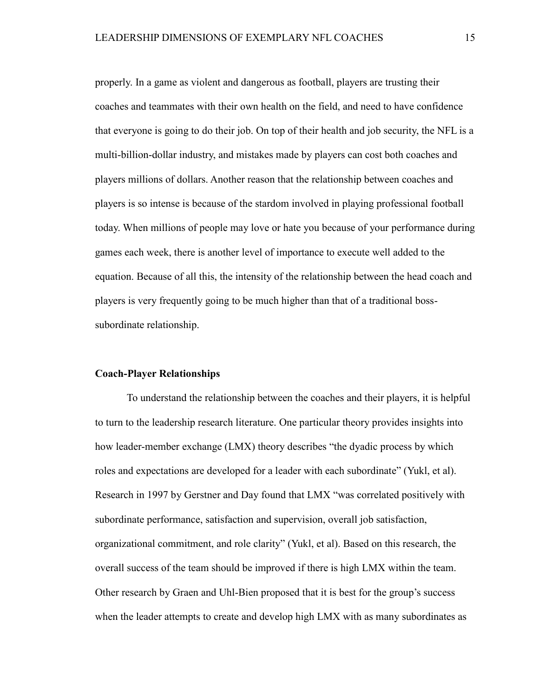properly. In a game as violent and dangerous as football, players are trusting their coaches and teammates with their own health on the field, and need to have confidence that everyone is going to do their job. On top of their health and job security, the NFL is a multi-billion-dollar industry, and mistakes made by players can cost both coaches and players millions of dollars. Another reason that the relationship between coaches and players is so intense is because of the stardom involved in playing professional football today. When millions of people may love or hate you because of your performance during games each week, there is another level of importance to execute well added to the equation. Because of all this, the intensity of the relationship between the head coach and players is very frequently going to be much higher than that of a traditional bosssubordinate relationship.

#### **Coach-Player Relationships**

To understand the relationship between the coaches and their players, it is helpful to turn to the leadership research literature. One particular theory provides insights into how leader-member exchange (LMX) theory describes "the dyadic process by which roles and expectations are developed for a leader with each subordinate" (Yukl, et al). Research in 1997 by Gerstner and Day found that LMX "was correlated positively with subordinate performance, satisfaction and supervision, overall job satisfaction, organizational commitment, and role clarity" (Yukl, et al). Based on this research, the overall success of the team should be improved if there is high LMX within the team. Other research by Graen and Uhl-Bien proposed that it is best for the group's success when the leader attempts to create and develop high LMX with as many subordinates as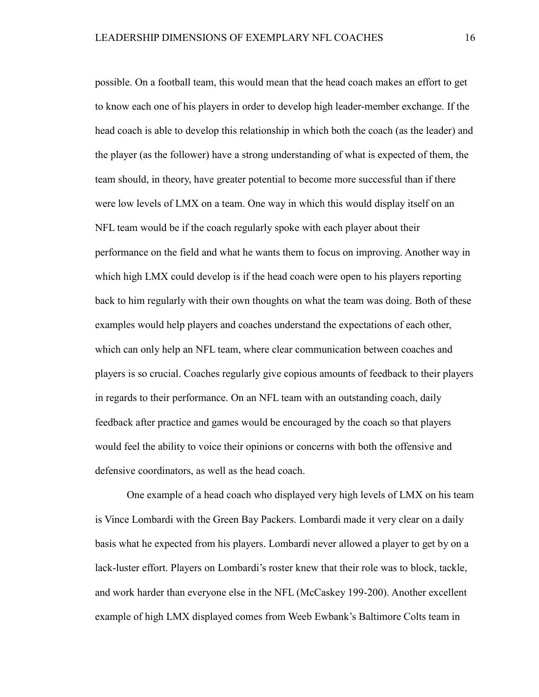possible. On a football team, this would mean that the head coach makes an effort to get to know each one of his players in order to develop high leader-member exchange. If the head coach is able to develop this relationship in which both the coach (as the leader) and the player (as the follower) have a strong understanding of what is expected of them, the team should, in theory, have greater potential to become more successful than if there were low levels of LMX on a team. One way in which this would display itself on an NFL team would be if the coach regularly spoke with each player about their performance on the field and what he wants them to focus on improving. Another way in which high LMX could develop is if the head coach were open to his players reporting back to him regularly with their own thoughts on what the team was doing. Both of these examples would help players and coaches understand the expectations of each other, which can only help an NFL team, where clear communication between coaches and players is so crucial. Coaches regularly give copious amounts of feedback to their players in regards to their performance. On an NFL team with an outstanding coach, daily feedback after practice and games would be encouraged by the coach so that players would feel the ability to voice their opinions or concerns with both the offensive and defensive coordinators, as well as the head coach.

One example of a head coach who displayed very high levels of LMX on his team is Vince Lombardi with the Green Bay Packers. Lombardi made it very clear on a daily basis what he expected from his players. Lombardi never allowed a player to get by on a lack-luster effort. Players on Lombardi's roster knew that their role was to block, tackle, and work harder than everyone else in the NFL (McCaskey 199-200). Another excellent example of high LMX displayed comes from Weeb Ewbank's Baltimore Colts team in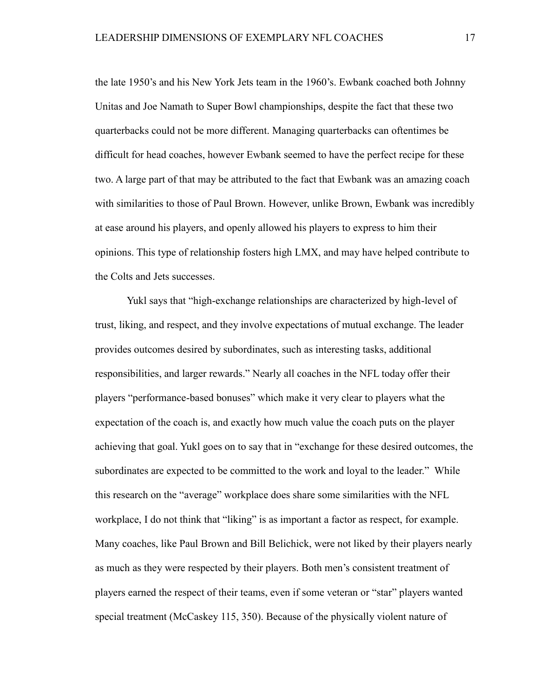the late 1950's and his New York Jets team in the 1960's. Ewbank coached both Johnny Unitas and Joe Namath to Super Bowl championships, despite the fact that these two quarterbacks could not be more different. Managing quarterbacks can oftentimes be difficult for head coaches, however Ewbank seemed to have the perfect recipe for these two. A large part of that may be attributed to the fact that Ewbank was an amazing coach with similarities to those of Paul Brown. However, unlike Brown, Ewbank was incredibly at ease around his players, and openly allowed his players to express to him their opinions. This type of relationship fosters high LMX, and may have helped contribute to the Colts and Jets successes.

Yukl says that "high-exchange relationships are characterized by high-level of trust, liking, and respect, and they involve expectations of mutual exchange. The leader provides outcomes desired by subordinates, such as interesting tasks, additional responsibilities, and larger rewards." Nearly all coaches in the NFL today offer their players "performance-based bonuses" which make it very clear to players what the expectation of the coach is, and exactly how much value the coach puts on the player achieving that goal. Yukl goes on to say that in "exchange for these desired outcomes, the subordinates are expected to be committed to the work and loyal to the leader." While this research on the "average" workplace does share some similarities with the NFL workplace, I do not think that "liking" is as important a factor as respect, for example. Many coaches, like Paul Brown and Bill Belichick, were not liked by their players nearly as much as they were respected by their players. Both men's consistent treatment of players earned the respect of their teams, even if some veteran or "star" players wanted special treatment (McCaskey 115, 350). Because of the physically violent nature of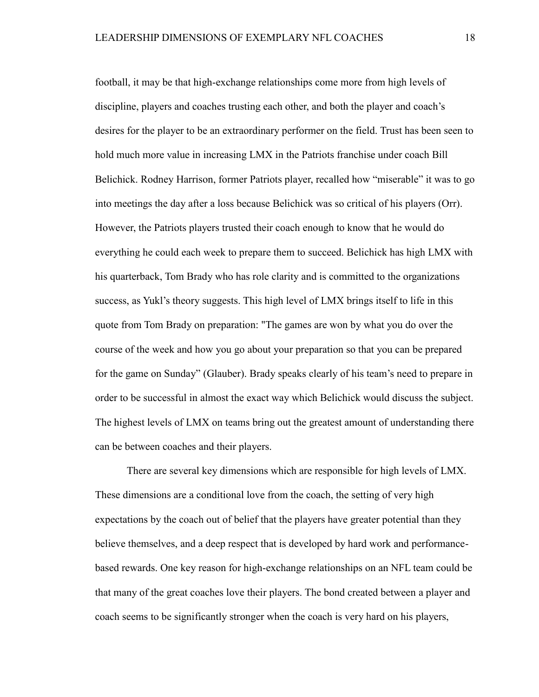football, it may be that high-exchange relationships come more from high levels of discipline, players and coaches trusting each other, and both the player and coach's desires for the player to be an extraordinary performer on the field. Trust has been seen to hold much more value in increasing LMX in the Patriots franchise under coach Bill Belichick. Rodney Harrison, former Patriots player, recalled how "miserable" it was to go into meetings the day after a loss because Belichick was so critical of his players (Orr). However, the Patriots players trusted their coach enough to know that he would do everything he could each week to prepare them to succeed. Belichick has high LMX with his quarterback, Tom Brady who has role clarity and is committed to the organizations success, as Yukl's theory suggests. This high level of LMX brings itself to life in this quote from Tom Brady on preparation: "The games are won by what you do over the course of the week and how you go about your preparation so that you can be prepared for the game on Sunday" (Glauber). Brady speaks clearly of his team's need to prepare in order to be successful in almost the exact way which Belichick would discuss the subject. The highest levels of LMX on teams bring out the greatest amount of understanding there can be between coaches and their players.

There are several key dimensions which are responsible for high levels of LMX. These dimensions are a conditional love from the coach, the setting of very high expectations by the coach out of belief that the players have greater potential than they believe themselves, and a deep respect that is developed by hard work and performancebased rewards. One key reason for high-exchange relationships on an NFL team could be that many of the great coaches love their players. The bond created between a player and coach seems to be significantly stronger when the coach is very hard on his players,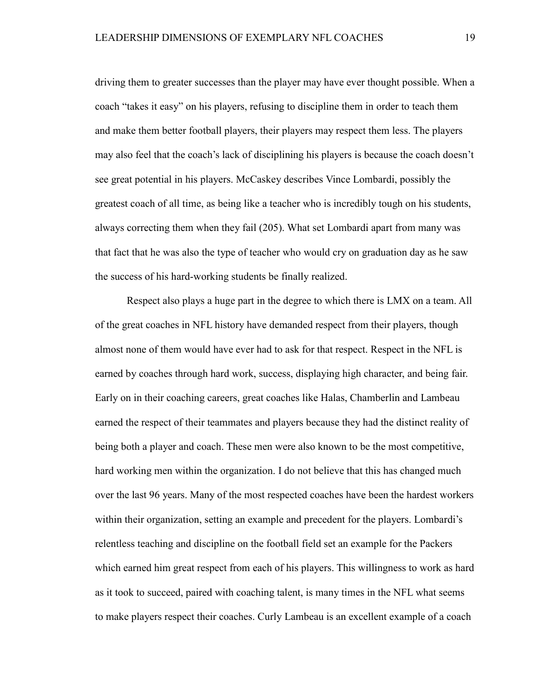driving them to greater successes than the player may have ever thought possible. When a coach "takes it easy" on his players, refusing to discipline them in order to teach them and make them better football players, their players may respect them less. The players may also feel that the coach's lack of disciplining his players is because the coach doesn't see great potential in his players. McCaskey describes Vince Lombardi, possibly the greatest coach of all time, as being like a teacher who is incredibly tough on his students, always correcting them when they fail (205). What set Lombardi apart from many was that fact that he was also the type of teacher who would cry on graduation day as he saw the success of his hard-working students be finally realized.

Respect also plays a huge part in the degree to which there is LMX on a team. All of the great coaches in NFL history have demanded respect from their players, though almost none of them would have ever had to ask for that respect. Respect in the NFL is earned by coaches through hard work, success, displaying high character, and being fair. Early on in their coaching careers, great coaches like Halas, Chamberlin and Lambeau earned the respect of their teammates and players because they had the distinct reality of being both a player and coach. These men were also known to be the most competitive, hard working men within the organization. I do not believe that this has changed much over the last 96 years. Many of the most respected coaches have been the hardest workers within their organization, setting an example and precedent for the players. Lombardi's relentless teaching and discipline on the football field set an example for the Packers which earned him great respect from each of his players. This willingness to work as hard as it took to succeed, paired with coaching talent, is many times in the NFL what seems to make players respect their coaches. Curly Lambeau is an excellent example of a coach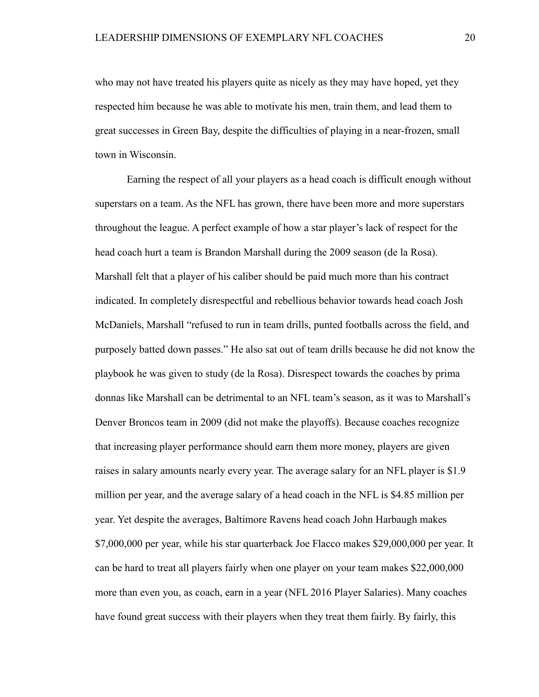who may not have treated his players quite as nicely as they may have hoped, yet they respected him because he was able to motivate his men, train them, and lead them to great successes in Green Bay, despite the difficulties of playing in a near-frozen, small town in Wisconsin.

Earning the respect of all your players as a head coach is difficult enough without superstars on a team. As the NFL has grown, there have been more and more superstars throughout the league. A perfect example of how a star player's lack of respect for the head coach hurt a team is Brandon Marshall during the 2009 season (de la Rosa). Marshall felt that a player of his caliber should be paid much more than his contract indicated. In completely disrespectful and rebellious behavior towards head coach Josh McDaniels, Marshall "refused to run in team drills, punted footballs across the field, and purposely batted down passes." He also sat out of team drills because he did not know the playbook he was given to study (de la Rosa). Disrespect towards the coaches by prima donnas like Marshall can be detrimental to an NFL team's season, as it was to Marshall's Denver Broncos team in 2009 (did not make the playoffs). Because coaches recognize that increasing player performance should earn them more money, players are given raises in salary amounts nearly every year. The average salary for an NFL player is \$1.9 million per year, and the average salary of a head coach in the NFL is \$4.85 million per year. Yet despite the averages, Baltimore Ravens head coach John Harbaugh makes \$7,000,000 per year, while his star quarterback Joe Flacco makes \$29,000,000 per year. It can be hard to treat all players fairly when one player on your team makes \$22,000,000 more than even you, as coach, earn in a year (NFL 2016 Player Salaries). Many coaches have found great success with their players when they treat them fairly. By fairly, this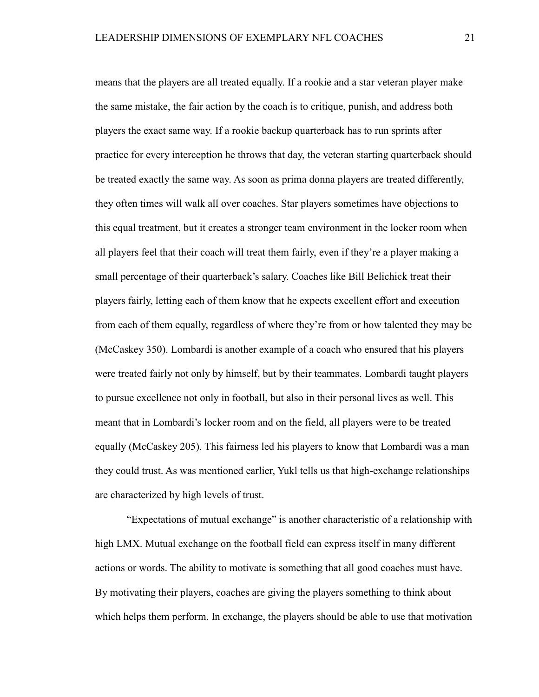means that the players are all treated equally. If a rookie and a star veteran player make the same mistake, the fair action by the coach is to critique, punish, and address both players the exact same way. If a rookie backup quarterback has to run sprints after practice for every interception he throws that day, the veteran starting quarterback should be treated exactly the same way. As soon as prima donna players are treated differently, they often times will walk all over coaches. Star players sometimes have objections to this equal treatment, but it creates a stronger team environment in the locker room when all players feel that their coach will treat them fairly, even if they're a player making a small percentage of their quarterback's salary. Coaches like Bill Belichick treat their players fairly, letting each of them know that he expects excellent effort and execution from each of them equally, regardless of where they're from or how talented they may be (McCaskey 350). Lombardi is another example of a coach who ensured that his players were treated fairly not only by himself, but by their teammates. Lombardi taught players to pursue excellence not only in football, but also in their personal lives as well. This meant that in Lombardi's locker room and on the field, all players were to be treated equally (McCaskey 205). This fairness led his players to know that Lombardi was a man they could trust. As was mentioned earlier, Yukl tells us that high-exchange relationships are characterized by high levels of trust.

"Expectations of mutual exchange" is another characteristic of a relationship with high LMX. Mutual exchange on the football field can express itself in many different actions or words. The ability to motivate is something that all good coaches must have. By motivating their players, coaches are giving the players something to think about which helps them perform. In exchange, the players should be able to use that motivation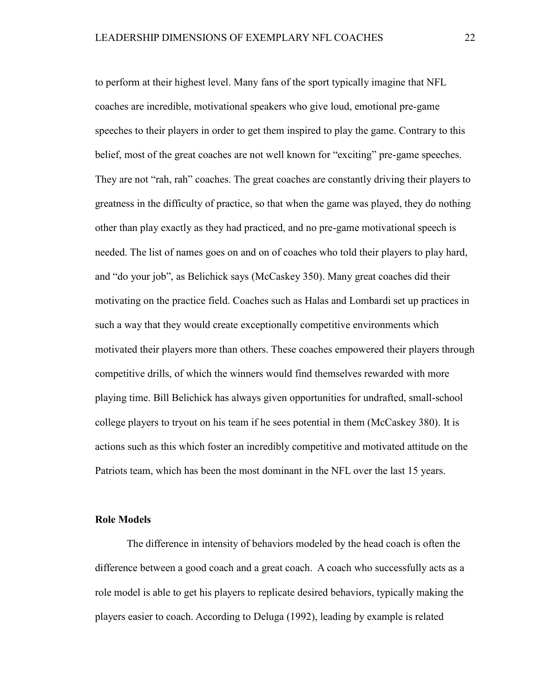to perform at their highest level. Many fans of the sport typically imagine that NFL coaches are incredible, motivational speakers who give loud, emotional pre-game speeches to their players in order to get them inspired to play the game. Contrary to this belief, most of the great coaches are not well known for "exciting" pre-game speeches. They are not "rah, rah" coaches. The great coaches are constantly driving their players to greatness in the difficulty of practice, so that when the game was played, they do nothing other than play exactly as they had practiced, and no pre-game motivational speech is needed. The list of names goes on and on of coaches who told their players to play hard, and "do your job", as Belichick says (McCaskey 350). Many great coaches did their motivating on the practice field. Coaches such as Halas and Lombardi set up practices in such a way that they would create exceptionally competitive environments which motivated their players more than others. These coaches empowered their players through competitive drills, of which the winners would find themselves rewarded with more playing time. Bill Belichick has always given opportunities for undrafted, small-school college players to tryout on his team if he sees potential in them (McCaskey 380). It is actions such as this which foster an incredibly competitive and motivated attitude on the Patriots team, which has been the most dominant in the NFL over the last 15 years.

#### **Role Models**

The difference in intensity of behaviors modeled by the head coach is often the difference between a good coach and a great coach. A coach who successfully acts as a role model is able to get his players to replicate desired behaviors, typically making the players easier to coach. According to Deluga (1992), leading by example is related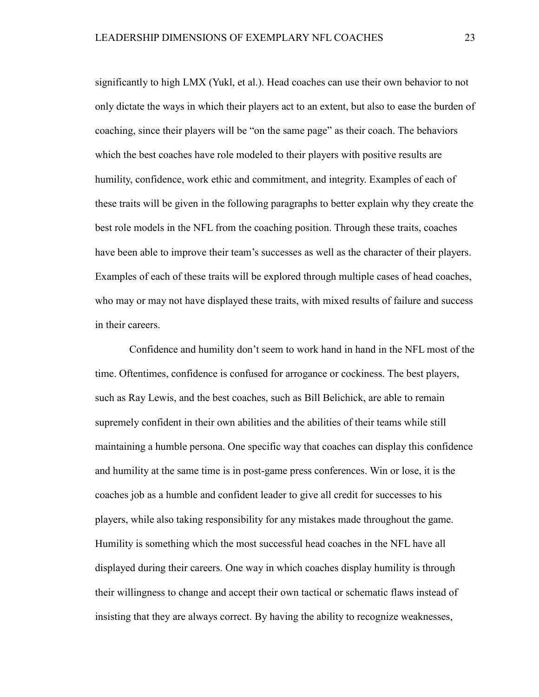significantly to high LMX (Yukl, et al.). Head coaches can use their own behavior to not only dictate the ways in which their players act to an extent, but also to ease the burden of coaching, since their players will be "on the same page" as their coach. The behaviors which the best coaches have role modeled to their players with positive results are humility, confidence, work ethic and commitment, and integrity. Examples of each of these traits will be given in the following paragraphs to better explain why they create the best role models in the NFL from the coaching position. Through these traits, coaches have been able to improve their team's successes as well as the character of their players. Examples of each of these traits will be explored through multiple cases of head coaches, who may or may not have displayed these traits, with mixed results of failure and success in their careers.

Confidence and humility don't seem to work hand in hand in the NFL most of the time. Oftentimes, confidence is confused for arrogance or cockiness. The best players, such as Ray Lewis, and the best coaches, such as Bill Belichick, are able to remain supremely confident in their own abilities and the abilities of their teams while still maintaining a humble persona. One specific way that coaches can display this confidence and humility at the same time is in post-game press conferences. Win or lose, it is the coaches job as a humble and confident leader to give all credit for successes to his players, while also taking responsibility for any mistakes made throughout the game. Humility is something which the most successful head coaches in the NFL have all displayed during their careers. One way in which coaches display humility is through their willingness to change and accept their own tactical or schematic flaws instead of insisting that they are always correct. By having the ability to recognize weaknesses,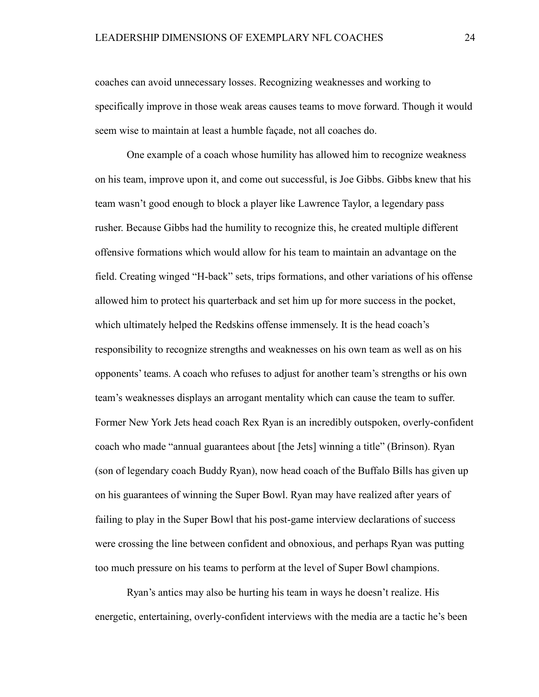coaches can avoid unnecessary losses. Recognizing weaknesses and working to specifically improve in those weak areas causes teams to move forward. Though it would seem wise to maintain at least a humble façade, not all coaches do.

One example of a coach whose humility has allowed him to recognize weakness on his team, improve upon it, and come out successful, is Joe Gibbs. Gibbs knew that his team wasn't good enough to block a player like Lawrence Taylor, a legendary pass rusher. Because Gibbs had the humility to recognize this, he created multiple different offensive formations which would allow for his team to maintain an advantage on the field. Creating winged "H-back" sets, trips formations, and other variations of his offense allowed him to protect his quarterback and set him up for more success in the pocket, which ultimately helped the Redskins offense immensely. It is the head coach's responsibility to recognize strengths and weaknesses on his own team as well as on his opponents' teams. A coach who refuses to adjust for another team's strengths or his own team's weaknesses displays an arrogant mentality which can cause the team to suffer. Former New York Jets head coach Rex Ryan is an incredibly outspoken, overly-confident coach who made "annual guarantees about [the Jets] winning a title" (Brinson). Ryan (son of legendary coach Buddy Ryan), now head coach of the Buffalo Bills has given up on his guarantees of winning the Super Bowl. Ryan may have realized after years of failing to play in the Super Bowl that his post-game interview declarations of success were crossing the line between confident and obnoxious, and perhaps Ryan was putting too much pressure on his teams to perform at the level of Super Bowl champions.

Ryan's antics may also be hurting his team in ways he doesn't realize. His energetic, entertaining, overly-confident interviews with the media are a tactic he's been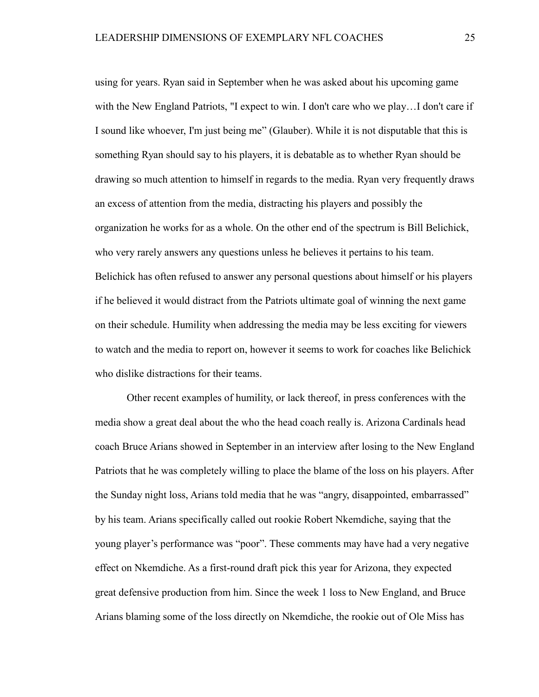using for years. Ryan said in September when he was asked about his upcoming game with the New England Patriots, "I expect to win. I don't care who we play...I don't care if I sound like whoever, I'm just being me" (Glauber). While it is not disputable that this is something Ryan should say to his players, it is debatable as to whether Ryan should be drawing so much attention to himself in regards to the media. Ryan very frequently draws an excess of attention from the media, distracting his players and possibly the organization he works for as a whole. On the other end of the spectrum is Bill Belichick, who very rarely answers any questions unless he believes it pertains to his team. Belichick has often refused to answer any personal questions about himself or his players if he believed it would distract from the Patriots ultimate goal of winning the next game on their schedule. Humility when addressing the media may be less exciting for viewers to watch and the media to report on, however it seems to work for coaches like Belichick who dislike distractions for their teams.

Other recent examples of humility, or lack thereof, in press conferences with the media show a great deal about the who the head coach really is. Arizona Cardinals head coach Bruce Arians showed in September in an interview after losing to the New England Patriots that he was completely willing to place the blame of the loss on his players. After the Sunday night loss, Arians told media that he was "angry, disappointed, embarrassed" by his team. Arians specifically called out rookie Robert Nkemdiche, saying that the young player's performance was "poor". These comments may have had a very negative effect on Nkemdiche. As a first-round draft pick this year for Arizona, they expected great defensive production from him. Since the week 1 loss to New England, and Bruce Arians blaming some of the loss directly on Nkemdiche, the rookie out of Ole Miss has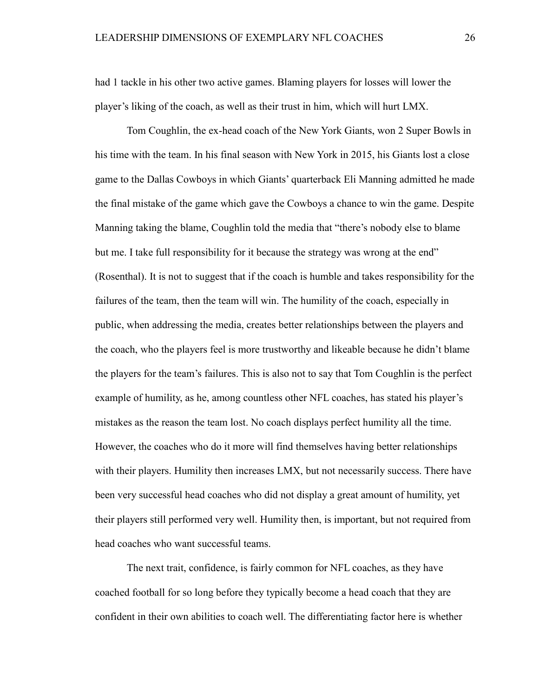had 1 tackle in his other two active games. Blaming players for losses will lower the player's liking of the coach, as well as their trust in him, which will hurt LMX.

Tom Coughlin, the ex-head coach of the New York Giants, won 2 Super Bowls in his time with the team. In his final season with New York in 2015, his Giants lost a close game to the Dallas Cowboys in which Giants' quarterback Eli Manning admitted he made the final mistake of the game which gave the Cowboys a chance to win the game. Despite Manning taking the blame, Coughlin told the media that "there's nobody else to blame but me. I take full responsibility for it because the strategy was wrong at the end" (Rosenthal). It is not to suggest that if the coach is humble and takes responsibility for the failures of the team, then the team will win. The humility of the coach, especially in public, when addressing the media, creates better relationships between the players and the coach, who the players feel is more trustworthy and likeable because he didn't blame the players for the team's failures. This is also not to say that Tom Coughlin is the perfect example of humility, as he, among countless other NFL coaches, has stated his player's mistakes as the reason the team lost. No coach displays perfect humility all the time. However, the coaches who do it more will find themselves having better relationships with their players. Humility then increases LMX, but not necessarily success. There have been very successful head coaches who did not display a great amount of humility, yet their players still performed very well. Humility then, is important, but not required from head coaches who want successful teams.

The next trait, confidence, is fairly common for NFL coaches, as they have coached football for so long before they typically become a head coach that they are confident in their own abilities to coach well. The differentiating factor here is whether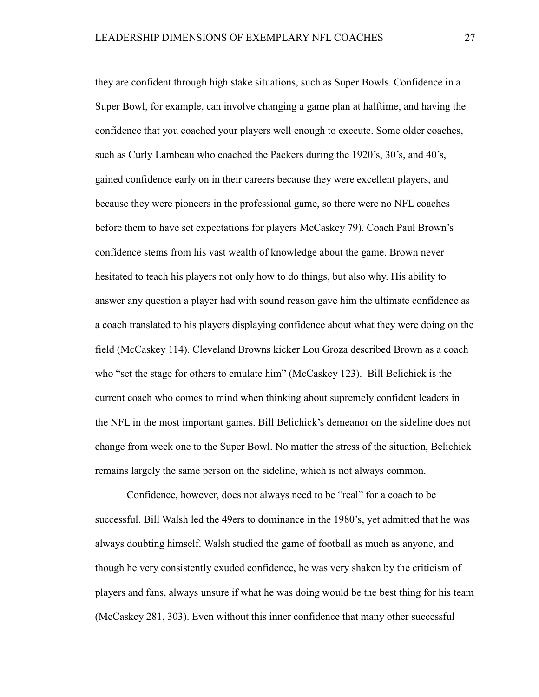they are confident through high stake situations, such as Super Bowls. Confidence in a Super Bowl, for example, can involve changing a game plan at halftime, and having the confidence that you coached your players well enough to execute. Some older coaches, such as Curly Lambeau who coached the Packers during the 1920's, 30's, and 40's, gained confidence early on in their careers because they were excellent players, and because they were pioneers in the professional game, so there were no NFL coaches before them to have set expectations for players McCaskey 79). Coach Paul Brown's confidence stems from his vast wealth of knowledge about the game. Brown never hesitated to teach his players not only how to do things, but also why. His ability to answer any question a player had with sound reason gave him the ultimate confidence as a coach translated to his players displaying confidence about what they were doing on the field (McCaskey 114). Cleveland Browns kicker Lou Groza described Brown as a coach who "set the stage for others to emulate him" (McCaskey 123). Bill Belichick is the current coach who comes to mind when thinking about supremely confident leaders in the NFL in the most important games. Bill Belichick's demeanor on the sideline does not change from week one to the Super Bowl. No matter the stress of the situation, Belichick remains largely the same person on the sideline, which is not always common.

Confidence, however, does not always need to be "real" for a coach to be successful. Bill Walsh led the 49ers to dominance in the 1980's, yet admitted that he was always doubting himself. Walsh studied the game of football as much as anyone, and though he very consistently exuded confidence, he was very shaken by the criticism of players and fans, always unsure if what he was doing would be the best thing for his team (McCaskey 281, 303). Even without this inner confidence that many other successful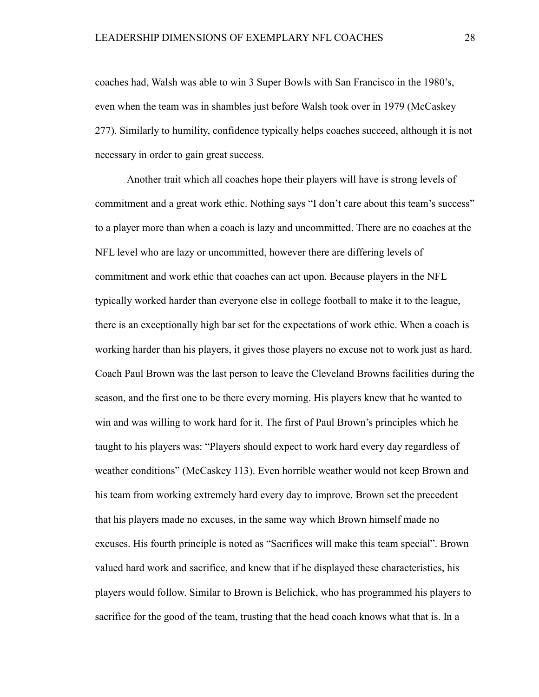coaches had, Walsh was able to win 3 Super Bowls with San Francisco in the 1980's, even when the team was in shambles just before Walsh took over in 1979 (McCaskey 277). Similarly to humility, confidence typically helps coaches succeed, although it is not necessary in order to gain great success.

Another trait which all coaches hope their players will have is strong levels of commitment and a great work ethic. Nothing says "I don't care about this team's success" to a player more than when a coach is lazy and uncommitted. There are no coaches at the NFL level who are lazy or uncommitted, however there are differing levels of commitment and work ethic that coaches can act upon. Because players in the NFL typically worked harder than everyone else in college football to make it to the league, there is an exceptionally high bar set for the expectations of work ethic. When a coach is working harder than his players, it gives those players no excuse not to work just as hard. Coach Paul Brown was the last person to leave the Cleveland Browns facilities during the season, and the first one to be there every morning. His players knew that he wanted to win and was willing to work hard for it. The first of Paul Brown's principles which he taught to his players was: "Players should expect to work hard every day regardless of weather conditions" (McCaskey 113). Even horrible weather would not keep Brown and his team from working extremely hard every day to improve. Brown set the precedent that his players made no excuses, in the same way which Brown himself made no excuses. His fourth principle is noted as "Sacrifices will make this team special". Brown valued hard work and sacrifice, and knew that if he displayed these characteristics, his players would follow. Similar to Brown is Belichick, who has programmed his players to sacrifice for the good of the team, trusting that the head coach knows what that is. In a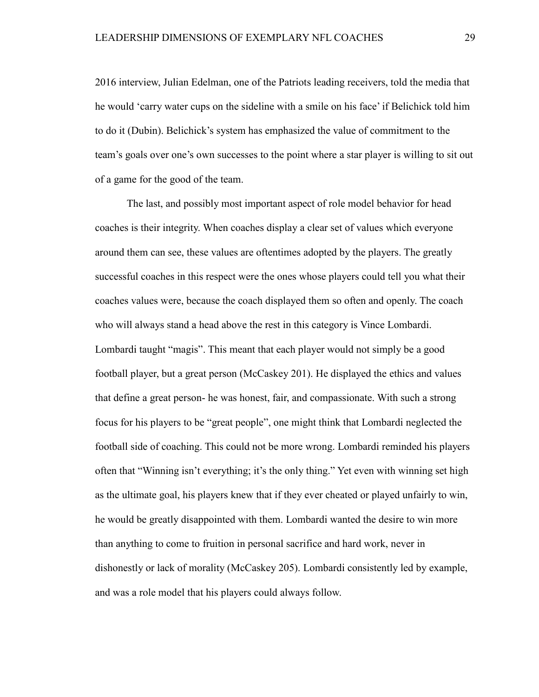2016 interview, Julian Edelman, one of the Patriots leading receivers, told the media that he would 'carry water cups on the sideline with a smile on his face' if Belichick told him to do it (Dubin). Belichick's system has emphasized the value of commitment to the team's goals over one's own successes to the point where a star player is willing to sit out of a game for the good of the team.

The last, and possibly most important aspect of role model behavior for head coaches is their integrity. When coaches display a clear set of values which everyone around them can see, these values are oftentimes adopted by the players. The greatly successful coaches in this respect were the ones whose players could tell you what their coaches values were, because the coach displayed them so often and openly. The coach who will always stand a head above the rest in this category is Vince Lombardi. Lombardi taught "magis". This meant that each player would not simply be a good football player, but a great person (McCaskey 201). He displayed the ethics and values that define a great person- he was honest, fair, and compassionate. With such a strong focus for his players to be "great people", one might think that Lombardi neglected the football side of coaching. This could not be more wrong. Lombardi reminded his players often that "Winning isn't everything; it's the only thing." Yet even with winning set high as the ultimate goal, his players knew that if they ever cheated or played unfairly to win, he would be greatly disappointed with them. Lombardi wanted the desire to win more than anything to come to fruition in personal sacrifice and hard work, never in dishonestly or lack of morality (McCaskey 205). Lombardi consistently led by example, and was a role model that his players could always follow.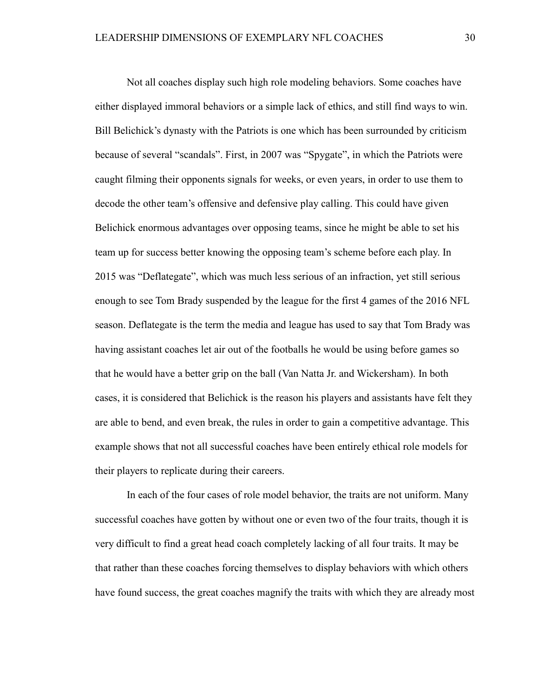Not all coaches display such high role modeling behaviors. Some coaches have either displayed immoral behaviors or a simple lack of ethics, and still find ways to win. Bill Belichick's dynasty with the Patriots is one which has been surrounded by criticism because of several "scandals". First, in 2007 was "Spygate", in which the Patriots were caught filming their opponents signals for weeks, or even years, in order to use them to decode the other team's offensive and defensive play calling. This could have given Belichick enormous advantages over opposing teams, since he might be able to set his team up for success better knowing the opposing team's scheme before each play. In 2015 was "Deflategate", which was much less serious of an infraction, yet still serious enough to see Tom Brady suspended by the league for the first 4 games of the 2016 NFL season. Deflategate is the term the media and league has used to say that Tom Brady was having assistant coaches let air out of the footballs he would be using before games so that he would have a better grip on the ball (Van Natta Jr. and Wickersham). In both cases, it is considered that Belichick is the reason his players and assistants have felt they are able to bend, and even break, the rules in order to gain a competitive advantage. This example shows that not all successful coaches have been entirely ethical role models for their players to replicate during their careers.

In each of the four cases of role model behavior, the traits are not uniform. Many successful coaches have gotten by without one or even two of the four traits, though it is very difficult to find a great head coach completely lacking of all four traits. It may be that rather than these coaches forcing themselves to display behaviors with which others have found success, the great coaches magnify the traits with which they are already most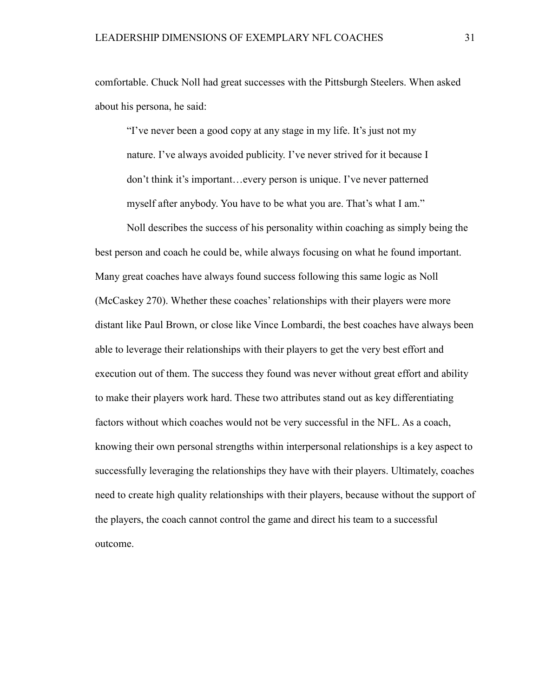comfortable. Chuck Noll had great successes with the Pittsburgh Steelers. When asked about his persona, he said:

"I've never been a good copy at any stage in my life. It's just not my nature. I've always avoided publicity. I've never strived for it because I don't think it's important…every person is unique. I've never patterned myself after anybody. You have to be what you are. That's what I am."

Noll describes the success of his personality within coaching as simply being the best person and coach he could be, while always focusing on what he found important. Many great coaches have always found success following this same logic as Noll (McCaskey 270). Whether these coaches' relationships with their players were more distant like Paul Brown, or close like Vince Lombardi, the best coaches have always been able to leverage their relationships with their players to get the very best effort and execution out of them. The success they found was never without great effort and ability to make their players work hard. These two attributes stand out as key differentiating factors without which coaches would not be very successful in the NFL. As a coach, knowing their own personal strengths within interpersonal relationships is a key aspect to successfully leveraging the relationships they have with their players. Ultimately, coaches need to create high quality relationships with their players, because without the support of the players, the coach cannot control the game and direct his team to a successful outcome.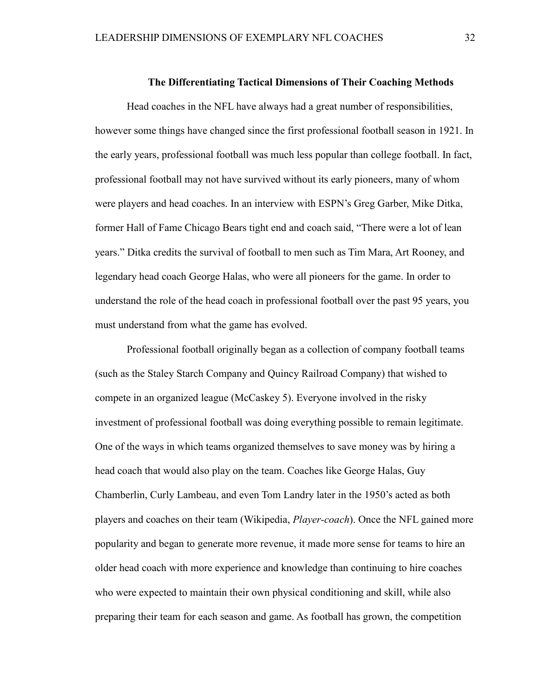#### **The Differentiating Tactical Dimensions of Their Coaching Methods**

Head coaches in the NFL have always had a great number of responsibilities, however some things have changed since the first professional football season in 1921. In the early years, professional football was much less popular than college football. In fact, professional football may not have survived without its early pioneers, many of whom were players and head coaches. In an interview with ESPN's Greg Garber, Mike Ditka, former Hall of Fame Chicago Bears tight end and coach said, "There were a lot of lean years." Ditka credits the survival of football to men such as Tim Mara, Art Rooney, and legendary head coach George Halas, who were all pioneers for the game. In order to understand the role of the head coach in professional football over the past 95 years, you must understand from what the game has evolved.

Professional football originally began as a collection of company football teams (such as the Staley Starch Company and Quincy Railroad Company) that wished to compete in an organized league (McCaskey 5). Everyone involved in the risky investment of professional football was doing everything possible to remain legitimate. One of the ways in which teams organized themselves to save money was by hiring a head coach that would also play on the team. Coaches like George Halas, Guy Chamberlin, Curly Lambeau, and even Tom Landry later in the 1950's acted as both players and coaches on their team (Wikipedia, *Player-coach*). Once the NFL gained more popularity and began to generate more revenue, it made more sense for teams to hire an older head coach with more experience and knowledge than continuing to hire coaches who were expected to maintain their own physical conditioning and skill, while also preparing their team for each season and game. As football has grown, the competition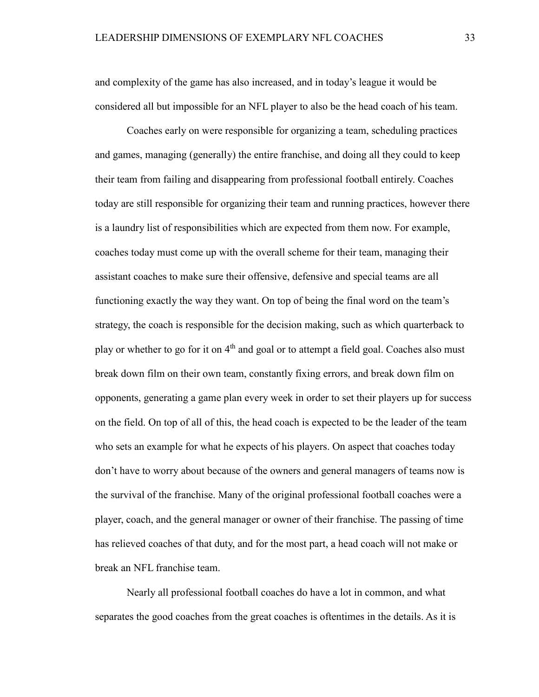and complexity of the game has also increased, and in today's league it would be considered all but impossible for an NFL player to also be the head coach of his team.

Coaches early on were responsible for organizing a team, scheduling practices and games, managing (generally) the entire franchise, and doing all they could to keep their team from failing and disappearing from professional football entirely. Coaches today are still responsible for organizing their team and running practices, however there is a laundry list of responsibilities which are expected from them now. For example, coaches today must come up with the overall scheme for their team, managing their assistant coaches to make sure their offensive, defensive and special teams are all functioning exactly the way they want. On top of being the final word on the team's strategy, the coach is responsible for the decision making, such as which quarterback to play or whether to go for it on  $4<sup>th</sup>$  and goal or to attempt a field goal. Coaches also must break down film on their own team, constantly fixing errors, and break down film on opponents, generating a game plan every week in order to set their players up for success on the field. On top of all of this, the head coach is expected to be the leader of the team who sets an example for what he expects of his players. On aspect that coaches today don't have to worry about because of the owners and general managers of teams now is the survival of the franchise. Many of the original professional football coaches were a player, coach, and the general manager or owner of their franchise. The passing of time has relieved coaches of that duty, and for the most part, a head coach will not make or break an NFL franchise team.

Nearly all professional football coaches do have a lot in common, and what separates the good coaches from the great coaches is oftentimes in the details. As it is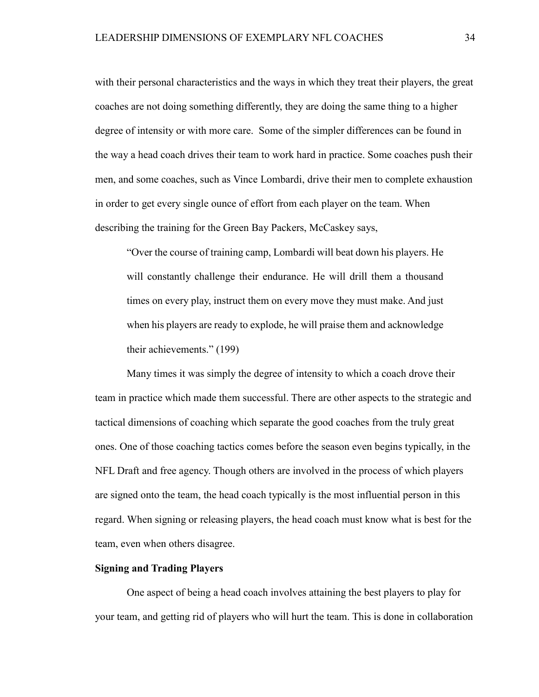with their personal characteristics and the ways in which they treat their players, the great coaches are not doing something differently, they are doing the same thing to a higher degree of intensity or with more care. Some of the simpler differences can be found in the way a head coach drives their team to work hard in practice. Some coaches push their men, and some coaches, such as Vince Lombardi, drive their men to complete exhaustion in order to get every single ounce of effort from each player on the team. When describing the training for the Green Bay Packers, McCaskey says,

"Over the course of training camp, Lombardi will beat down his players. He will constantly challenge their endurance. He will drill them a thousand times on every play, instruct them on every move they must make. And just when his players are ready to explode, he will praise them and acknowledge their achievements." (199)

Many times it was simply the degree of intensity to which a coach drove their team in practice which made them successful. There are other aspects to the strategic and tactical dimensions of coaching which separate the good coaches from the truly great ones. One of those coaching tactics comes before the season even begins typically, in the NFL Draft and free agency. Though others are involved in the process of which players are signed onto the team, the head coach typically is the most influential person in this regard. When signing or releasing players, the head coach must know what is best for the team, even when others disagree.

## **Signing and Trading Players**

One aspect of being a head coach involves attaining the best players to play for your team, and getting rid of players who will hurt the team. This is done in collaboration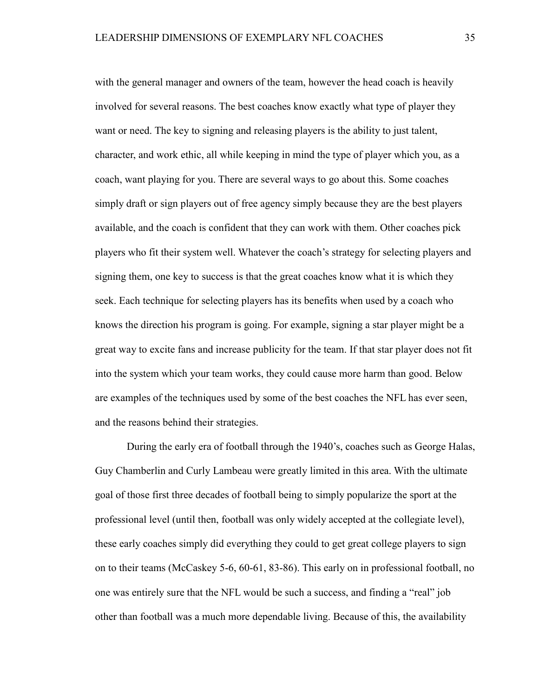with the general manager and owners of the team, however the head coach is heavily involved for several reasons. The best coaches know exactly what type of player they want or need. The key to signing and releasing players is the ability to just talent, character, and work ethic, all while keeping in mind the type of player which you, as a coach, want playing for you. There are several ways to go about this. Some coaches simply draft or sign players out of free agency simply because they are the best players available, and the coach is confident that they can work with them. Other coaches pick players who fit their system well. Whatever the coach's strategy for selecting players and signing them, one key to success is that the great coaches know what it is which they seek. Each technique for selecting players has its benefits when used by a coach who knows the direction his program is going. For example, signing a star player might be a great way to excite fans and increase publicity for the team. If that star player does not fit into the system which your team works, they could cause more harm than good. Below are examples of the techniques used by some of the best coaches the NFL has ever seen, and the reasons behind their strategies.

During the early era of football through the 1940's, coaches such as George Halas, Guy Chamberlin and Curly Lambeau were greatly limited in this area. With the ultimate goal of those first three decades of football being to simply popularize the sport at the professional level (until then, football was only widely accepted at the collegiate level), these early coaches simply did everything they could to get great college players to sign on to their teams (McCaskey 5-6, 60-61, 83-86). This early on in professional football, no one was entirely sure that the NFL would be such a success, and finding a "real" job other than football was a much more dependable living. Because of this, the availability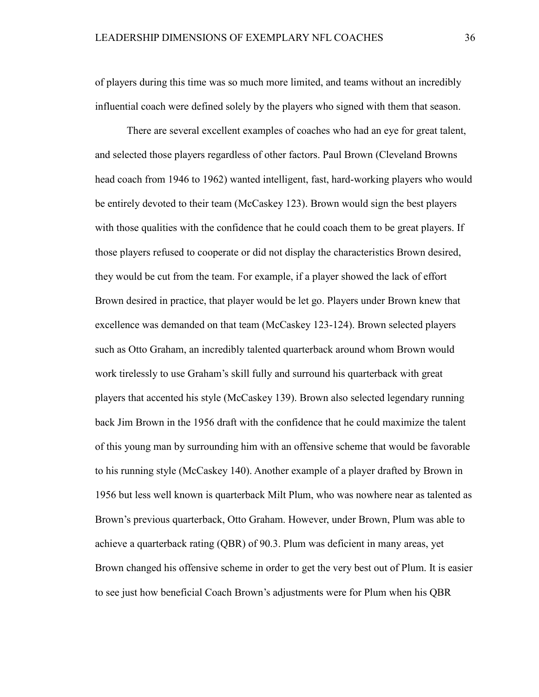of players during this time was so much more limited, and teams without an incredibly influential coach were defined solely by the players who signed with them that season.

There are several excellent examples of coaches who had an eye for great talent, and selected those players regardless of other factors. Paul Brown (Cleveland Browns head coach from 1946 to 1962) wanted intelligent, fast, hard-working players who would be entirely devoted to their team (McCaskey 123). Brown would sign the best players with those qualities with the confidence that he could coach them to be great players. If those players refused to cooperate or did not display the characteristics Brown desired, they would be cut from the team. For example, if a player showed the lack of effort Brown desired in practice, that player would be let go. Players under Brown knew that excellence was demanded on that team (McCaskey 123-124). Brown selected players such as Otto Graham, an incredibly talented quarterback around whom Brown would work tirelessly to use Graham's skill fully and surround his quarterback with great players that accented his style (McCaskey 139). Brown also selected legendary running back Jim Brown in the 1956 draft with the confidence that he could maximize the talent of this young man by surrounding him with an offensive scheme that would be favorable to his running style (McCaskey 140). Another example of a player drafted by Brown in 1956 but less well known is quarterback Milt Plum, who was nowhere near as talented as Brown's previous quarterback, Otto Graham. However, under Brown, Plum was able to achieve a quarterback rating (QBR) of 90.3. Plum was deficient in many areas, yet Brown changed his offensive scheme in order to get the very best out of Plum. It is easier to see just how beneficial Coach Brown's adjustments were for Plum when his QBR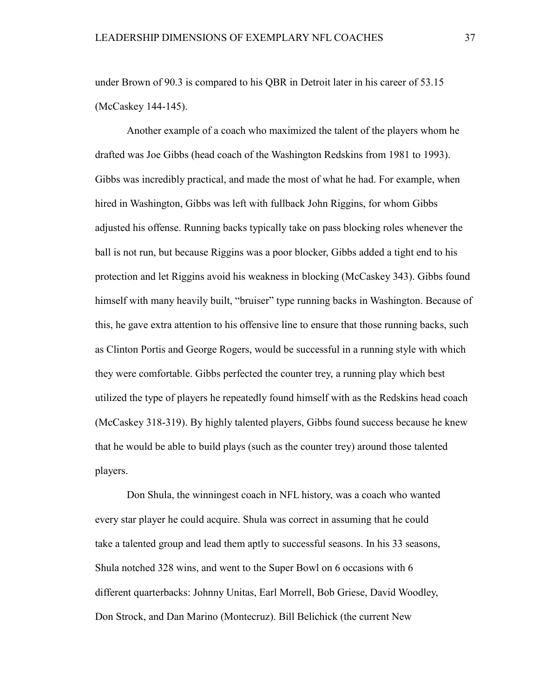under Brown of 90.3 is compared to his QBR in Detroit later in his career of 53.15 (McCaskey 144-145).

Another example of a coach who maximized the talent of the players whom he drafted was Joe Gibbs (head coach of the Washington Redskins from 1981 to 1993). Gibbs was incredibly practical, and made the most of what he had. For example, when hired in Washington, Gibbs was left with fullback John Riggins, for whom Gibbs adjusted his offense. Running backs typically take on pass blocking roles whenever the ball is not run, but because Riggins was a poor blocker, Gibbs added a tight end to his protection and let Riggins avoid his weakness in blocking (McCaskey 343). Gibbs found himself with many heavily built, "bruiser" type running backs in Washington. Because of this, he gave extra attention to his offensive line to ensure that those running backs, such as Clinton Portis and George Rogers, would be successful in a running style with which they were comfortable. Gibbs perfected the counter trey, a running play which best utilized the type of players he repeatedly found himself with as the Redskins head coach (McCaskey 318-319). By highly talented players, Gibbs found success because he knew that he would be able to build plays (such as the counter trey) around those talented players.

Don Shula, the winningest coach in NFL history, was a coach who wanted every star player he could acquire. Shula was correct in assuming that he could take a talented group and lead them aptly to successful seasons. In his 33 seasons, Shula notched 328 wins, and went to the Super Bowl on 6 occasions with 6 different quarterbacks: Johnny Unitas, Earl Morrell, Bob Griese, David Woodley, Don Strock, and Dan Marino (Montecruz). Bill Belichick (the current New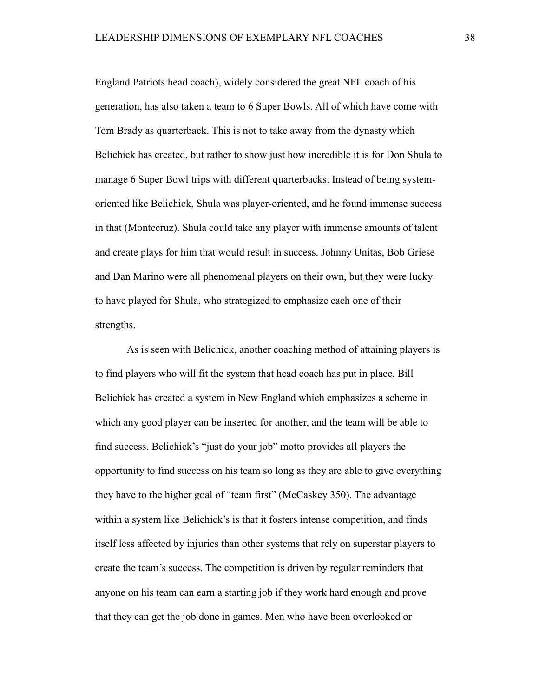England Patriots head coach), widely considered the great NFL coach of his generation, has also taken a team to 6 Super Bowls. All of which have come with Tom Brady as quarterback. This is not to take away from the dynasty which Belichick has created, but rather to show just how incredible it is for Don Shula to manage 6 Super Bowl trips with different quarterbacks. Instead of being systemoriented like Belichick, Shula was player-oriented, and he found immense success in that (Montecruz). Shula could take any player with immense amounts of talent and create plays for him that would result in success. Johnny Unitas, Bob Griese and Dan Marino were all phenomenal players on their own, but they were lucky to have played for Shula, who strategized to emphasize each one of their strengths.

As is seen with Belichick, another coaching method of attaining players is to find players who will fit the system that head coach has put in place. Bill Belichick has created a system in New England which emphasizes a scheme in which any good player can be inserted for another, and the team will be able to find success. Belichick's "just do your job" motto provides all players the opportunity to find success on his team so long as they are able to give everything they have to the higher goal of "team first" (McCaskey 350). The advantage within a system like Belichick's is that it fosters intense competition, and finds itself less affected by injuries than other systems that rely on superstar players to create the team's success. The competition is driven by regular reminders that anyone on his team can earn a starting job if they work hard enough and prove that they can get the job done in games. Men who have been overlooked or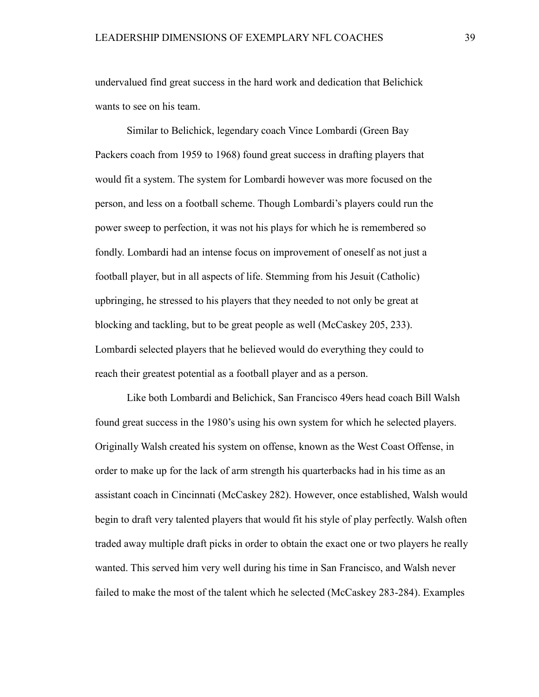undervalued find great success in the hard work and dedication that Belichick wants to see on his team.

Similar to Belichick, legendary coach Vince Lombardi (Green Bay Packers coach from 1959 to 1968) found great success in drafting players that would fit a system. The system for Lombardi however was more focused on the person, and less on a football scheme. Though Lombardi's players could run the power sweep to perfection, it was not his plays for which he is remembered so fondly. Lombardi had an intense focus on improvement of oneself as not just a football player, but in all aspects of life. Stemming from his Jesuit (Catholic) upbringing, he stressed to his players that they needed to not only be great at blocking and tackling, but to be great people as well (McCaskey 205, 233). Lombardi selected players that he believed would do everything they could to reach their greatest potential as a football player and as a person.

Like both Lombardi and Belichick, San Francisco 49ers head coach Bill Walsh found great success in the 1980's using his own system for which he selected players. Originally Walsh created his system on offense, known as the West Coast Offense, in order to make up for the lack of arm strength his quarterbacks had in his time as an assistant coach in Cincinnati (McCaskey 282). However, once established, Walsh would begin to draft very talented players that would fit his style of play perfectly. Walsh often traded away multiple draft picks in order to obtain the exact one or two players he really wanted. This served him very well during his time in San Francisco, and Walsh never failed to make the most of the talent which he selected (McCaskey 283-284). Examples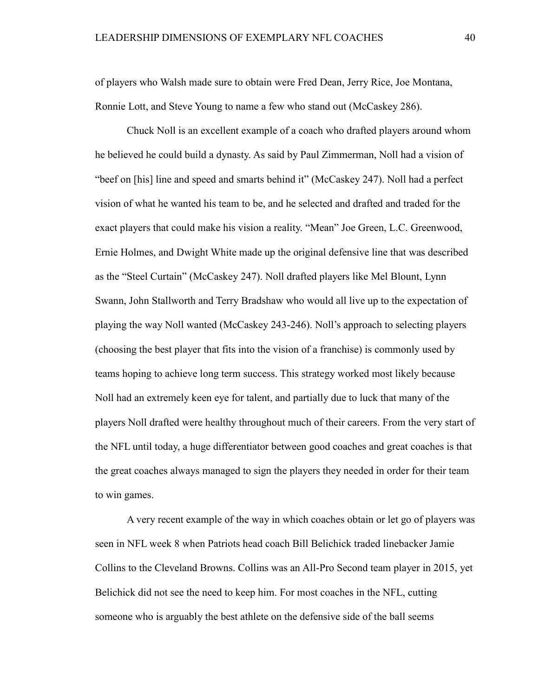of players who Walsh made sure to obtain were Fred Dean, Jerry Rice, Joe Montana, Ronnie Lott, and Steve Young to name a few who stand out (McCaskey 286).

Chuck Noll is an excellent example of a coach who drafted players around whom he believed he could build a dynasty. As said by Paul Zimmerman, Noll had a vision of "beef on [his] line and speed and smarts behind it" (McCaskey 247). Noll had a perfect vision of what he wanted his team to be, and he selected and drafted and traded for the exact players that could make his vision a reality. "Mean" Joe Green, L.C. Greenwood, Ernie Holmes, and Dwight White made up the original defensive line that was described as the "Steel Curtain" (McCaskey 247). Noll drafted players like Mel Blount, Lynn Swann, John Stallworth and Terry Bradshaw who would all live up to the expectation of playing the way Noll wanted (McCaskey 243-246). Noll's approach to selecting players (choosing the best player that fits into the vision of a franchise) is commonly used by teams hoping to achieve long term success. This strategy worked most likely because Noll had an extremely keen eye for talent, and partially due to luck that many of the players Noll drafted were healthy throughout much of their careers. From the very start of the NFL until today, a huge differentiator between good coaches and great coaches is that the great coaches always managed to sign the players they needed in order for their team to win games.

A very recent example of the way in which coaches obtain or let go of players was seen in NFL week 8 when Patriots head coach Bill Belichick traded linebacker Jamie Collins to the Cleveland Browns. Collins was an All-Pro Second team player in 2015, yet Belichick did not see the need to keep him. For most coaches in the NFL, cutting someone who is arguably the best athlete on the defensive side of the ball seems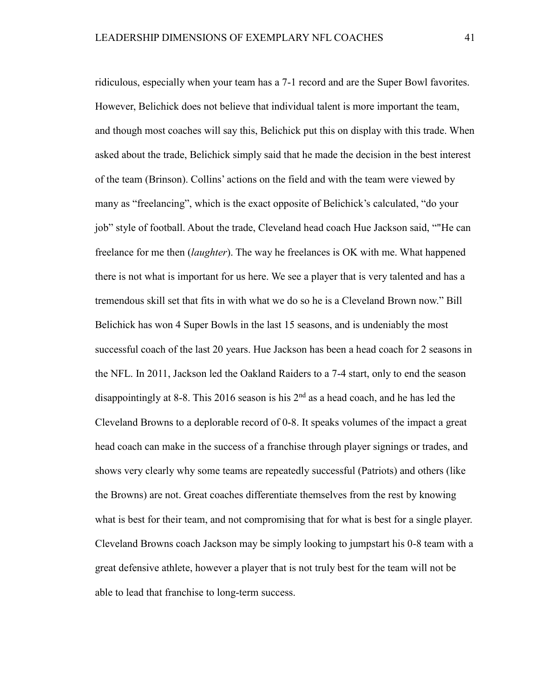ridiculous, especially when your team has a 7-1 record and are the Super Bowl favorites. However, Belichick does not believe that individual talent is more important the team, and though most coaches will say this, Belichick put this on display with this trade. When asked about the trade, Belichick simply said that he made the decision in the best interest of the team (Brinson). Collins' actions on the field and with the team were viewed by many as "freelancing", which is the exact opposite of Belichick's calculated, "do your job" style of football. About the trade, Cleveland head coach Hue Jackson said, ""He can freelance for me then (*laughter*). The way he freelances is OK with me. What happened there is not what is important for us here. We see a player that is very talented and has a tremendous skill set that fits in with what we do so he is a Cleveland Brown now." Bill Belichick has won 4 Super Bowls in the last 15 seasons, and is undeniably the most successful coach of the last 20 years. Hue Jackson has been a head coach for 2 seasons in the NFL. In 2011, Jackson led the Oakland Raiders to a 7-4 start, only to end the season disappointingly at 8-8. This 2016 season is his 2<sup>nd</sup> as a head coach, and he has led the Cleveland Browns to a deplorable record of 0-8. It speaks volumes of the impact a great head coach can make in the success of a franchise through player signings or trades, and shows very clearly why some teams are repeatedly successful (Patriots) and others (like the Browns) are not. Great coaches differentiate themselves from the rest by knowing what is best for their team, and not compromising that for what is best for a single player. Cleveland Browns coach Jackson may be simply looking to jumpstart his 0-8 team with a great defensive athlete, however a player that is not truly best for the team will not be able to lead that franchise to long-term success.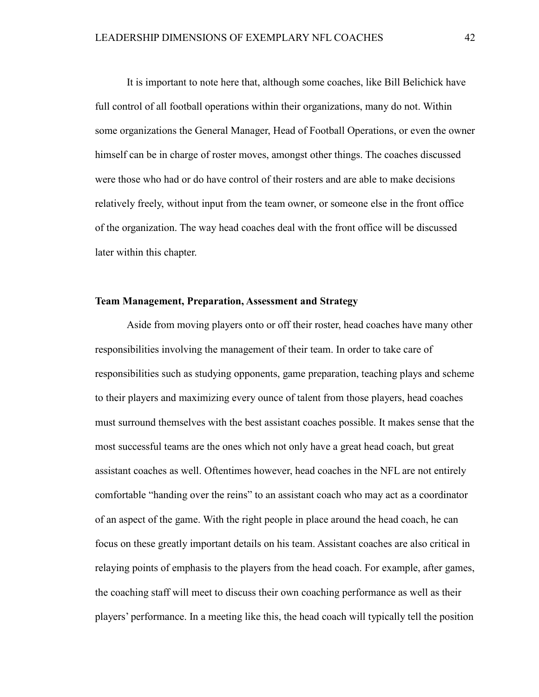It is important to note here that, although some coaches, like Bill Belichick have full control of all football operations within their organizations, many do not. Within some organizations the General Manager, Head of Football Operations, or even the owner himself can be in charge of roster moves, amongst other things. The coaches discussed were those who had or do have control of their rosters and are able to make decisions relatively freely, without input from the team owner, or someone else in the front office of the organization. The way head coaches deal with the front office will be discussed later within this chapter.

#### **Team Management, Preparation, Assessment and Strategy**

Aside from moving players onto or off their roster, head coaches have many other responsibilities involving the management of their team. In order to take care of responsibilities such as studying opponents, game preparation, teaching plays and scheme to their players and maximizing every ounce of talent from those players, head coaches must surround themselves with the best assistant coaches possible. It makes sense that the most successful teams are the ones which not only have a great head coach, but great assistant coaches as well. Oftentimes however, head coaches in the NFL are not entirely comfortable "handing over the reins" to an assistant coach who may act as a coordinator of an aspect of the game. With the right people in place around the head coach, he can focus on these greatly important details on his team. Assistant coaches are also critical in relaying points of emphasis to the players from the head coach. For example, after games, the coaching staff will meet to discuss their own coaching performance as well as their players' performance. In a meeting like this, the head coach will typically tell the position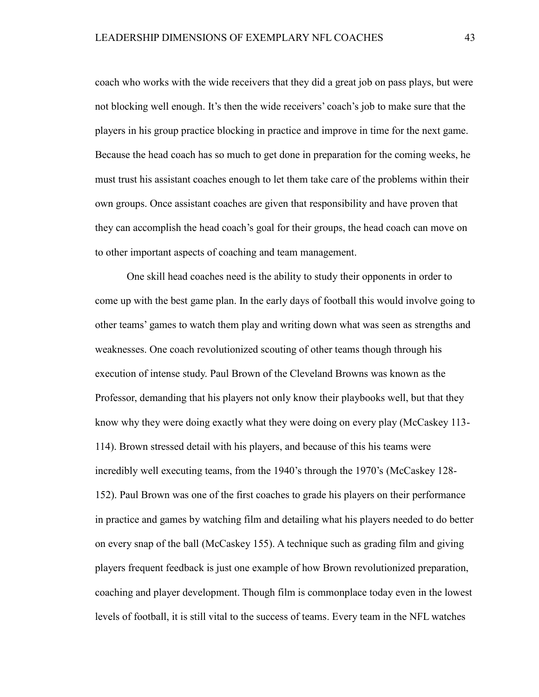coach who works with the wide receivers that they did a great job on pass plays, but were not blocking well enough. It's then the wide receivers' coach's job to make sure that the players in his group practice blocking in practice and improve in time for the next game. Because the head coach has so much to get done in preparation for the coming weeks, he must trust his assistant coaches enough to let them take care of the problems within their own groups. Once assistant coaches are given that responsibility and have proven that they can accomplish the head coach's goal for their groups, the head coach can move on to other important aspects of coaching and team management.

One skill head coaches need is the ability to study their opponents in order to come up with the best game plan. In the early days of football this would involve going to other teams' games to watch them play and writing down what was seen as strengths and weaknesses. One coach revolutionized scouting of other teams though through his execution of intense study. Paul Brown of the Cleveland Browns was known as the Professor, demanding that his players not only know their playbooks well, but that they know why they were doing exactly what they were doing on every play (McCaskey 113- 114). Brown stressed detail with his players, and because of this his teams were incredibly well executing teams, from the 1940's through the 1970's (McCaskey 128- 152). Paul Brown was one of the first coaches to grade his players on their performance in practice and games by watching film and detailing what his players needed to do better on every snap of the ball (McCaskey 155). A technique such as grading film and giving players frequent feedback is just one example of how Brown revolutionized preparation, coaching and player development. Though film is commonplace today even in the lowest levels of football, it is still vital to the success of teams. Every team in the NFL watches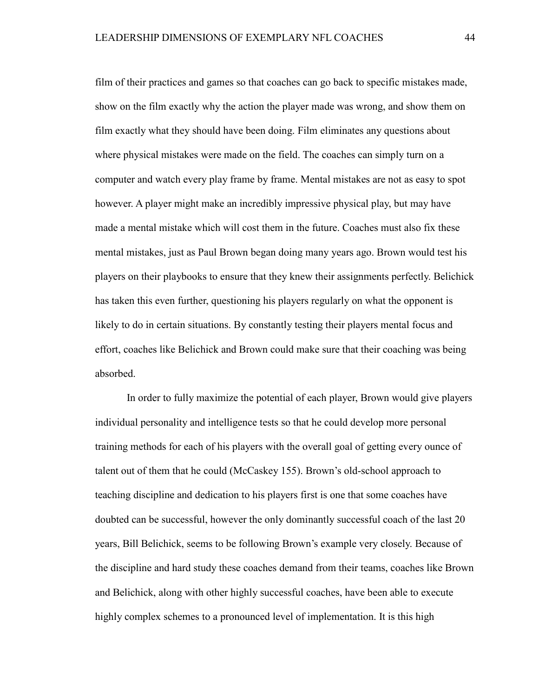film of their practices and games so that coaches can go back to specific mistakes made, show on the film exactly why the action the player made was wrong, and show them on film exactly what they should have been doing. Film eliminates any questions about where physical mistakes were made on the field. The coaches can simply turn on a computer and watch every play frame by frame. Mental mistakes are not as easy to spot however. A player might make an incredibly impressive physical play, but may have made a mental mistake which will cost them in the future. Coaches must also fix these mental mistakes, just as Paul Brown began doing many years ago. Brown would test his players on their playbooks to ensure that they knew their assignments perfectly. Belichick has taken this even further, questioning his players regularly on what the opponent is likely to do in certain situations. By constantly testing their players mental focus and effort, coaches like Belichick and Brown could make sure that their coaching was being absorbed.

In order to fully maximize the potential of each player, Brown would give players individual personality and intelligence tests so that he could develop more personal training methods for each of his players with the overall goal of getting every ounce of talent out of them that he could (McCaskey 155). Brown's old-school approach to teaching discipline and dedication to his players first is one that some coaches have doubted can be successful, however the only dominantly successful coach of the last 20 years, Bill Belichick, seems to be following Brown's example very closely. Because of the discipline and hard study these coaches demand from their teams, coaches like Brown and Belichick, along with other highly successful coaches, have been able to execute highly complex schemes to a pronounced level of implementation. It is this high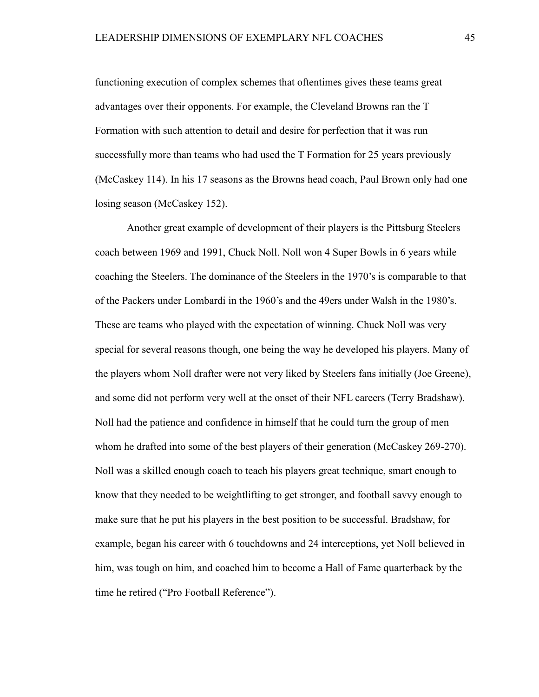functioning execution of complex schemes that oftentimes gives these teams great advantages over their opponents. For example, the Cleveland Browns ran the T Formation with such attention to detail and desire for perfection that it was run successfully more than teams who had used the T Formation for 25 years previously (McCaskey 114). In his 17 seasons as the Browns head coach, Paul Brown only had one losing season (McCaskey 152).

Another great example of development of their players is the Pittsburg Steelers coach between 1969 and 1991, Chuck Noll. Noll won 4 Super Bowls in 6 years while coaching the Steelers. The dominance of the Steelers in the 1970's is comparable to that of the Packers under Lombardi in the 1960's and the 49ers under Walsh in the 1980's. These are teams who played with the expectation of winning. Chuck Noll was very special for several reasons though, one being the way he developed his players. Many of the players whom Noll drafter were not very liked by Steelers fans initially (Joe Greene), and some did not perform very well at the onset of their NFL careers (Terry Bradshaw). Noll had the patience and confidence in himself that he could turn the group of men whom he drafted into some of the best players of their generation (McCaskey 269-270). Noll was a skilled enough coach to teach his players great technique, smart enough to know that they needed to be weightlifting to get stronger, and football savvy enough to make sure that he put his players in the best position to be successful. Bradshaw, for example, began his career with 6 touchdowns and 24 interceptions, yet Noll believed in him, was tough on him, and coached him to become a Hall of Fame quarterback by the time he retired ("Pro Football Reference").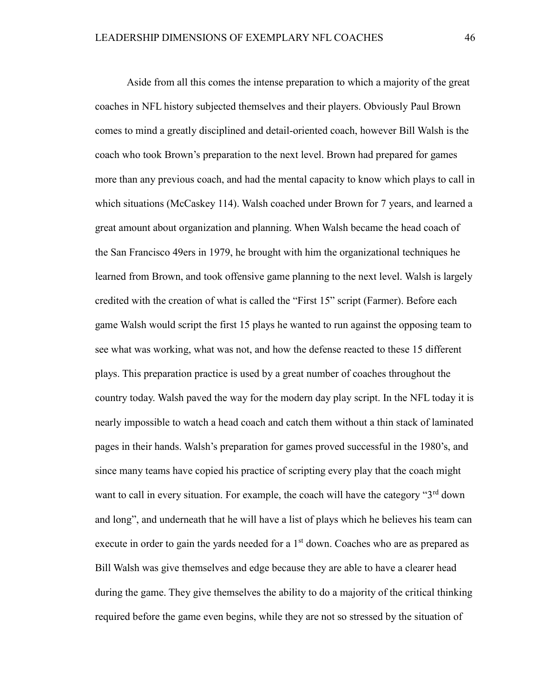Aside from all this comes the intense preparation to which a majority of the great coaches in NFL history subjected themselves and their players. Obviously Paul Brown comes to mind a greatly disciplined and detail-oriented coach, however Bill Walsh is the coach who took Brown's preparation to the next level. Brown had prepared for games more than any previous coach, and had the mental capacity to know which plays to call in which situations (McCaskey 114). Walsh coached under Brown for 7 years, and learned a great amount about organization and planning. When Walsh became the head coach of the San Francisco 49ers in 1979, he brought with him the organizational techniques he learned from Brown, and took offensive game planning to the next level. Walsh is largely credited with the creation of what is called the "First 15" script (Farmer). Before each game Walsh would script the first 15 plays he wanted to run against the opposing team to see what was working, what was not, and how the defense reacted to these 15 different plays. This preparation practice is used by a great number of coaches throughout the country today. Walsh paved the way for the modern day play script. In the NFL today it is nearly impossible to watch a head coach and catch them without a thin stack of laminated pages in their hands. Walsh's preparation for games proved successful in the 1980's, and since many teams have copied his practice of scripting every play that the coach might want to call in every situation. For example, the coach will have the category "3<sup>rd</sup> down" and long", and underneath that he will have a list of plays which he believes his team can execute in order to gain the yards needed for a 1<sup>st</sup> down. Coaches who are as prepared as Bill Walsh was give themselves and edge because they are able to have a clearer head during the game. They give themselves the ability to do a majority of the critical thinking required before the game even begins, while they are not so stressed by the situation of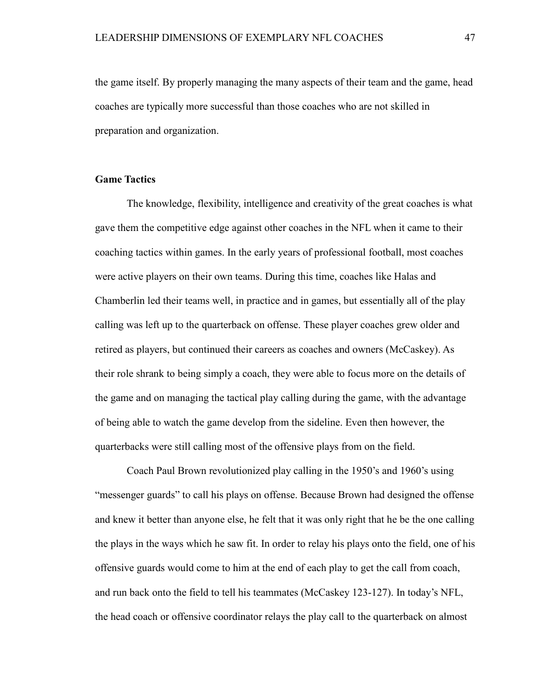the game itself. By properly managing the many aspects of their team and the game, head coaches are typically more successful than those coaches who are not skilled in preparation and organization.

## **Game Tactics**

The knowledge, flexibility, intelligence and creativity of the great coaches is what gave them the competitive edge against other coaches in the NFL when it came to their coaching tactics within games. In the early years of professional football, most coaches were active players on their own teams. During this time, coaches like Halas and Chamberlin led their teams well, in practice and in games, but essentially all of the play calling was left up to the quarterback on offense. These player coaches grew older and retired as players, but continued their careers as coaches and owners (McCaskey). As their role shrank to being simply a coach, they were able to focus more on the details of the game and on managing the tactical play calling during the game, with the advantage of being able to watch the game develop from the sideline. Even then however, the quarterbacks were still calling most of the offensive plays from on the field.

Coach Paul Brown revolutionized play calling in the 1950's and 1960's using "messenger guards" to call his plays on offense. Because Brown had designed the offense and knew it better than anyone else, he felt that it was only right that he be the one calling the plays in the ways which he saw fit. In order to relay his plays onto the field, one of his offensive guards would come to him at the end of each play to get the call from coach, and run back onto the field to tell his teammates (McCaskey 123-127). In today's NFL, the head coach or offensive coordinator relays the play call to the quarterback on almost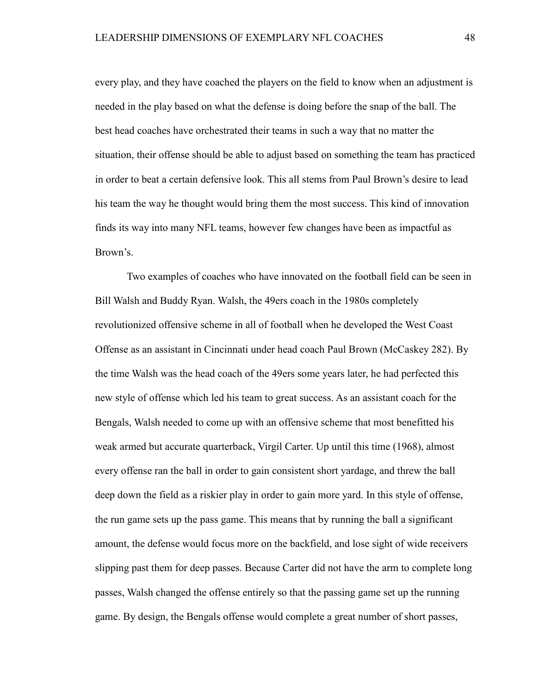every play, and they have coached the players on the field to know when an adjustment is needed in the play based on what the defense is doing before the snap of the ball. The best head coaches have orchestrated their teams in such a way that no matter the situation, their offense should be able to adjust based on something the team has practiced in order to beat a certain defensive look. This all stems from Paul Brown's desire to lead his team the way he thought would bring them the most success. This kind of innovation finds its way into many NFL teams, however few changes have been as impactful as Brown's.

Two examples of coaches who have innovated on the football field can be seen in Bill Walsh and Buddy Ryan. Walsh, the 49ers coach in the 1980s completely revolutionized offensive scheme in all of football when he developed the West Coast Offense as an assistant in Cincinnati under head coach Paul Brown (McCaskey 282). By the time Walsh was the head coach of the 49ers some years later, he had perfected this new style of offense which led his team to great success. As an assistant coach for the Bengals, Walsh needed to come up with an offensive scheme that most benefitted his weak armed but accurate quarterback, Virgil Carter. Up until this time (1968), almost every offense ran the ball in order to gain consistent short yardage, and threw the ball deep down the field as a riskier play in order to gain more yard. In this style of offense, the run game sets up the pass game. This means that by running the ball a significant amount, the defense would focus more on the backfield, and lose sight of wide receivers slipping past them for deep passes. Because Carter did not have the arm to complete long passes, Walsh changed the offense entirely so that the passing game set up the running game. By design, the Bengals offense would complete a great number of short passes,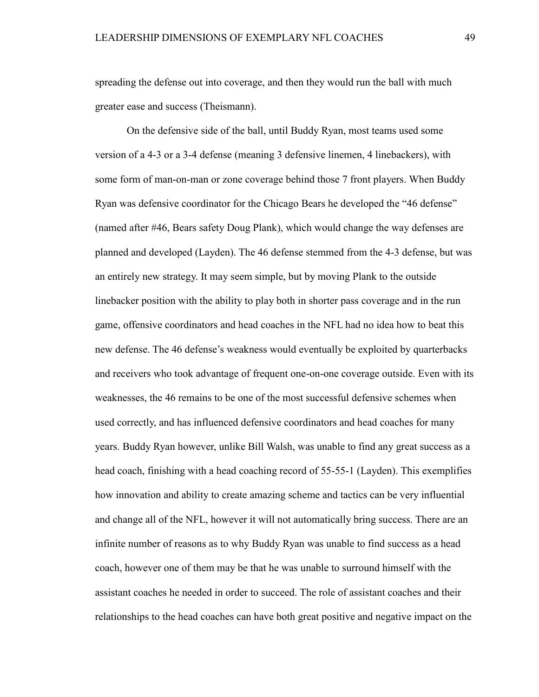spreading the defense out into coverage, and then they would run the ball with much greater ease and success (Theismann).

On the defensive side of the ball, until Buddy Ryan, most teams used some version of a 4-3 or a 3-4 defense (meaning 3 defensive linemen, 4 linebackers), with some form of man-on-man or zone coverage behind those 7 front players. When Buddy Ryan was defensive coordinator for the Chicago Bears he developed the "46 defense" (named after #46, Bears safety Doug Plank), which would change the way defenses are planned and developed (Layden). The 46 defense stemmed from the 4-3 defense, but was an entirely new strategy. It may seem simple, but by moving Plank to the outside linebacker position with the ability to play both in shorter pass coverage and in the run game, offensive coordinators and head coaches in the NFL had no idea how to beat this new defense. The 46 defense's weakness would eventually be exploited by quarterbacks and receivers who took advantage of frequent one-on-one coverage outside. Even with its weaknesses, the 46 remains to be one of the most successful defensive schemes when used correctly, and has influenced defensive coordinators and head coaches for many years. Buddy Ryan however, unlike Bill Walsh, was unable to find any great success as a head coach, finishing with a head coaching record of 55-55-1 (Layden). This exemplifies how innovation and ability to create amazing scheme and tactics can be very influential and change all of the NFL, however it will not automatically bring success. There are an infinite number of reasons as to why Buddy Ryan was unable to find success as a head coach, however one of them may be that he was unable to surround himself with the assistant coaches he needed in order to succeed. The role of assistant coaches and their relationships to the head coaches can have both great positive and negative impact on the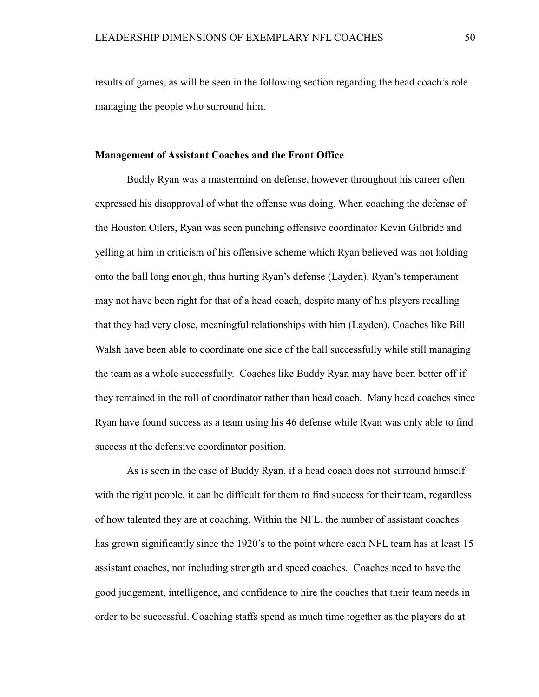results of games, as will be seen in the following section regarding the head coach's role managing the people who surround him.

### **Management of Assistant Coaches and the Front Office**

Buddy Ryan was a mastermind on defense, however throughout his career often expressed his disapproval of what the offense was doing. When coaching the defense of the Houston Oilers, Ryan was seen punching offensive coordinator Kevin Gilbride and yelling at him in criticism of his offensive scheme which Ryan believed was not holding onto the ball long enough, thus hurting Ryan's defense (Layden). Ryan's temperament may not have been right for that of a head coach, despite many of his players recalling that they had very close, meaningful relationships with him (Layden). Coaches like Bill Walsh have been able to coordinate one side of the ball successfully while still managing the team as a whole successfully. Coaches like Buddy Ryan may have been better off if they remained in the roll of coordinator rather than head coach. Many head coaches since Ryan have found success as a team using his 46 defense while Ryan was only able to find success at the defensive coordinator position.

As is seen in the case of Buddy Ryan, if a head coach does not surround himself with the right people, it can be difficult for them to find success for their team, regardless of how talented they are at coaching. Within the NFL, the number of assistant coaches has grown significantly since the 1920's to the point where each NFL team has at least 15 assistant coaches, not including strength and speed coaches. Coaches need to have the good judgement, intelligence, and confidence to hire the coaches that their team needs in order to be successful. Coaching staffs spend as much time together as the players do at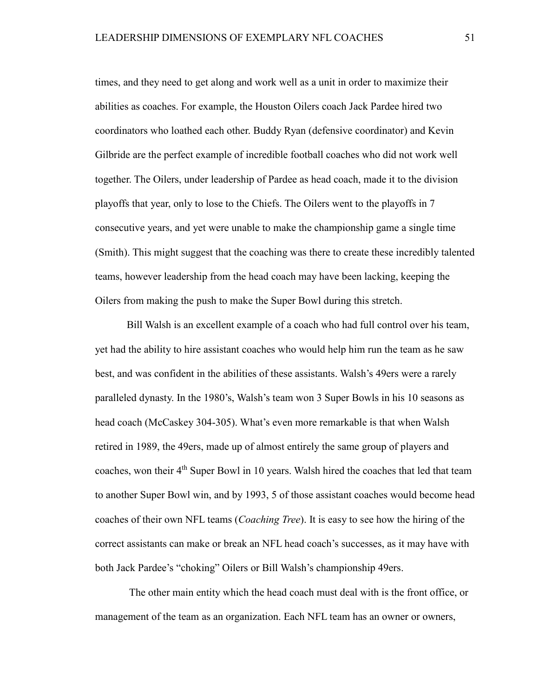times, and they need to get along and work well as a unit in order to maximize their abilities as coaches. For example, the Houston Oilers coach Jack Pardee hired two coordinators who loathed each other. Buddy Ryan (defensive coordinator) and Kevin Gilbride are the perfect example of incredible football coaches who did not work well together. The Oilers, under leadership of Pardee as head coach, made it to the division playoffs that year, only to lose to the Chiefs. The Oilers went to the playoffs in 7 consecutive years, and yet were unable to make the championship game a single time (Smith). This might suggest that the coaching was there to create these incredibly talented teams, however leadership from the head coach may have been lacking, keeping the Oilers from making the push to make the Super Bowl during this stretch.

Bill Walsh is an excellent example of a coach who had full control over his team, yet had the ability to hire assistant coaches who would help him run the team as he saw best, and was confident in the abilities of these assistants. Walsh's 49ers were a rarely paralleled dynasty. In the 1980's, Walsh's team won 3 Super Bowls in his 10 seasons as head coach (McCaskey 304-305). What's even more remarkable is that when Walsh retired in 1989, the 49ers, made up of almost entirely the same group of players and coaches, won their 4<sup>th</sup> Super Bowl in 10 years. Walsh hired the coaches that led that team to another Super Bowl win, and by 1993, 5 of those assistant coaches would become head coaches of their own NFL teams (*Coaching Tree*). It is easy to see how the hiring of the correct assistants can make or break an NFL head coach's successes, as it may have with both Jack Pardee's "choking" Oilers or Bill Walsh's championship 49ers.

The other main entity which the head coach must deal with is the front office, or management of the team as an organization. Each NFL team has an owner or owners,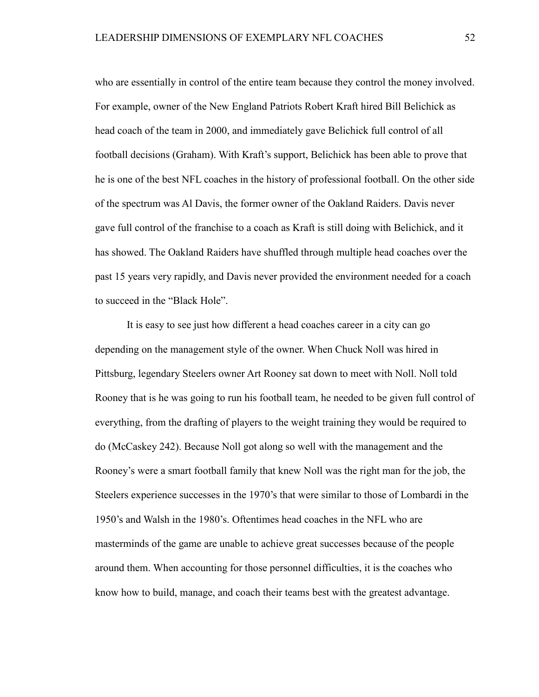who are essentially in control of the entire team because they control the money involved. For example, owner of the New England Patriots Robert Kraft hired Bill Belichick as head coach of the team in 2000, and immediately gave Belichick full control of all football decisions (Graham). With Kraft's support, Belichick has been able to prove that he is one of the best NFL coaches in the history of professional football. On the other side of the spectrum was Al Davis, the former owner of the Oakland Raiders. Davis never gave full control of the franchise to a coach as Kraft is still doing with Belichick, and it has showed. The Oakland Raiders have shuffled through multiple head coaches over the past 15 years very rapidly, and Davis never provided the environment needed for a coach to succeed in the "Black Hole".

It is easy to see just how different a head coaches career in a city can go depending on the management style of the owner. When Chuck Noll was hired in Pittsburg, legendary Steelers owner Art Rooney sat down to meet with Noll. Noll told Rooney that is he was going to run his football team, he needed to be given full control of everything, from the drafting of players to the weight training they would be required to do (McCaskey 242). Because Noll got along so well with the management and the Rooney's were a smart football family that knew Noll was the right man for the job, the Steelers experience successes in the 1970's that were similar to those of Lombardi in the 1950's and Walsh in the 1980's. Oftentimes head coaches in the NFL who are masterminds of the game are unable to achieve great successes because of the people around them. When accounting for those personnel difficulties, it is the coaches who know how to build, manage, and coach their teams best with the greatest advantage.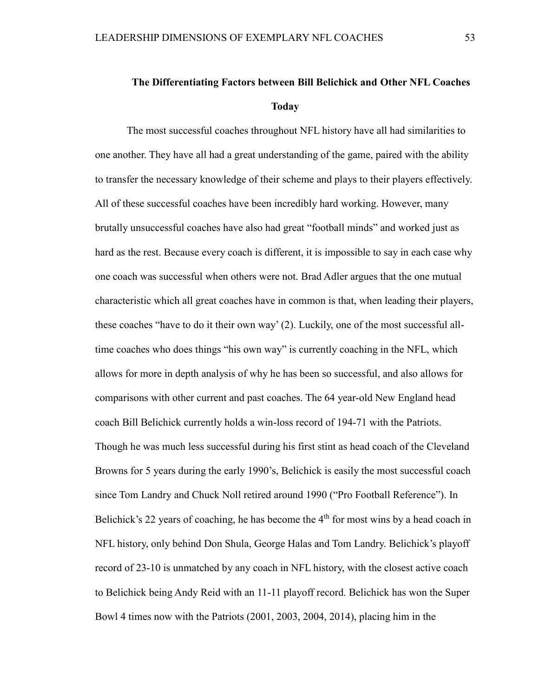# **The Differentiating Factors between Bill Belichick and Other NFL Coaches Today**

The most successful coaches throughout NFL history have all had similarities to one another. They have all had a great understanding of the game, paired with the ability to transfer the necessary knowledge of their scheme and plays to their players effectively. All of these successful coaches have been incredibly hard working. However, many brutally unsuccessful coaches have also had great "football minds" and worked just as hard as the rest. Because every coach is different, it is impossible to say in each case why one coach was successful when others were not. Brad Adler argues that the one mutual characteristic which all great coaches have in common is that, when leading their players, these coaches "have to do it their own way' (2). Luckily, one of the most successful alltime coaches who does things "his own way" is currently coaching in the NFL, which allows for more in depth analysis of why he has been so successful, and also allows for comparisons with other current and past coaches. The 64 year-old New England head coach Bill Belichick currently holds a win-loss record of 194-71 with the Patriots. Though he was much less successful during his first stint as head coach of the Cleveland Browns for 5 years during the early 1990's, Belichick is easily the most successful coach since Tom Landry and Chuck Noll retired around 1990 ("Pro Football Reference"). In Belichick's 22 years of coaching, he has become the  $4<sup>th</sup>$  for most wins by a head coach in NFL history, only behind Don Shula, George Halas and Tom Landry. Belichick's playoff record of 23-10 is unmatched by any coach in NFL history, with the closest active coach to Belichick being Andy Reid with an 11-11 playoff record. Belichick has won the Super Bowl 4 times now with the Patriots (2001, 2003, 2004, 2014), placing him in the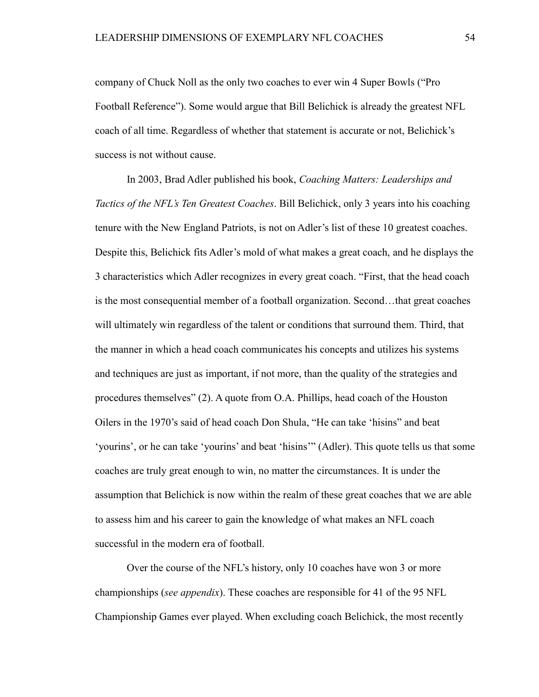company of Chuck Noll as the only two coaches to ever win 4 Super Bowls ("Pro Football Reference"). Some would argue that Bill Belichick is already the greatest NFL coach of all time. Regardless of whether that statement is accurate or not, Belichick's success is not without cause.

In 2003, Brad Adler published his book, *Coaching Matters: Leaderships and Tactics of the NFL's Ten Greatest Coaches*. Bill Belichick, only 3 years into his coaching tenure with the New England Patriots, is not on Adler's list of these 10 greatest coaches. Despite this, Belichick fits Adler's mold of what makes a great coach, and he displays the 3 characteristics which Adler recognizes in every great coach. "First, that the head coach is the most consequential member of a football organization. Second…that great coaches will ultimately win regardless of the talent or conditions that surround them. Third, that the manner in which a head coach communicates his concepts and utilizes his systems and techniques are just as important, if not more, than the quality of the strategies and procedures themselves" (2). A quote from O.A. Phillips, head coach of the Houston Oilers in the 1970's said of head coach Don Shula, "He can take 'hisins" and beat 'yourins', or he can take 'yourins' and beat 'hisins'" (Adler). This quote tells us that some coaches are truly great enough to win, no matter the circumstances. It is under the assumption that Belichick is now within the realm of these great coaches that we are able to assess him and his career to gain the knowledge of what makes an NFL coach successful in the modern era of football.

Over the course of the NFL's history, only 10 coaches have won 3 or more championships (*see appendix*). These coaches are responsible for 41 of the 95 NFL Championship Games ever played. When excluding coach Belichick, the most recently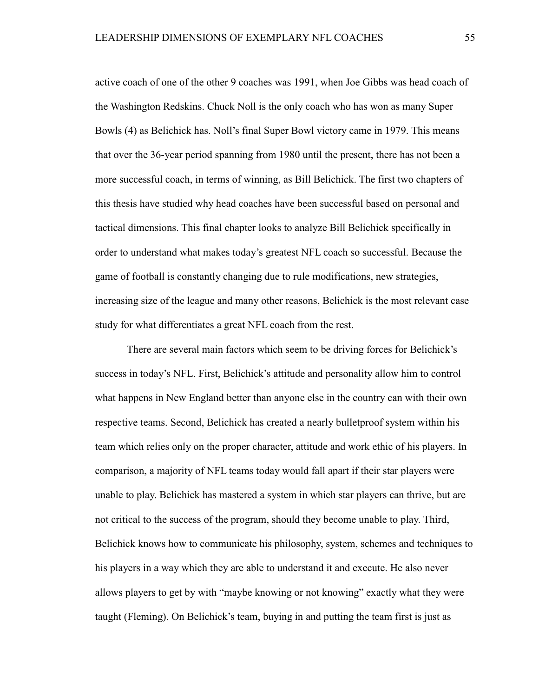active coach of one of the other 9 coaches was 1991, when Joe Gibbs was head coach of the Washington Redskins. Chuck Noll is the only coach who has won as many Super Bowls (4) as Belichick has. Noll's final Super Bowl victory came in 1979. This means that over the 36-year period spanning from 1980 until the present, there has not been a more successful coach, in terms of winning, as Bill Belichick. The first two chapters of this thesis have studied why head coaches have been successful based on personal and tactical dimensions. This final chapter looks to analyze Bill Belichick specifically in order to understand what makes today's greatest NFL coach so successful. Because the game of football is constantly changing due to rule modifications, new strategies, increasing size of the league and many other reasons, Belichick is the most relevant case study for what differentiates a great NFL coach from the rest.

There are several main factors which seem to be driving forces for Belichick's success in today's NFL. First, Belichick's attitude and personality allow him to control what happens in New England better than anyone else in the country can with their own respective teams. Second, Belichick has created a nearly bulletproof system within his team which relies only on the proper character, attitude and work ethic of his players. In comparison, a majority of NFL teams today would fall apart if their star players were unable to play. Belichick has mastered a system in which star players can thrive, but are not critical to the success of the program, should they become unable to play. Third, Belichick knows how to communicate his philosophy, system, schemes and techniques to his players in a way which they are able to understand it and execute. He also never allows players to get by with "maybe knowing or not knowing" exactly what they were taught (Fleming). On Belichick's team, buying in and putting the team first is just as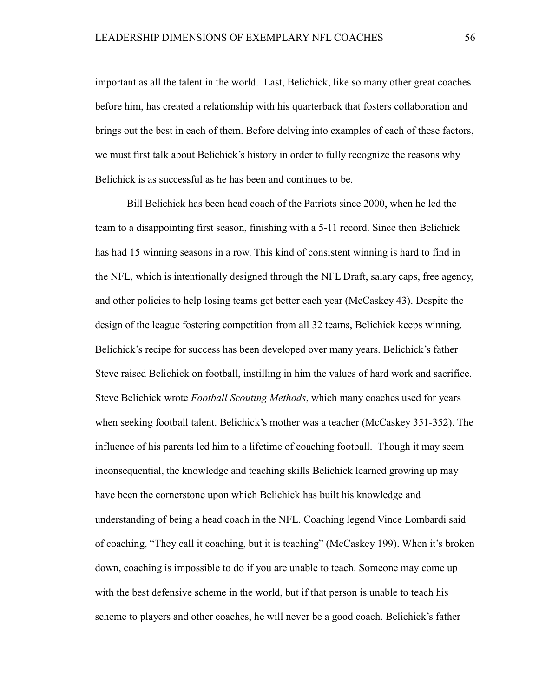important as all the talent in the world. Last, Belichick, like so many other great coaches before him, has created a relationship with his quarterback that fosters collaboration and brings out the best in each of them. Before delving into examples of each of these factors, we must first talk about Belichick's history in order to fully recognize the reasons why Belichick is as successful as he has been and continues to be.

Bill Belichick has been head coach of the Patriots since 2000, when he led the team to a disappointing first season, finishing with a 5-11 record. Since then Belichick has had 15 winning seasons in a row. This kind of consistent winning is hard to find in the NFL, which is intentionally designed through the NFL Draft, salary caps, free agency, and other policies to help losing teams get better each year (McCaskey 43). Despite the design of the league fostering competition from all 32 teams, Belichick keeps winning. Belichick's recipe for success has been developed over many years. Belichick's father Steve raised Belichick on football, instilling in him the values of hard work and sacrifice. Steve Belichick wrote *Football Scouting Methods*, which many coaches used for years when seeking football talent. Belichick's mother was a teacher (McCaskey 351-352). The influence of his parents led him to a lifetime of coaching football. Though it may seem inconsequential, the knowledge and teaching skills Belichick learned growing up may have been the cornerstone upon which Belichick has built his knowledge and understanding of being a head coach in the NFL. Coaching legend Vince Lombardi said of coaching, "They call it coaching, but it is teaching" (McCaskey 199). When it's broken down, coaching is impossible to do if you are unable to teach. Someone may come up with the best defensive scheme in the world, but if that person is unable to teach his scheme to players and other coaches, he will never be a good coach. Belichick's father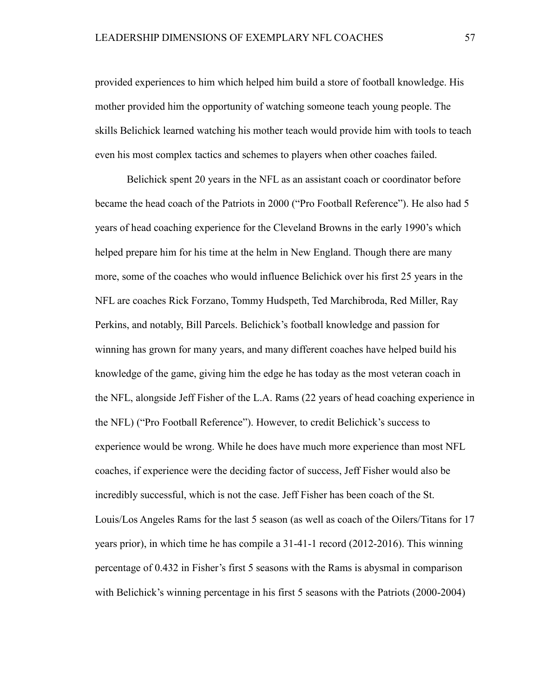provided experiences to him which helped him build a store of football knowledge. His mother provided him the opportunity of watching someone teach young people. The skills Belichick learned watching his mother teach would provide him with tools to teach even his most complex tactics and schemes to players when other coaches failed.

Belichick spent 20 years in the NFL as an assistant coach or coordinator before became the head coach of the Patriots in 2000 ("Pro Football Reference"). He also had 5 years of head coaching experience for the Cleveland Browns in the early 1990's which helped prepare him for his time at the helm in New England. Though there are many more, some of the coaches who would influence Belichick over his first 25 years in the NFL are coaches Rick Forzano, Tommy Hudspeth, Ted Marchibroda, Red Miller, Ray Perkins, and notably, Bill Parcels. Belichick's football knowledge and passion for winning has grown for many years, and many different coaches have helped build his knowledge of the game, giving him the edge he has today as the most veteran coach in the NFL, alongside Jeff Fisher of the L.A. Rams (22 years of head coaching experience in the NFL) ("Pro Football Reference"). However, to credit Belichick's success to experience would be wrong. While he does have much more experience than most NFL coaches, if experience were the deciding factor of success, Jeff Fisher would also be incredibly successful, which is not the case. Jeff Fisher has been coach of the St. Louis/Los Angeles Rams for the last 5 season (as well as coach of the Oilers/Titans for 17 years prior), in which time he has compile a 31-41-1 record (2012-2016). This winning percentage of 0.432 in Fisher's first 5 seasons with the Rams is abysmal in comparison with Belichick's winning percentage in his first 5 seasons with the Patriots (2000-2004)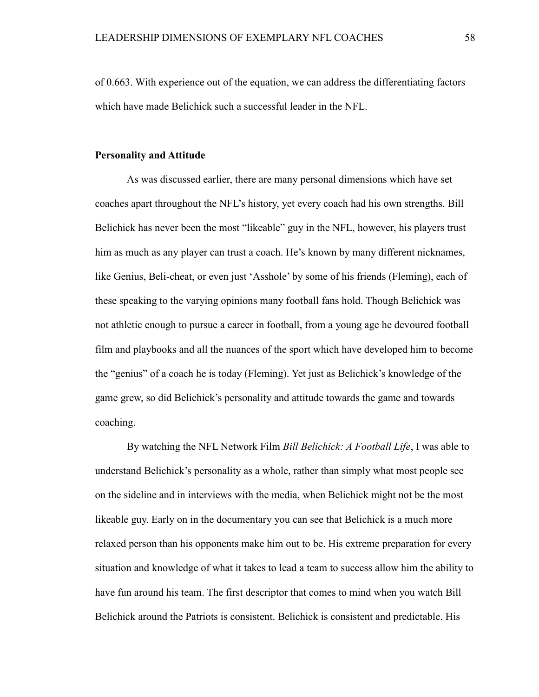of 0.663. With experience out of the equation, we can address the differentiating factors which have made Belichick such a successful leader in the NFL.

## **Personality and Attitude**

As was discussed earlier, there are many personal dimensions which have set coaches apart throughout the NFL's history, yet every coach had his own strengths. Bill Belichick has never been the most "likeable" guy in the NFL, however, his players trust him as much as any player can trust a coach. He's known by many different nicknames, like Genius, Beli-cheat, or even just 'Asshole' by some of his friends (Fleming), each of these speaking to the varying opinions many football fans hold. Though Belichick was not athletic enough to pursue a career in football, from a young age he devoured football film and playbooks and all the nuances of the sport which have developed him to become the "genius" of a coach he is today (Fleming). Yet just as Belichick's knowledge of the game grew, so did Belichick's personality and attitude towards the game and towards coaching.

By watching the NFL Network Film *Bill Belichick: A Football Life*, I was able to understand Belichick's personality as a whole, rather than simply what most people see on the sideline and in interviews with the media, when Belichick might not be the most likeable guy. Early on in the documentary you can see that Belichick is a much more relaxed person than his opponents make him out to be. His extreme preparation for every situation and knowledge of what it takes to lead a team to success allow him the ability to have fun around his team. The first descriptor that comes to mind when you watch Bill Belichick around the Patriots is consistent. Belichick is consistent and predictable. His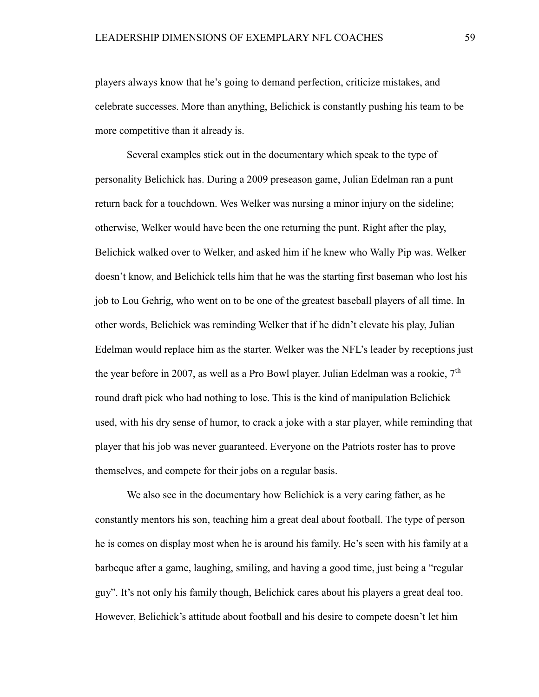players always know that he's going to demand perfection, criticize mistakes, and celebrate successes. More than anything, Belichick is constantly pushing his team to be more competitive than it already is.

Several examples stick out in the documentary which speak to the type of personality Belichick has. During a 2009 preseason game, Julian Edelman ran a punt return back for a touchdown. Wes Welker was nursing a minor injury on the sideline; otherwise, Welker would have been the one returning the punt. Right after the play, Belichick walked over to Welker, and asked him if he knew who Wally Pip was. Welker doesn't know, and Belichick tells him that he was the starting first baseman who lost his job to Lou Gehrig, who went on to be one of the greatest baseball players of all time. In other words, Belichick was reminding Welker that if he didn't elevate his play, Julian Edelman would replace him as the starter. Welker was the NFL's leader by receptions just the year before in 2007, as well as a Pro Bowl player. Julian Edelman was a rookie,  $7<sup>th</sup>$ round draft pick who had nothing to lose. This is the kind of manipulation Belichick used, with his dry sense of humor, to crack a joke with a star player, while reminding that player that his job was never guaranteed. Everyone on the Patriots roster has to prove themselves, and compete for their jobs on a regular basis.

We also see in the documentary how Belichick is a very caring father, as he constantly mentors his son, teaching him a great deal about football. The type of person he is comes on display most when he is around his family. He's seen with his family at a barbeque after a game, laughing, smiling, and having a good time, just being a "regular guy". It's not only his family though, Belichick cares about his players a great deal too. However, Belichick's attitude about football and his desire to compete doesn't let him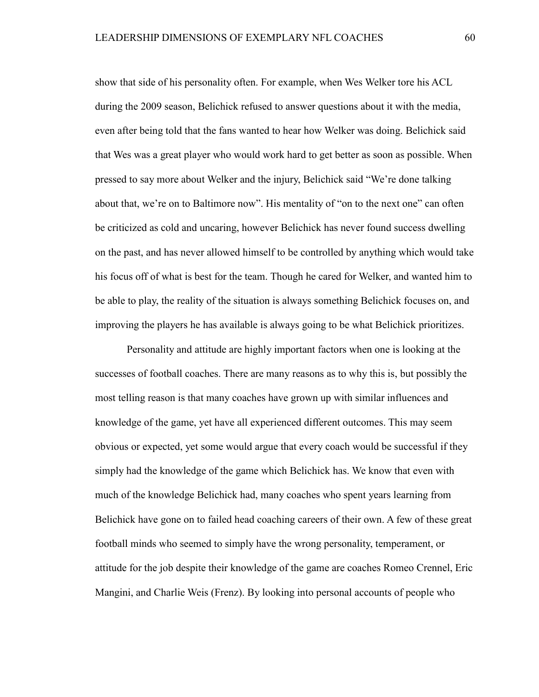show that side of his personality often. For example, when Wes Welker tore his ACL during the 2009 season, Belichick refused to answer questions about it with the media, even after being told that the fans wanted to hear how Welker was doing. Belichick said that Wes was a great player who would work hard to get better as soon as possible. When pressed to say more about Welker and the injury, Belichick said "We're done talking about that, we're on to Baltimore now". His mentality of "on to the next one" can often be criticized as cold and uncaring, however Belichick has never found success dwelling on the past, and has never allowed himself to be controlled by anything which would take his focus off of what is best for the team. Though he cared for Welker, and wanted him to be able to play, the reality of the situation is always something Belichick focuses on, and improving the players he has available is always going to be what Belichick prioritizes.

Personality and attitude are highly important factors when one is looking at the successes of football coaches. There are many reasons as to why this is, but possibly the most telling reason is that many coaches have grown up with similar influences and knowledge of the game, yet have all experienced different outcomes. This may seem obvious or expected, yet some would argue that every coach would be successful if they simply had the knowledge of the game which Belichick has. We know that even with much of the knowledge Belichick had, many coaches who spent years learning from Belichick have gone on to failed head coaching careers of their own. A few of these great football minds who seemed to simply have the wrong personality, temperament, or attitude for the job despite their knowledge of the game are coaches Romeo Crennel, Eric Mangini, and Charlie Weis (Frenz). By looking into personal accounts of people who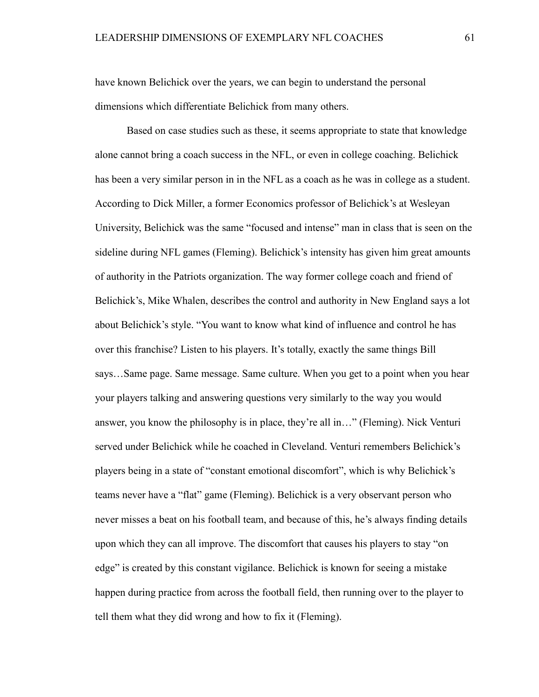have known Belichick over the years, we can begin to understand the personal dimensions which differentiate Belichick from many others.

Based on case studies such as these, it seems appropriate to state that knowledge alone cannot bring a coach success in the NFL, or even in college coaching. Belichick has been a very similar person in in the NFL as a coach as he was in college as a student. According to Dick Miller, a former Economics professor of Belichick's at Wesleyan University, Belichick was the same "focused and intense" man in class that is seen on the sideline during NFL games (Fleming). Belichick's intensity has given him great amounts of authority in the Patriots organization. The way former college coach and friend of Belichick's, Mike Whalen, describes the control and authority in New England says a lot about Belichick's style. "You want to know what kind of influence and control he has over this franchise? Listen to his players. It's totally, exactly the same things Bill says…Same page. Same message. Same culture. When you get to a point when you hear your players talking and answering questions very similarly to the way you would answer, you know the philosophy is in place, they're all in…" (Fleming). Nick Venturi served under Belichick while he coached in Cleveland. Venturi remembers Belichick's players being in a state of "constant emotional discomfort", which is why Belichick's teams never have a "flat" game (Fleming). Belichick is a very observant person who never misses a beat on his football team, and because of this, he's always finding details upon which they can all improve. The discomfort that causes his players to stay "on edge" is created by this constant vigilance. Belichick is known for seeing a mistake happen during practice from across the football field, then running over to the player to tell them what they did wrong and how to fix it (Fleming).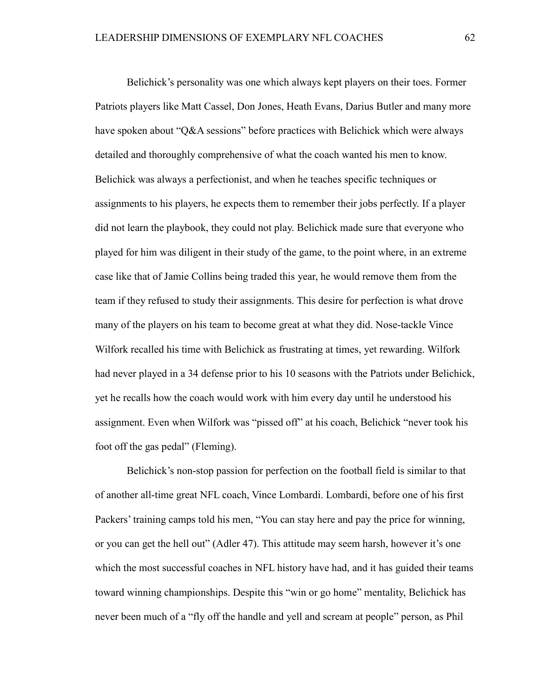Belichick's personality was one which always kept players on their toes. Former Patriots players like Matt Cassel, Don Jones, Heath Evans, Darius Butler and many more have spoken about "Q&A sessions" before practices with Belichick which were always detailed and thoroughly comprehensive of what the coach wanted his men to know. Belichick was always a perfectionist, and when he teaches specific techniques or assignments to his players, he expects them to remember their jobs perfectly. If a player did not learn the playbook, they could not play. Belichick made sure that everyone who played for him was diligent in their study of the game, to the point where, in an extreme case like that of Jamie Collins being traded this year, he would remove them from the team if they refused to study their assignments. This desire for perfection is what drove many of the players on his team to become great at what they did. Nose-tackle Vince Wilfork recalled his time with Belichick as frustrating at times, yet rewarding. Wilfork had never played in a 34 defense prior to his 10 seasons with the Patriots under Belichick, yet he recalls how the coach would work with him every day until he understood his assignment. Even when Wilfork was "pissed off" at his coach, Belichick "never took his foot off the gas pedal" (Fleming).

Belichick's non-stop passion for perfection on the football field is similar to that of another all-time great NFL coach, Vince Lombardi. Lombardi, before one of his first Packers' training camps told his men, "You can stay here and pay the price for winning, or you can get the hell out" (Adler 47). This attitude may seem harsh, however it's one which the most successful coaches in NFL history have had, and it has guided their teams toward winning championships. Despite this "win or go home" mentality, Belichick has never been much of a "fly off the handle and yell and scream at people" person, as Phil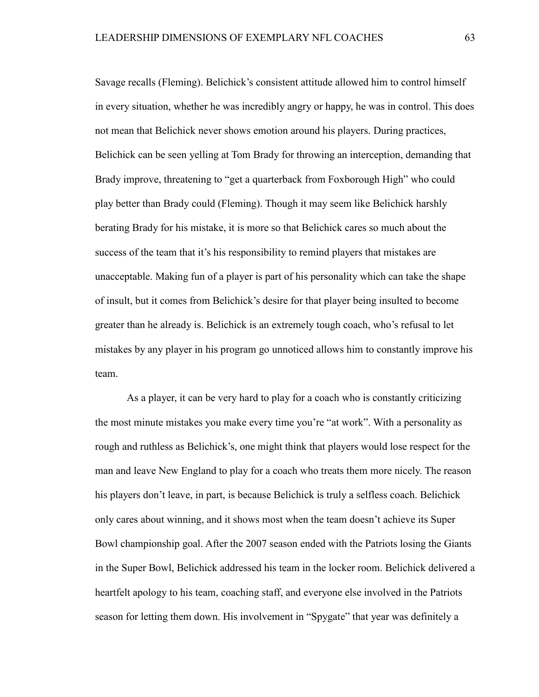Savage recalls (Fleming). Belichick's consistent attitude allowed him to control himself in every situation, whether he was incredibly angry or happy, he was in control. This does not mean that Belichick never shows emotion around his players. During practices, Belichick can be seen yelling at Tom Brady for throwing an interception, demanding that Brady improve, threatening to "get a quarterback from Foxborough High" who could play better than Brady could (Fleming). Though it may seem like Belichick harshly berating Brady for his mistake, it is more so that Belichick cares so much about the success of the team that it's his responsibility to remind players that mistakes are unacceptable. Making fun of a player is part of his personality which can take the shape of insult, but it comes from Belichick's desire for that player being insulted to become greater than he already is. Belichick is an extremely tough coach, who's refusal to let mistakes by any player in his program go unnoticed allows him to constantly improve his team.

As a player, it can be very hard to play for a coach who is constantly criticizing the most minute mistakes you make every time you're "at work". With a personality as rough and ruthless as Belichick's, one might think that players would lose respect for the man and leave New England to play for a coach who treats them more nicely. The reason his players don't leave, in part, is because Belichick is truly a selfless coach. Belichick only cares about winning, and it shows most when the team doesn't achieve its Super Bowl championship goal. After the 2007 season ended with the Patriots losing the Giants in the Super Bowl, Belichick addressed his team in the locker room. Belichick delivered a heartfelt apology to his team, coaching staff, and everyone else involved in the Patriots season for letting them down. His involvement in "Spygate" that year was definitely a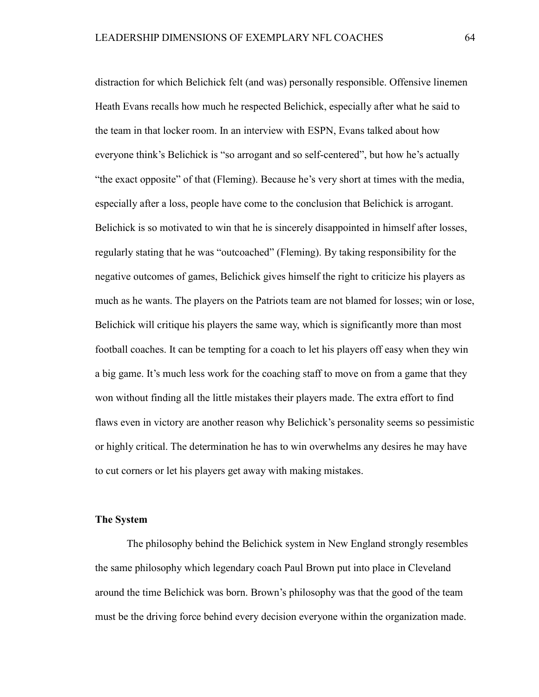distraction for which Belichick felt (and was) personally responsible. Offensive linemen Heath Evans recalls how much he respected Belichick, especially after what he said to the team in that locker room. In an interview with ESPN, Evans talked about how everyone think's Belichick is "so arrogant and so self-centered", but how he's actually "the exact opposite" of that (Fleming). Because he's very short at times with the media, especially after a loss, people have come to the conclusion that Belichick is arrogant. Belichick is so motivated to win that he is sincerely disappointed in himself after losses, regularly stating that he was "outcoached" (Fleming). By taking responsibility for the negative outcomes of games, Belichick gives himself the right to criticize his players as much as he wants. The players on the Patriots team are not blamed for losses; win or lose, Belichick will critique his players the same way, which is significantly more than most football coaches. It can be tempting for a coach to let his players off easy when they win a big game. It's much less work for the coaching staff to move on from a game that they won without finding all the little mistakes their players made. The extra effort to find flaws even in victory are another reason why Belichick's personality seems so pessimistic or highly critical. The determination he has to win overwhelms any desires he may have to cut corners or let his players get away with making mistakes.

## **The System**

The philosophy behind the Belichick system in New England strongly resembles the same philosophy which legendary coach Paul Brown put into place in Cleveland around the time Belichick was born. Brown's philosophy was that the good of the team must be the driving force behind every decision everyone within the organization made.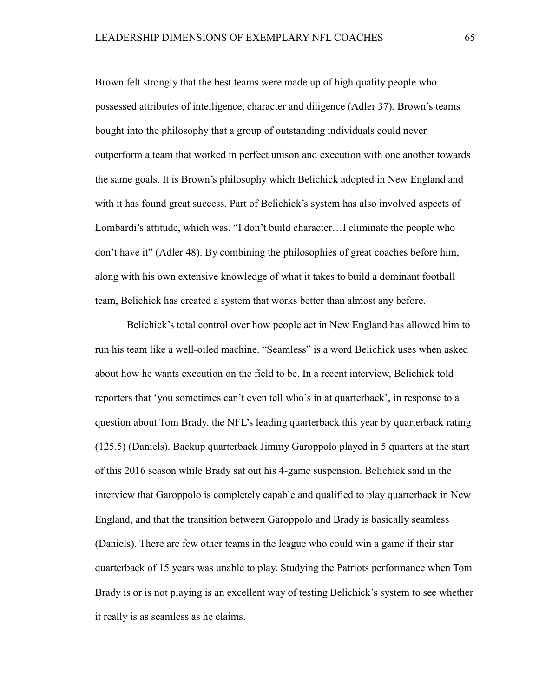Brown felt strongly that the best teams were made up of high quality people who possessed attributes of intelligence, character and diligence (Adler 37). Brown's teams bought into the philosophy that a group of outstanding individuals could never outperform a team that worked in perfect unison and execution with one another towards the same goals. It is Brown's philosophy which Belichick adopted in New England and with it has found great success. Part of Belichick's system has also involved aspects of Lombardi's attitude, which was, "I don't build character…I eliminate the people who don't have it" (Adler 48). By combining the philosophies of great coaches before him, along with his own extensive knowledge of what it takes to build a dominant football team, Belichick has created a system that works better than almost any before.

Belichick's total control over how people act in New England has allowed him to run his team like a well-oiled machine. "Seamless" is a word Belichick uses when asked about how he wants execution on the field to be. In a recent interview, Belichick told reporters that 'you sometimes can't even tell who's in at quarterback', in response to a question about Tom Brady, the NFL's leading quarterback this year by quarterback rating (125.5) (Daniels). Backup quarterback Jimmy Garoppolo played in 5 quarters at the start of this 2016 season while Brady sat out his 4-game suspension. Belichick said in the interview that Garoppolo is completely capable and qualified to play quarterback in New England, and that the transition between Garoppolo and Brady is basically seamless (Daniels). There are few other teams in the league who could win a game if their star quarterback of 15 years was unable to play. Studying the Patriots performance when Tom Brady is or is not playing is an excellent way of testing Belichick's system to see whether it really is as seamless as he claims.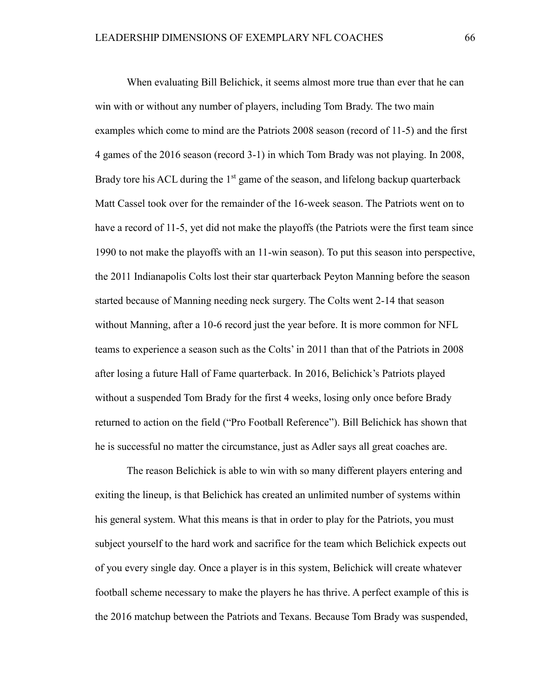When evaluating Bill Belichick, it seems almost more true than ever that he can win with or without any number of players, including Tom Brady. The two main examples which come to mind are the Patriots 2008 season (record of 11-5) and the first 4 games of the 2016 season (record 3-1) in which Tom Brady was not playing. In 2008, Brady tore his ACL during the  $1<sup>st</sup>$  game of the season, and lifelong backup quarterback Matt Cassel took over for the remainder of the 16-week season. The Patriots went on to have a record of 11-5, yet did not make the playoffs (the Patriots were the first team since 1990 to not make the playoffs with an 11-win season). To put this season into perspective, the 2011 Indianapolis Colts lost their star quarterback Peyton Manning before the season started because of Manning needing neck surgery. The Colts went 2-14 that season without Manning, after a 10-6 record just the year before. It is more common for NFL teams to experience a season such as the Colts' in 2011 than that of the Patriots in 2008 after losing a future Hall of Fame quarterback. In 2016, Belichick's Patriots played without a suspended Tom Brady for the first 4 weeks, losing only once before Brady returned to action on the field ("Pro Football Reference"). Bill Belichick has shown that he is successful no matter the circumstance, just as Adler says all great coaches are.

The reason Belichick is able to win with so many different players entering and exiting the lineup, is that Belichick has created an unlimited number of systems within his general system. What this means is that in order to play for the Patriots, you must subject yourself to the hard work and sacrifice for the team which Belichick expects out of you every single day. Once a player is in this system, Belichick will create whatever football scheme necessary to make the players he has thrive. A perfect example of this is the 2016 matchup between the Patriots and Texans. Because Tom Brady was suspended,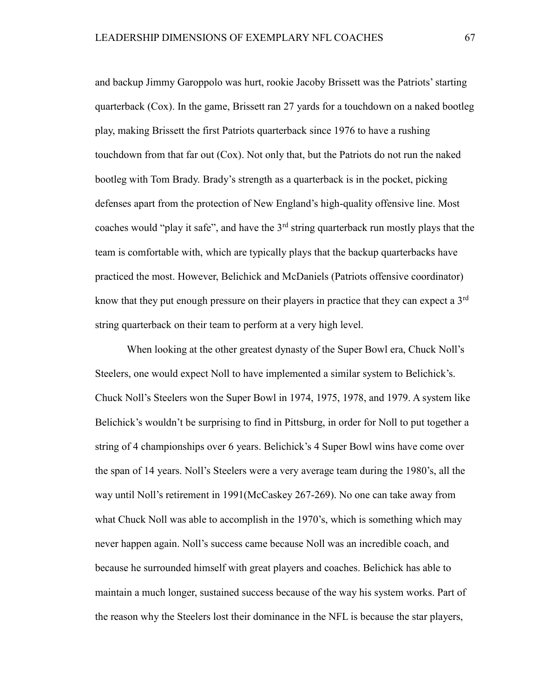and backup Jimmy Garoppolo was hurt, rookie Jacoby Brissett was the Patriots' starting quarterback (Cox). In the game, Brissett ran 27 yards for a touchdown on a naked bootleg play, making Brissett the first Patriots quarterback since 1976 to have a rushing touchdown from that far out (Cox). Not only that, but the Patriots do not run the naked bootleg with Tom Brady. Brady's strength as a quarterback is in the pocket, picking defenses apart from the protection of New England's high-quality offensive line. Most coaches would "play it safe", and have the 3<sup>rd</sup> string quarterback run mostly plays that the team is comfortable with, which are typically plays that the backup quarterbacks have practiced the most. However, Belichick and McDaniels (Patriots offensive coordinator) know that they put enough pressure on their players in practice that they can expect a 3<sup>rd</sup> string quarterback on their team to perform at a very high level.

When looking at the other greatest dynasty of the Super Bowl era, Chuck Noll's Steelers, one would expect Noll to have implemented a similar system to Belichick's. Chuck Noll's Steelers won the Super Bowl in 1974, 1975, 1978, and 1979. A system like Belichick's wouldn't be surprising to find in Pittsburg, in order for Noll to put together a string of 4 championships over 6 years. Belichick's 4 Super Bowl wins have come over the span of 14 years. Noll's Steelers were a very average team during the 1980's, all the way until Noll's retirement in 1991(McCaskey 267-269). No one can take away from what Chuck Noll was able to accomplish in the 1970's, which is something which may never happen again. Noll's success came because Noll was an incredible coach, and because he surrounded himself with great players and coaches. Belichick has able to maintain a much longer, sustained success because of the way his system works. Part of the reason why the Steelers lost their dominance in the NFL is because the star players,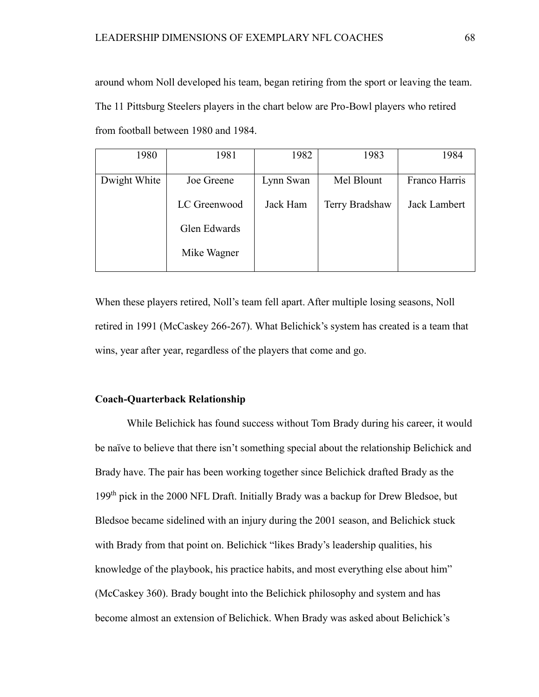around whom Noll developed his team, began retiring from the sport or leaving the team. The 11 Pittsburg Steelers players in the chart below are Pro-Bowl players who retired from football between 1980 and 1984.

| 1980         | 1981         | 1982      | 1983           | 1984          |
|--------------|--------------|-----------|----------------|---------------|
|              |              |           |                |               |
| Dwight White | Joe Greene   | Lynn Swan | Mel Blount     | Franco Harris |
|              |              |           |                |               |
|              | LC Greenwood | Jack Ham  | Terry Bradshaw | Jack Lambert  |
|              |              |           |                |               |
|              | Glen Edwards |           |                |               |
|              |              |           |                |               |
|              | Mike Wagner  |           |                |               |
|              |              |           |                |               |

When these players retired, Noll's team fell apart. After multiple losing seasons, Noll retired in 1991 (McCaskey 266-267). What Belichick's system has created is a team that wins, year after year, regardless of the players that come and go.

### **Coach-Quarterback Relationship**

While Belichick has found success without Tom Brady during his career, it would be naïve to believe that there isn't something special about the relationship Belichick and Brady have. The pair has been working together since Belichick drafted Brady as the 199th pick in the 2000 NFL Draft. Initially Brady was a backup for Drew Bledsoe, but Bledsoe became sidelined with an injury during the 2001 season, and Belichick stuck with Brady from that point on. Belichick "likes Brady's leadership qualities, his knowledge of the playbook, his practice habits, and most everything else about him" (McCaskey 360). Brady bought into the Belichick philosophy and system and has become almost an extension of Belichick. When Brady was asked about Belichick's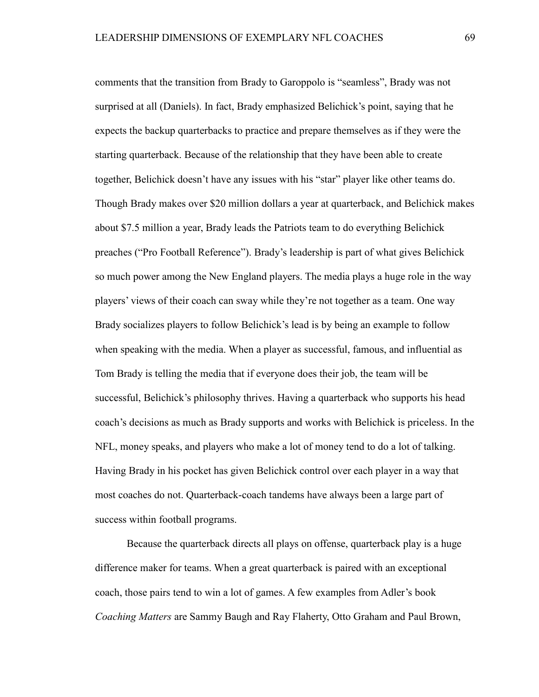comments that the transition from Brady to Garoppolo is "seamless", Brady was not surprised at all (Daniels). In fact, Brady emphasized Belichick's point, saying that he expects the backup quarterbacks to practice and prepare themselves as if they were the starting quarterback. Because of the relationship that they have been able to create together, Belichick doesn't have any issues with his "star" player like other teams do. Though Brady makes over \$20 million dollars a year at quarterback, and Belichick makes about \$7.5 million a year, Brady leads the Patriots team to do everything Belichick preaches ("Pro Football Reference"). Brady's leadership is part of what gives Belichick so much power among the New England players. The media plays a huge role in the way players' views of their coach can sway while they're not together as a team. One way Brady socializes players to follow Belichick's lead is by being an example to follow when speaking with the media. When a player as successful, famous, and influential as Tom Brady is telling the media that if everyone does their job, the team will be successful, Belichick's philosophy thrives. Having a quarterback who supports his head coach's decisions as much as Brady supports and works with Belichick is priceless. In the NFL, money speaks, and players who make a lot of money tend to do a lot of talking. Having Brady in his pocket has given Belichick control over each player in a way that most coaches do not. Quarterback-coach tandems have always been a large part of success within football programs.

Because the quarterback directs all plays on offense, quarterback play is a huge difference maker for teams. When a great quarterback is paired with an exceptional coach, those pairs tend to win a lot of games. A few examples from Adler's book *Coaching Matters* are Sammy Baugh and Ray Flaherty, Otto Graham and Paul Brown,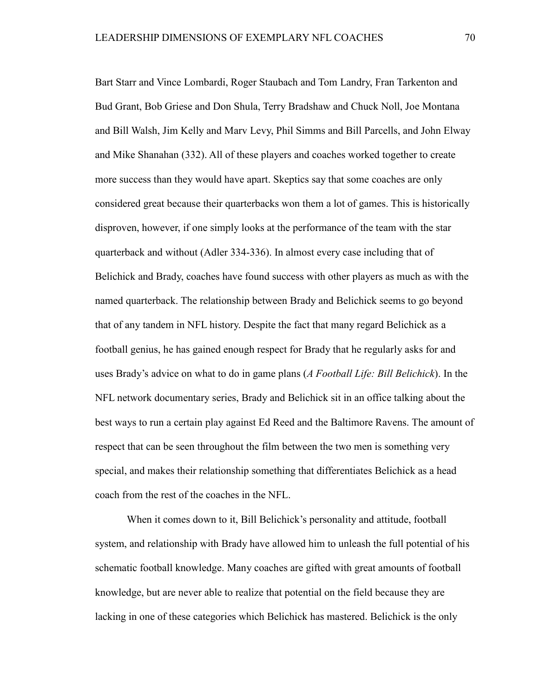Bart Starr and Vince Lombardi, Roger Staubach and Tom Landry, Fran Tarkenton and Bud Grant, Bob Griese and Don Shula, Terry Bradshaw and Chuck Noll, Joe Montana and Bill Walsh, Jim Kelly and Marv Levy, Phil Simms and Bill Parcells, and John Elway and Mike Shanahan (332). All of these players and coaches worked together to create more success than they would have apart. Skeptics say that some coaches are only considered great because their quarterbacks won them a lot of games. This is historically disproven, however, if one simply looks at the performance of the team with the star quarterback and without (Adler 334-336). In almost every case including that of Belichick and Brady, coaches have found success with other players as much as with the named quarterback. The relationship between Brady and Belichick seems to go beyond that of any tandem in NFL history. Despite the fact that many regard Belichick as a football genius, he has gained enough respect for Brady that he regularly asks for and uses Brady's advice on what to do in game plans (*A Football Life: Bill Belichick*). In the NFL network documentary series, Brady and Belichick sit in an office talking about the best ways to run a certain play against Ed Reed and the Baltimore Ravens. The amount of respect that can be seen throughout the film between the two men is something very special, and makes their relationship something that differentiates Belichick as a head coach from the rest of the coaches in the NFL.

When it comes down to it, Bill Belichick's personality and attitude, football system, and relationship with Brady have allowed him to unleash the full potential of his schematic football knowledge. Many coaches are gifted with great amounts of football knowledge, but are never able to realize that potential on the field because they are lacking in one of these categories which Belichick has mastered. Belichick is the only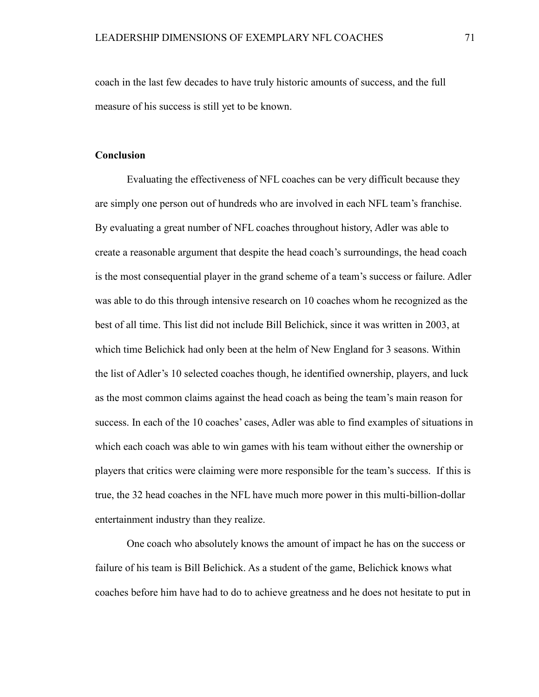coach in the last few decades to have truly historic amounts of success, and the full measure of his success is still yet to be known.

# **Conclusion**

Evaluating the effectiveness of NFL coaches can be very difficult because they are simply one person out of hundreds who are involved in each NFL team's franchise. By evaluating a great number of NFL coaches throughout history, Adler was able to create a reasonable argument that despite the head coach's surroundings, the head coach is the most consequential player in the grand scheme of a team's success or failure. Adler was able to do this through intensive research on 10 coaches whom he recognized as the best of all time. This list did not include Bill Belichick, since it was written in 2003, at which time Belichick had only been at the helm of New England for 3 seasons. Within the list of Adler's 10 selected coaches though, he identified ownership, players, and luck as the most common claims against the head coach as being the team's main reason for success. In each of the 10 coaches' cases, Adler was able to find examples of situations in which each coach was able to win games with his team without either the ownership or players that critics were claiming were more responsible for the team's success. If this is true, the 32 head coaches in the NFL have much more power in this multi-billion-dollar entertainment industry than they realize.

One coach who absolutely knows the amount of impact he has on the success or failure of his team is Bill Belichick. As a student of the game, Belichick knows what coaches before him have had to do to achieve greatness and he does not hesitate to put in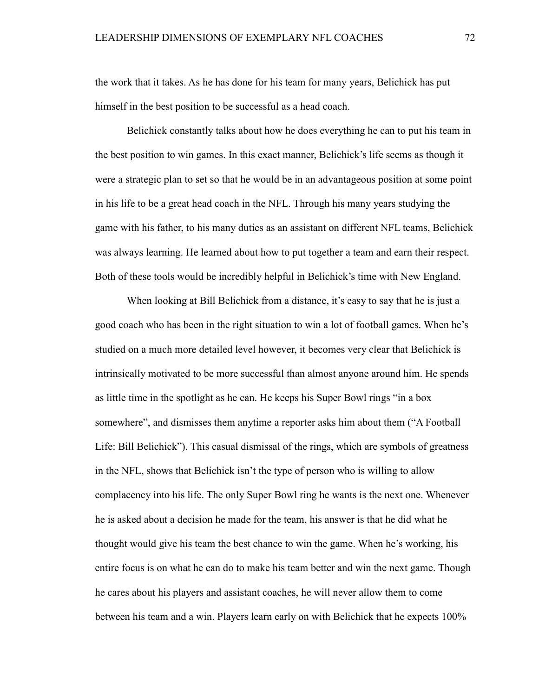the work that it takes. As he has done for his team for many years, Belichick has put himself in the best position to be successful as a head coach.

Belichick constantly talks about how he does everything he can to put his team in the best position to win games. In this exact manner, Belichick's life seems as though it were a strategic plan to set so that he would be in an advantageous position at some point in his life to be a great head coach in the NFL. Through his many years studying the game with his father, to his many duties as an assistant on different NFL teams, Belichick was always learning. He learned about how to put together a team and earn their respect. Both of these tools would be incredibly helpful in Belichick's time with New England.

When looking at Bill Belichick from a distance, it's easy to say that he is just a good coach who has been in the right situation to win a lot of football games. When he's studied on a much more detailed level however, it becomes very clear that Belichick is intrinsically motivated to be more successful than almost anyone around him. He spends as little time in the spotlight as he can. He keeps his Super Bowl rings "in a box somewhere", and dismisses them anytime a reporter asks him about them ("A Football Life: Bill Belichick"). This casual dismissal of the rings, which are symbols of greatness in the NFL, shows that Belichick isn't the type of person who is willing to allow complacency into his life. The only Super Bowl ring he wants is the next one. Whenever he is asked about a decision he made for the team, his answer is that he did what he thought would give his team the best chance to win the game. When he's working, his entire focus is on what he can do to make his team better and win the next game. Though he cares about his players and assistant coaches, he will never allow them to come between his team and a win. Players learn early on with Belichick that he expects 100%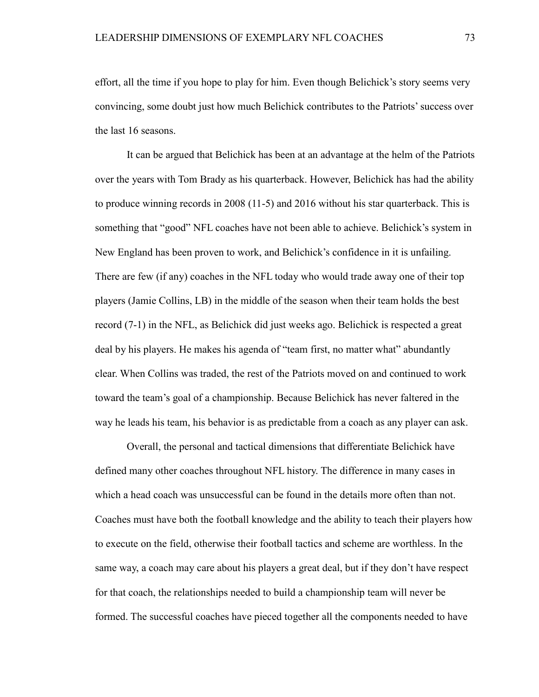effort, all the time if you hope to play for him. Even though Belichick's story seems very convincing, some doubt just how much Belichick contributes to the Patriots' success over the last 16 seasons.

It can be argued that Belichick has been at an advantage at the helm of the Patriots over the years with Tom Brady as his quarterback. However, Belichick has had the ability to produce winning records in 2008 (11-5) and 2016 without his star quarterback. This is something that "good" NFL coaches have not been able to achieve. Belichick's system in New England has been proven to work, and Belichick's confidence in it is unfailing. There are few (if any) coaches in the NFL today who would trade away one of their top players (Jamie Collins, LB) in the middle of the season when their team holds the best record (7-1) in the NFL, as Belichick did just weeks ago. Belichick is respected a great deal by his players. He makes his agenda of "team first, no matter what" abundantly clear. When Collins was traded, the rest of the Patriots moved on and continued to work toward the team's goal of a championship. Because Belichick has never faltered in the way he leads his team, his behavior is as predictable from a coach as any player can ask.

Overall, the personal and tactical dimensions that differentiate Belichick have defined many other coaches throughout NFL history. The difference in many cases in which a head coach was unsuccessful can be found in the details more often than not. Coaches must have both the football knowledge and the ability to teach their players how to execute on the field, otherwise their football tactics and scheme are worthless. In the same way, a coach may care about his players a great deal, but if they don't have respect for that coach, the relationships needed to build a championship team will never be formed. The successful coaches have pieced together all the components needed to have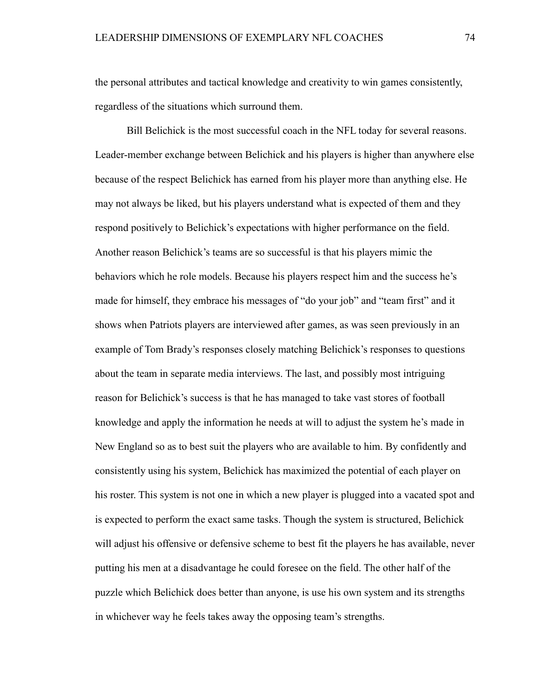the personal attributes and tactical knowledge and creativity to win games consistently, regardless of the situations which surround them.

Bill Belichick is the most successful coach in the NFL today for several reasons. Leader-member exchange between Belichick and his players is higher than anywhere else because of the respect Belichick has earned from his player more than anything else. He may not always be liked, but his players understand what is expected of them and they respond positively to Belichick's expectations with higher performance on the field. Another reason Belichick's teams are so successful is that his players mimic the behaviors which he role models. Because his players respect him and the success he's made for himself, they embrace his messages of "do your job" and "team first" and it shows when Patriots players are interviewed after games, as was seen previously in an example of Tom Brady's responses closely matching Belichick's responses to questions about the team in separate media interviews. The last, and possibly most intriguing reason for Belichick's success is that he has managed to take vast stores of football knowledge and apply the information he needs at will to adjust the system he's made in New England so as to best suit the players who are available to him. By confidently and consistently using his system, Belichick has maximized the potential of each player on his roster. This system is not one in which a new player is plugged into a vacated spot and is expected to perform the exact same tasks. Though the system is structured, Belichick will adjust his offensive or defensive scheme to best fit the players he has available, never putting his men at a disadvantage he could foresee on the field. The other half of the puzzle which Belichick does better than anyone, is use his own system and its strengths in whichever way he feels takes away the opposing team's strengths.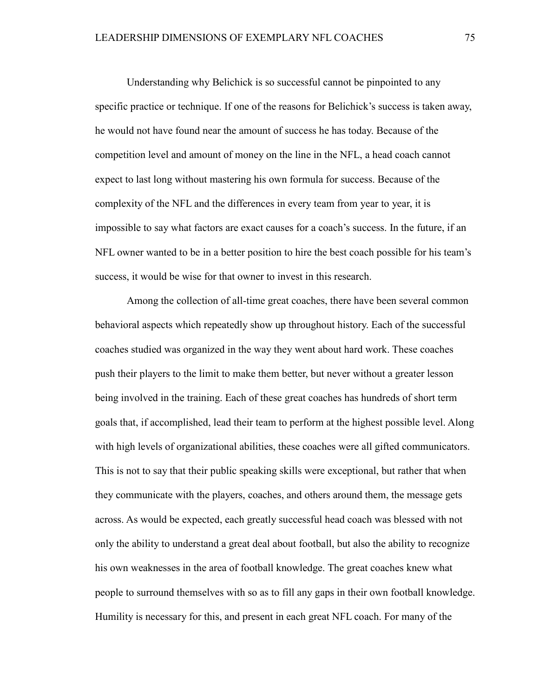Understanding why Belichick is so successful cannot be pinpointed to any specific practice or technique. If one of the reasons for Belichick's success is taken away, he would not have found near the amount of success he has today. Because of the competition level and amount of money on the line in the NFL, a head coach cannot expect to last long without mastering his own formula for success. Because of the complexity of the NFL and the differences in every team from year to year, it is impossible to say what factors are exact causes for a coach's success. In the future, if an NFL owner wanted to be in a better position to hire the best coach possible for his team's success, it would be wise for that owner to invest in this research.

Among the collection of all-time great coaches, there have been several common behavioral aspects which repeatedly show up throughout history. Each of the successful coaches studied was organized in the way they went about hard work. These coaches push their players to the limit to make them better, but never without a greater lesson being involved in the training. Each of these great coaches has hundreds of short term goals that, if accomplished, lead their team to perform at the highest possible level. Along with high levels of organizational abilities, these coaches were all gifted communicators. This is not to say that their public speaking skills were exceptional, but rather that when they communicate with the players, coaches, and others around them, the message gets across. As would be expected, each greatly successful head coach was blessed with not only the ability to understand a great deal about football, but also the ability to recognize his own weaknesses in the area of football knowledge. The great coaches knew what people to surround themselves with so as to fill any gaps in their own football knowledge. Humility is necessary for this, and present in each great NFL coach. For many of the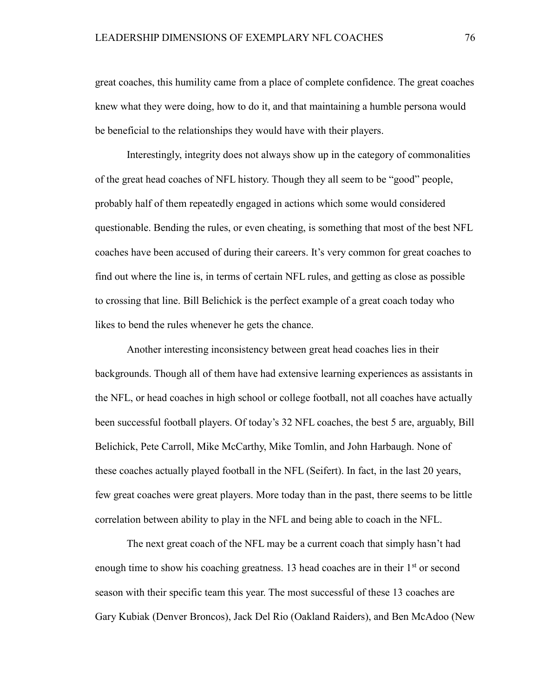great coaches, this humility came from a place of complete confidence. The great coaches knew what they were doing, how to do it, and that maintaining a humble persona would be beneficial to the relationships they would have with their players.

Interestingly, integrity does not always show up in the category of commonalities of the great head coaches of NFL history. Though they all seem to be "good" people, probably half of them repeatedly engaged in actions which some would considered questionable. Bending the rules, or even cheating, is something that most of the best NFL coaches have been accused of during their careers. It's very common for great coaches to find out where the line is, in terms of certain NFL rules, and getting as close as possible to crossing that line. Bill Belichick is the perfect example of a great coach today who likes to bend the rules whenever he gets the chance.

Another interesting inconsistency between great head coaches lies in their backgrounds. Though all of them have had extensive learning experiences as assistants in the NFL, or head coaches in high school or college football, not all coaches have actually been successful football players. Of today's 32 NFL coaches, the best 5 are, arguably, Bill Belichick, Pete Carroll, Mike McCarthy, Mike Tomlin, and John Harbaugh. None of these coaches actually played football in the NFL (Seifert). In fact, in the last 20 years, few great coaches were great players. More today than in the past, there seems to be little correlation between ability to play in the NFL and being able to coach in the NFL.

The next great coach of the NFL may be a current coach that simply hasn't had enough time to show his coaching greatness. 13 head coaches are in their  $1<sup>st</sup>$  or second season with their specific team this year. The most successful of these 13 coaches are Gary Kubiak (Denver Broncos), Jack Del Rio (Oakland Raiders), and Ben McAdoo (New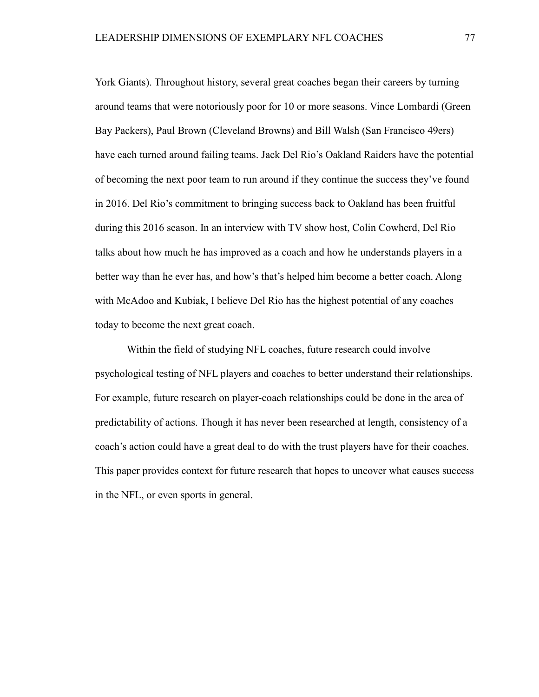York Giants). Throughout history, several great coaches began their careers by turning around teams that were notoriously poor for 10 or more seasons. Vince Lombardi (Green Bay Packers), Paul Brown (Cleveland Browns) and Bill Walsh (San Francisco 49ers) have each turned around failing teams. Jack Del Rio's Oakland Raiders have the potential of becoming the next poor team to run around if they continue the success they've found in 2016. Del Rio's commitment to bringing success back to Oakland has been fruitful during this 2016 season. In an interview with TV show host, Colin Cowherd, Del Rio talks about how much he has improved as a coach and how he understands players in a better way than he ever has, and how's that's helped him become a better coach. Along with McAdoo and Kubiak, I believe Del Rio has the highest potential of any coaches today to become the next great coach.

Within the field of studying NFL coaches, future research could involve psychological testing of NFL players and coaches to better understand their relationships. For example, future research on player-coach relationships could be done in the area of predictability of actions. Though it has never been researched at length, consistency of a coach's action could have a great deal to do with the trust players have for their coaches. This paper provides context for future research that hopes to uncover what causes success in the NFL, or even sports in general.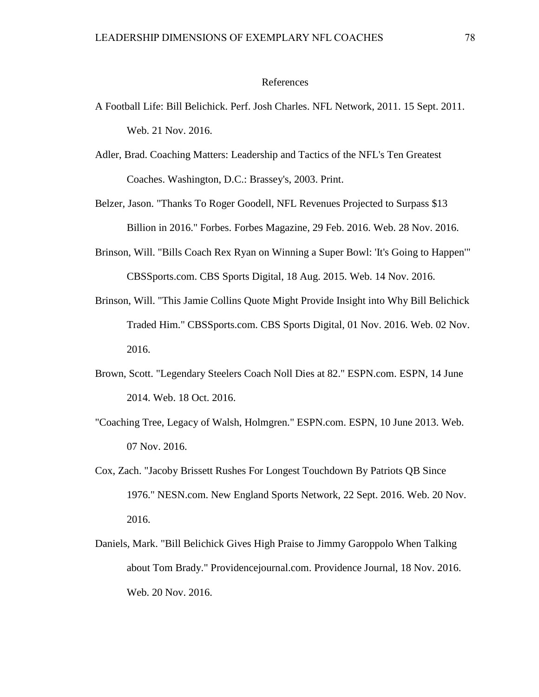# References

- A Football Life: Bill Belichick. Perf. Josh Charles. NFL Network, 2011. 15 Sept. 2011. Web. 21 Nov. 2016.
- Adler, Brad. Coaching Matters: Leadership and Tactics of the NFL's Ten Greatest Coaches. Washington, D.C.: Brassey's, 2003. Print.
- Belzer, Jason. "Thanks To Roger Goodell, NFL Revenues Projected to Surpass \$13 Billion in 2016." Forbes. Forbes Magazine, 29 Feb. 2016. Web. 28 Nov. 2016.
- Brinson, Will. "Bills Coach Rex Ryan on Winning a Super Bowl: 'It's Going to Happen'" CBSSports.com. CBS Sports Digital, 18 Aug. 2015. Web. 14 Nov. 2016.
- Brinson, Will. "This Jamie Collins Quote Might Provide Insight into Why Bill Belichick Traded Him." CBSSports.com. CBS Sports Digital, 01 Nov. 2016. Web. 02 Nov. 2016.
- Brown, Scott. "Legendary Steelers Coach Noll Dies at 82." ESPN.com. ESPN, 14 June 2014. Web. 18 Oct. 2016.
- "Coaching Tree, Legacy of Walsh, Holmgren." ESPN.com. ESPN, 10 June 2013. Web. 07 Nov. 2016.
- Cox, Zach. "Jacoby Brissett Rushes For Longest Touchdown By Patriots QB Since 1976." NESN.com. New England Sports Network, 22 Sept. 2016. Web. 20 Nov. 2016.
- Daniels, Mark. "Bill Belichick Gives High Praise to Jimmy Garoppolo When Talking about Tom Brady." Providencejournal.com. Providence Journal, 18 Nov. 2016. Web. 20 Nov. 2016.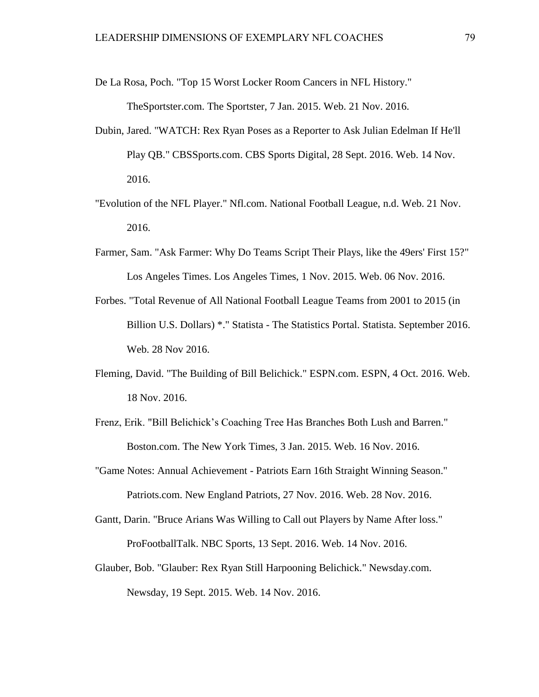De La Rosa, Poch. "Top 15 Worst Locker Room Cancers in NFL History."

TheSportster.com. The Sportster, 7 Jan. 2015. Web. 21 Nov. 2016.

- Dubin, Jared. "WATCH: Rex Ryan Poses as a Reporter to Ask Julian Edelman If He'll Play QB." CBSSports.com. CBS Sports Digital, 28 Sept. 2016. Web. 14 Nov. 2016.
- "Evolution of the NFL Player." Nfl.com. National Football League, n.d. Web. 21 Nov. 2016.
- Farmer, Sam. "Ask Farmer: Why Do Teams Script Their Plays, like the 49ers' First 15?" Los Angeles Times. Los Angeles Times, 1 Nov. 2015. Web. 06 Nov. 2016.
- Forbes. "Total Revenue of All National Football League Teams from 2001 to 2015 (in Billion U.S. Dollars) \*." Statista - The Statistics Portal. Statista. September 2016. Web. 28 Nov 2016.
- Fleming, David. "The Building of Bill Belichick." ESPN.com. ESPN, 4 Oct. 2016. Web. 18 Nov. 2016.
- Frenz, Erik. "Bill Belichick's Coaching Tree Has Branches Both Lush and Barren." Boston.com. The New York Times, 3 Jan. 2015. Web. 16 Nov. 2016.
- "Game Notes: Annual Achievement Patriots Earn 16th Straight Winning Season." Patriots.com. New England Patriots, 27 Nov. 2016. Web. 28 Nov. 2016.
- Gantt, Darin. "Bruce Arians Was Willing to Call out Players by Name After loss." ProFootballTalk. NBC Sports, 13 Sept. 2016. Web. 14 Nov. 2016.
- Glauber, Bob. "Glauber: Rex Ryan Still Harpooning Belichick." Newsday.com. Newsday, 19 Sept. 2015. Web. 14 Nov. 2016.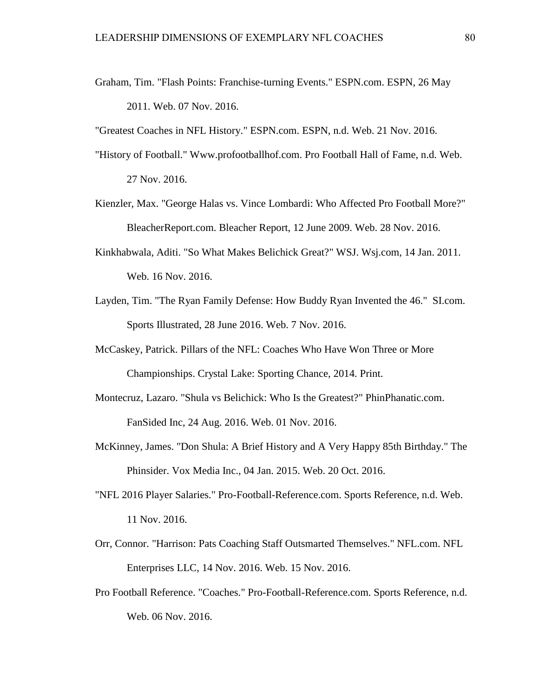Graham, Tim. "Flash Points: Franchise-turning Events." ESPN.com. ESPN, 26 May 2011. Web. 07 Nov. 2016.

"Greatest Coaches in NFL History." ESPN.com. ESPN, n.d. Web. 21 Nov. 2016.

- "History of Football." Www.profootballhof.com. Pro Football Hall of Fame, n.d. Web. 27 Nov. 2016.
- Kienzler, Max. "George Halas vs. Vince Lombardi: Who Affected Pro Football More?" BleacherReport.com. Bleacher Report, 12 June 2009. Web. 28 Nov. 2016.
- Kinkhabwala, Aditi. "So What Makes Belichick Great?" WSJ. Wsj.com, 14 Jan. 2011. Web. 16 Nov. 2016.
- Layden, Tim. "The Ryan Family Defense: How Buddy Ryan Invented the 46." SI.com. Sports Illustrated, 28 June 2016. Web. 7 Nov. 2016.
- McCaskey, Patrick. Pillars of the NFL: Coaches Who Have Won Three or More Championships. Crystal Lake: Sporting Chance, 2014. Print.
- Montecruz, Lazaro. "Shula vs Belichick: Who Is the Greatest?" PhinPhanatic.com. FanSided Inc, 24 Aug. 2016. Web. 01 Nov. 2016.
- McKinney, James. "Don Shula: A Brief History and A Very Happy 85th Birthday." The Phinsider. Vox Media Inc., 04 Jan. 2015. Web. 20 Oct. 2016.
- "NFL 2016 Player Salaries." Pro-Football-Reference.com. Sports Reference, n.d. Web. 11 Nov. 2016.
- Orr, Connor. "Harrison: Pats Coaching Staff Outsmarted Themselves." NFL.com. NFL Enterprises LLC, 14 Nov. 2016. Web. 15 Nov. 2016.
- Pro Football Reference. "Coaches." Pro-Football-Reference.com. Sports Reference, n.d. Web. 06 Nov. 2016.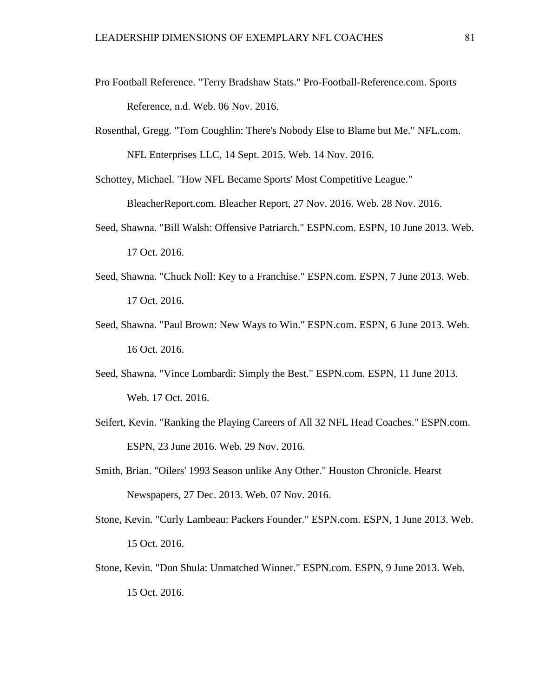- Pro Football Reference. "Terry Bradshaw Stats." Pro-Football-Reference.com. Sports Reference, n.d. Web. 06 Nov. 2016.
- Rosenthal, Gregg. "Tom Coughlin: There's Nobody Else to Blame but Me." NFL.com. NFL Enterprises LLC, 14 Sept. 2015. Web. 14 Nov. 2016.

Schottey, Michael. "How NFL Became Sports' Most Competitive League."

BleacherReport.com. Bleacher Report, 27 Nov. 2016. Web. 28 Nov. 2016.

- Seed, Shawna. "Bill Walsh: Offensive Patriarch." ESPN.com. ESPN, 10 June 2013. Web. 17 Oct. 2016.
- Seed, Shawna. "Chuck Noll: Key to a Franchise." ESPN.com. ESPN, 7 June 2013. Web. 17 Oct. 2016.
- Seed, Shawna. "Paul Brown: New Ways to Win." ESPN.com. ESPN, 6 June 2013. Web. 16 Oct. 2016.
- Seed, Shawna. "Vince Lombardi: Simply the Best." ESPN.com. ESPN, 11 June 2013. Web. 17 Oct. 2016.
- Seifert, Kevin. "Ranking the Playing Careers of All 32 NFL Head Coaches." ESPN.com. ESPN, 23 June 2016. Web. 29 Nov. 2016.
- Smith, Brian. "Oilers' 1993 Season unlike Any Other." Houston Chronicle. Hearst Newspapers, 27 Dec. 2013. Web. 07 Nov. 2016.
- Stone, Kevin. "Curly Lambeau: Packers Founder." ESPN.com. ESPN, 1 June 2013. Web. 15 Oct. 2016.
- Stone, Kevin. "Don Shula: Unmatched Winner." ESPN.com. ESPN, 9 June 2013. Web. 15 Oct. 2016.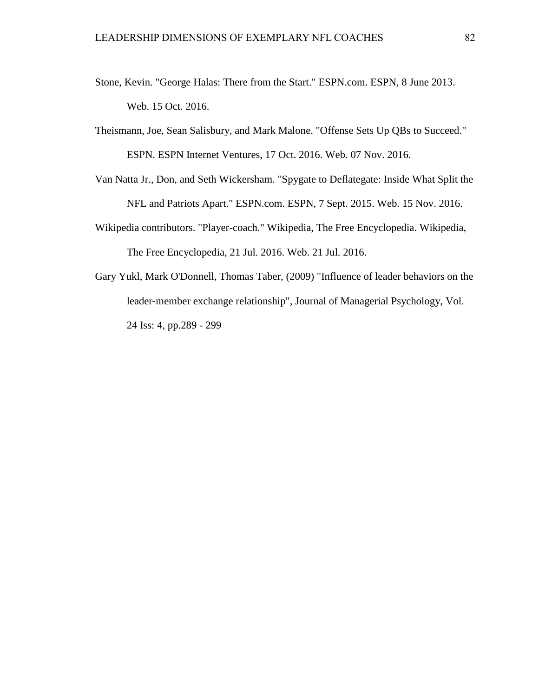- Stone, Kevin. "George Halas: There from the Start." ESPN.com. ESPN, 8 June 2013. Web. 15 Oct. 2016.
- Theismann, Joe, Sean Salisbury, and Mark Malone. "Offense Sets Up QBs to Succeed." ESPN. ESPN Internet Ventures, 17 Oct. 2016. Web. 07 Nov. 2016.
- Van Natta Jr., Don, and Seth Wickersham. "Spygate to Deflategate: Inside What Split the NFL and Patriots Apart." ESPN.com. ESPN, 7 Sept. 2015. Web. 15 Nov. 2016.
- Wikipedia contributors. "Player-coach." Wikipedia, The Free Encyclopedia. Wikipedia, The Free Encyclopedia, 21 Jul. 2016. Web. 21 Jul. 2016.
- Gary Yukl, Mark O'Donnell, Thomas Taber, (2009) "Influence of leader behaviors on the leader‐member exchange relationship", Journal of Managerial Psychology, Vol. 24 Iss: 4, pp.289 - 299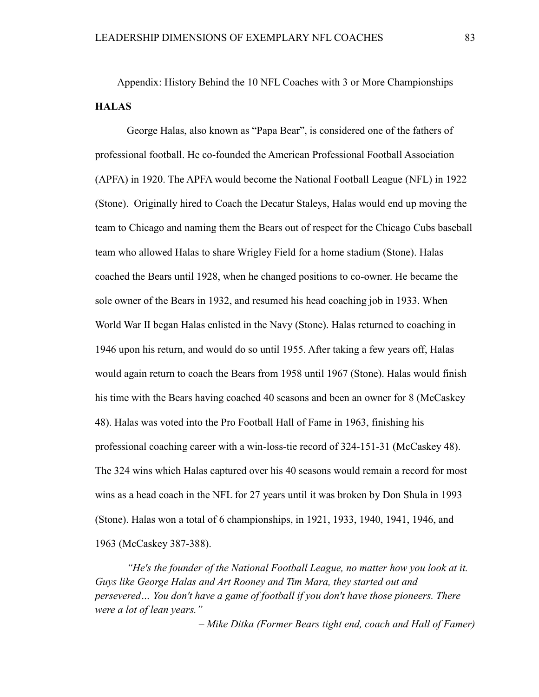Appendix: History Behind the 10 NFL Coaches with 3 or More Championships **HALAS**

George Halas, also known as "Papa Bear", is considered one of the fathers of professional football. He co-founded the American Professional Football Association (APFA) in 1920. The APFA would become the National Football League (NFL) in 1922 (Stone). Originally hired to Coach the Decatur Staleys, Halas would end up moving the team to Chicago and naming them the Bears out of respect for the Chicago Cubs baseball team who allowed Halas to share Wrigley Field for a home stadium (Stone). Halas coached the Bears until 1928, when he changed positions to co-owner. He became the sole owner of the Bears in 1932, and resumed his head coaching job in 1933. When World War II began Halas enlisted in the Navy (Stone). Halas returned to coaching in 1946 upon his return, and would do so until 1955. After taking a few years off, Halas would again return to coach the Bears from 1958 until 1967 (Stone). Halas would finish his time with the Bears having coached 40 seasons and been an owner for 8 (McCaskey 48). Halas was voted into the Pro Football Hall of Fame in 1963, finishing his professional coaching career with a win-loss-tie record of 324-151-31 (McCaskey 48). The 324 wins which Halas captured over his 40 seasons would remain a record for most wins as a head coach in the NFL for 27 years until it was broken by Don Shula in 1993 (Stone). Halas won a total of 6 championships, in 1921, 1933, 1940, 1941, 1946, and 1963 (McCaskey 387-388).

*"He's the founder of the National Football League, no matter how you look at it. Guys like George Halas and Art Rooney and Tim Mara, they started out and persevered… You don't have a game of football if you don't have those pioneers. There were a lot of lean years."*

*– Mike Ditka (Former Bears tight end, coach and Hall of Famer)*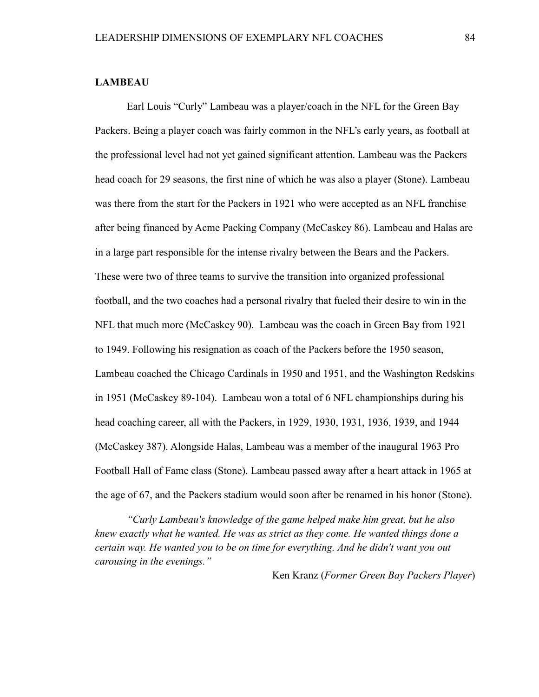# **LAMBEAU**

Earl Louis "Curly" Lambeau was a player/coach in the NFL for the Green Bay Packers. Being a player coach was fairly common in the NFL's early years, as football at the professional level had not yet gained significant attention. Lambeau was the Packers head coach for 29 seasons, the first nine of which he was also a player (Stone). Lambeau was there from the start for the Packers in 1921 who were accepted as an NFL franchise after being financed by Acme Packing Company (McCaskey 86). Lambeau and Halas are in a large part responsible for the intense rivalry between the Bears and the Packers. These were two of three teams to survive the transition into organized professional football, and the two coaches had a personal rivalry that fueled their desire to win in the NFL that much more (McCaskey 90). Lambeau was the coach in Green Bay from 1921 to 1949. Following his resignation as coach of the Packers before the 1950 season, Lambeau coached the Chicago Cardinals in 1950 and 1951, and the Washington Redskins in 1951 (McCaskey 89-104). Lambeau won a total of 6 NFL championships during his head coaching career, all with the Packers, in 1929, 1930, 1931, 1936, 1939, and 1944 (McCaskey 387). Alongside Halas, Lambeau was a member of the inaugural 1963 Pro Football Hall of Fame class (Stone). Lambeau passed away after a heart attack in 1965 at the age of 67, and the Packers stadium would soon after be renamed in his honor (Stone).

*"Curly Lambeau's knowledge of the game helped make him great, but he also knew exactly what he wanted. He was as strict as they come. He wanted things done a certain way. He wanted you to be on time for everything. And he didn't want you out carousing in the evenings."*

Ken Kranz (*Former Green Bay Packers Player*)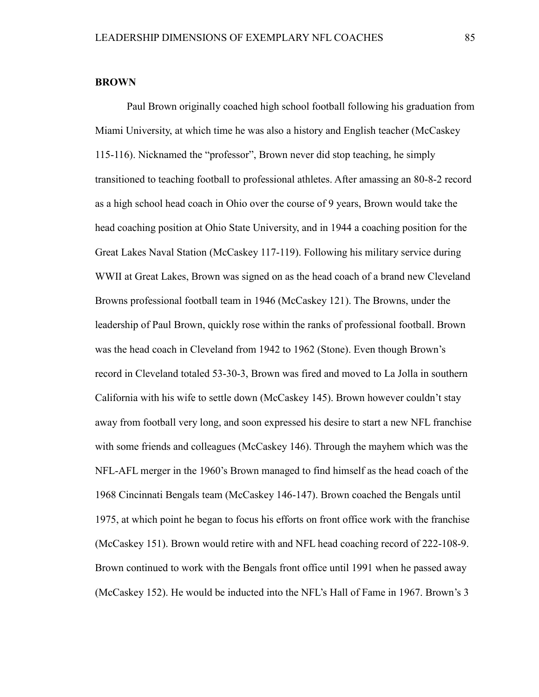# **BROWN**

Paul Brown originally coached high school football following his graduation from Miami University, at which time he was also a history and English teacher (McCaskey 115-116). Nicknamed the "professor", Brown never did stop teaching, he simply transitioned to teaching football to professional athletes. After amassing an 80-8-2 record as a high school head coach in Ohio over the course of 9 years, Brown would take the head coaching position at Ohio State University, and in 1944 a coaching position for the Great Lakes Naval Station (McCaskey 117-119). Following his military service during WWII at Great Lakes, Brown was signed on as the head coach of a brand new Cleveland Browns professional football team in 1946 (McCaskey 121). The Browns, under the leadership of Paul Brown, quickly rose within the ranks of professional football. Brown was the head coach in Cleveland from 1942 to 1962 (Stone). Even though Brown's record in Cleveland totaled 53-30-3, Brown was fired and moved to La Jolla in southern California with his wife to settle down (McCaskey 145). Brown however couldn't stay away from football very long, and soon expressed his desire to start a new NFL franchise with some friends and colleagues (McCaskey 146). Through the mayhem which was the NFL-AFL merger in the 1960's Brown managed to find himself as the head coach of the 1968 Cincinnati Bengals team (McCaskey 146-147). Brown coached the Bengals until 1975, at which point he began to focus his efforts on front office work with the franchise (McCaskey 151). Brown would retire with and NFL head coaching record of 222-108-9. Brown continued to work with the Bengals front office until 1991 when he passed away (McCaskey 152). He would be inducted into the NFL's Hall of Fame in 1967. Brown's 3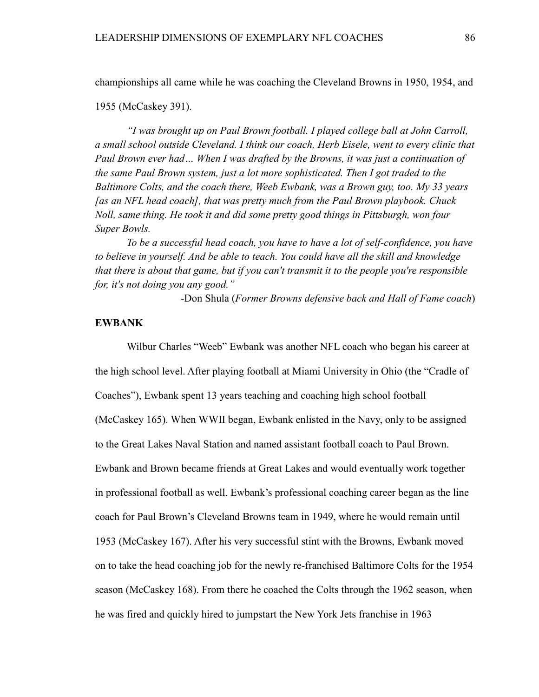championships all came while he was coaching the Cleveland Browns in 1950, 1954, and

1955 (McCaskey 391).

*"I was brought up on Paul Brown football. I played college ball at John Carroll, a small school outside Cleveland. I think our coach, Herb Eisele, went to every clinic that Paul Brown ever had… When I was drafted by the Browns, it was just a continuation of the same Paul Brown system, just a lot more sophisticated. Then I got traded to the Baltimore Colts, and the coach there, Weeb Ewbank, was a Brown guy, too. My 33 years [as an NFL head coach], that was pretty much from the Paul Brown playbook. Chuck Noll, same thing. He took it and did some pretty good things in Pittsburgh, won four Super Bowls.*

*To be a successful head coach, you have to have a lot of self-confidence, you have to believe in yourself. And be able to teach. You could have all the skill and knowledge that there is about that game, but if you can't transmit it to the people you're responsible for, it's not doing you any good."*

-Don Shula (*Former Browns defensive back and Hall of Fame coach*)

#### **EWBANK**

Wilbur Charles "Weeb" Ewbank was another NFL coach who began his career at the high school level. After playing football at Miami University in Ohio (the "Cradle of Coaches"), Ewbank spent 13 years teaching and coaching high school football (McCaskey 165). When WWII began, Ewbank enlisted in the Navy, only to be assigned to the Great Lakes Naval Station and named assistant football coach to Paul Brown. Ewbank and Brown became friends at Great Lakes and would eventually work together in professional football as well. Ewbank's professional coaching career began as the line coach for Paul Brown's Cleveland Browns team in 1949, where he would remain until 1953 (McCaskey 167). After his very successful stint with the Browns, Ewbank moved on to take the head coaching job for the newly re-franchised Baltimore Colts for the 1954 season (McCaskey 168). From there he coached the Colts through the 1962 season, when he was fired and quickly hired to jumpstart the New York Jets franchise in 1963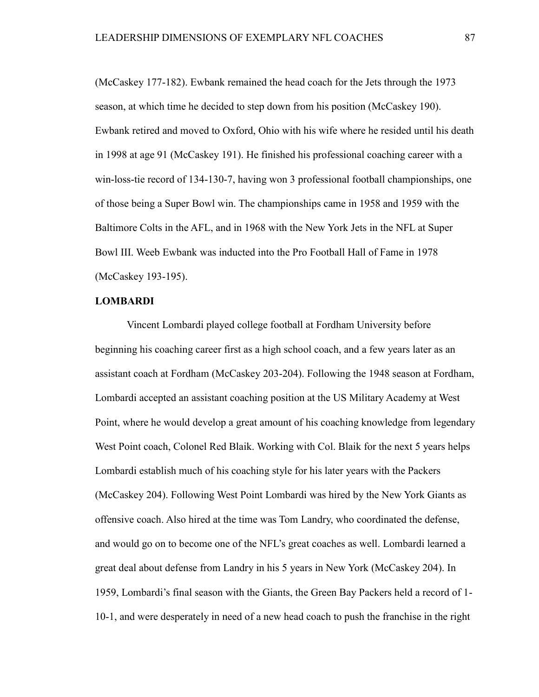(McCaskey 177-182). Ewbank remained the head coach for the Jets through the 1973 season, at which time he decided to step down from his position (McCaskey 190). Ewbank retired and moved to Oxford, Ohio with his wife where he resided until his death in 1998 at age 91 (McCaskey 191). He finished his professional coaching career with a win-loss-tie record of 134-130-7, having won 3 professional football championships, one of those being a Super Bowl win. The championships came in 1958 and 1959 with the Baltimore Colts in the AFL, and in 1968 with the New York Jets in the NFL at Super Bowl III. Weeb Ewbank was inducted into the Pro Football Hall of Fame in 1978 (McCaskey 193-195).

# **LOMBARDI**

Vincent Lombardi played college football at Fordham University before beginning his coaching career first as a high school coach, and a few years later as an assistant coach at Fordham (McCaskey 203-204). Following the 1948 season at Fordham, Lombardi accepted an assistant coaching position at the US Military Academy at West Point, where he would develop a great amount of his coaching knowledge from legendary West Point coach, Colonel Red Blaik. Working with Col. Blaik for the next 5 years helps Lombardi establish much of his coaching style for his later years with the Packers (McCaskey 204). Following West Point Lombardi was hired by the New York Giants as offensive coach. Also hired at the time was Tom Landry, who coordinated the defense, and would go on to become one of the NFL's great coaches as well. Lombardi learned a great deal about defense from Landry in his 5 years in New York (McCaskey 204). In 1959, Lombardi's final season with the Giants, the Green Bay Packers held a record of 1- 10-1, and were desperately in need of a new head coach to push the franchise in the right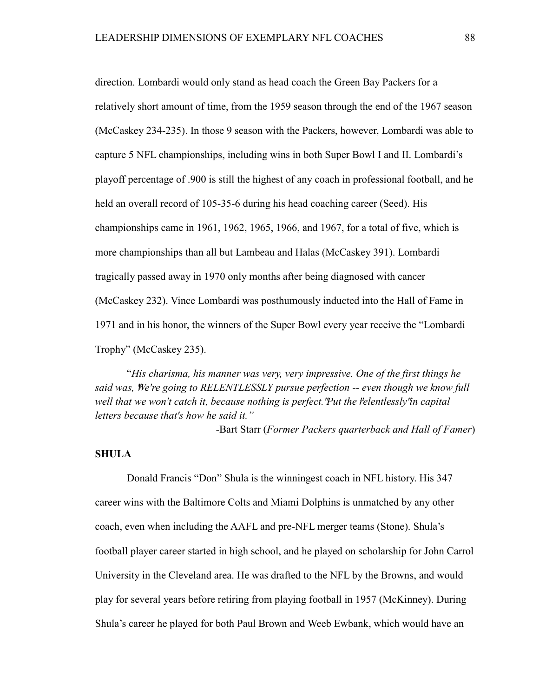direction. Lombardi would only stand as head coach the Green Bay Packers for a relatively short amount of time, from the 1959 season through the end of the 1967 season (McCaskey 234-235). In those 9 season with the Packers, however, Lombardi was able to capture 5 NFL championships, including wins in both Super Bowl I and II. Lombardi's playoff percentage of .900 is still the highest of any coach in professional football, and he held an overall record of 105-35-6 during his head coaching career (Seed). His championships came in 1961, 1962, 1965, 1966, and 1967, for a total of five, which is more championships than all but Lambeau and Halas (McCaskey 391). Lombardi tragically passed away in 1970 only months after being diagnosed with cancer (McCaskey 232). Vince Lombardi was posthumously inducted into the Hall of Fame in 1971 and in his honor, the winners of the Super Bowl every year receive the "Lombardi Trophy" (McCaskey 235).

"*His charisma, his manner was very, very impressive. One of the first things he said was, "We're going to RELENTLESSLY pursue perfection -- even though we know full well that we won't catch it, because nothing is perfect." Put the <sup>p</sup>elentlessly' in capital letters because that's how he said it."*

-Bart Starr (*Former Packers quarterback and Hall of Famer*)

#### **SHULA**

Donald Francis "Don" Shula is the winningest coach in NFL history. His 347 career wins with the Baltimore Colts and Miami Dolphins is unmatched by any other coach, even when including the AAFL and pre-NFL merger teams (Stone). Shula's football player career started in high school, and he played on scholarship for John Carrol University in the Cleveland area. He was drafted to the NFL by the Browns, and would play for several years before retiring from playing football in 1957 (McKinney). During Shula's career he played for both Paul Brown and Weeb Ewbank, which would have an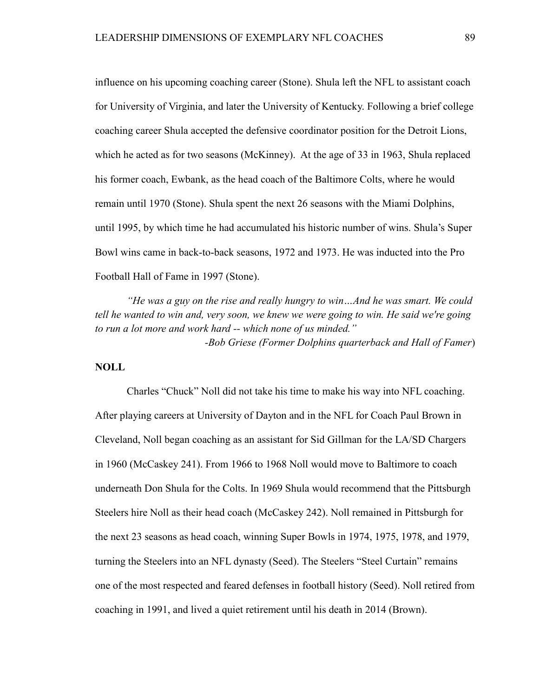influence on his upcoming coaching career (Stone). Shula left the NFL to assistant coach for University of Virginia, and later the University of Kentucky. Following a brief college coaching career Shula accepted the defensive coordinator position for the Detroit Lions, which he acted as for two seasons (McKinney). At the age of 33 in 1963, Shula replaced his former coach, Ewbank, as the head coach of the Baltimore Colts, where he would remain until 1970 (Stone). Shula spent the next 26 seasons with the Miami Dolphins, until 1995, by which time he had accumulated his historic number of wins. Shula's Super Bowl wins came in back-to-back seasons, 1972 and 1973. He was inducted into the Pro Football Hall of Fame in 1997 (Stone).

*"He was a guy on the rise and really hungry to win…And he was smart. We could tell he wanted to win and, very soon, we knew we were going to win. He said we're going to run a lot more and work hard -- which none of us minded." -Bob Griese (Former Dolphins quarterback and Hall of Famer*)

**NOLL**

Charles "Chuck" Noll did not take his time to make his way into NFL coaching. After playing careers at University of Dayton and in the NFL for Coach Paul Brown in Cleveland, Noll began coaching as an assistant for Sid Gillman for the LA/SD Chargers in 1960 (McCaskey 241). From 1966 to 1968 Noll would move to Baltimore to coach underneath Don Shula for the Colts. In 1969 Shula would recommend that the Pittsburgh Steelers hire Noll as their head coach (McCaskey 242). Noll remained in Pittsburgh for the next 23 seasons as head coach, winning Super Bowls in 1974, 1975, 1978, and 1979, turning the Steelers into an NFL dynasty (Seed). The Steelers "Steel Curtain" remains one of the most respected and feared defenses in football history (Seed). Noll retired from coaching in 1991, and lived a quiet retirement until his death in 2014 (Brown).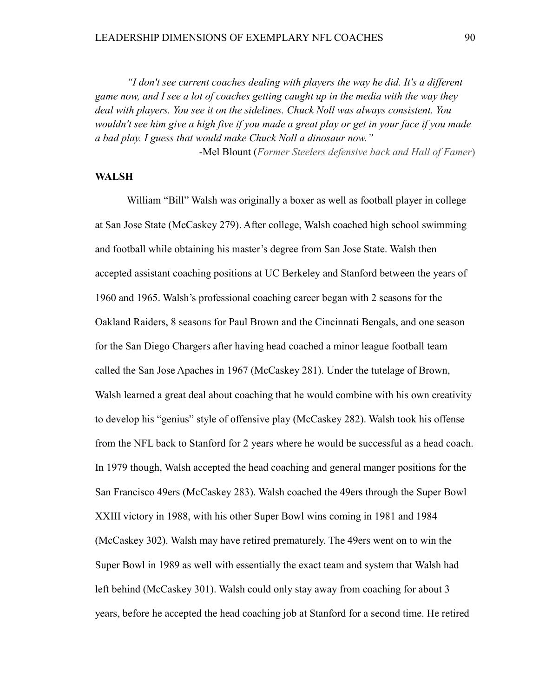*"I don't see current coaches dealing with players the way he did. It's a different game now, and I see a lot of coaches getting caught up in the media with the way they deal with players. You see it on the sidelines. Chuck Noll was always consistent. You wouldn't see him give a high five if you made a great play or get in your face if you made a bad play. I guess that would make Chuck Noll a dinosaur now."*

-Mel Blount (*Former Steelers defensive back and Hall of Famer*)

#### **WALSH**

William "Bill" Walsh was originally a boxer as well as football player in college at San Jose State (McCaskey 279). After college, Walsh coached high school swimming and football while obtaining his master's degree from San Jose State. Walsh then accepted assistant coaching positions at UC Berkeley and Stanford between the years of 1960 and 1965. Walsh's professional coaching career began with 2 seasons for the Oakland Raiders, 8 seasons for Paul Brown and the Cincinnati Bengals, and one season for the San Diego Chargers after having head coached a minor league football team called the San Jose Apaches in 1967 (McCaskey 281). Under the tutelage of Brown, Walsh learned a great deal about coaching that he would combine with his own creativity to develop his "genius" style of offensive play (McCaskey 282). Walsh took his offense from the NFL back to Stanford for 2 years where he would be successful as a head coach. In 1979 though, Walsh accepted the head coaching and general manger positions for the San Francisco 49ers (McCaskey 283). Walsh coached the 49ers through the Super Bowl XXIII victory in 1988, with his other Super Bowl wins coming in 1981 and 1984 (McCaskey 302). Walsh may have retired prematurely. The 49ers went on to win the Super Bowl in 1989 as well with essentially the exact team and system that Walsh had left behind (McCaskey 301). Walsh could only stay away from coaching for about 3 years, before he accepted the head coaching job at Stanford for a second time. He retired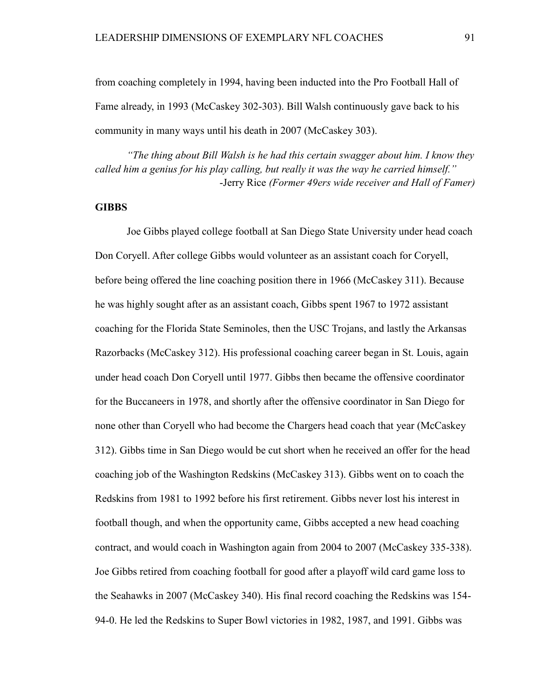from coaching completely in 1994, having been inducted into the Pro Football Hall of Fame already, in 1993 (McCaskey 302-303). Bill Walsh continuously gave back to his community in many ways until his death in 2007 (McCaskey 303).

*"The thing about Bill Walsh is he had this certain swagger about him. I know they called him a genius for his play calling, but really it was the way he carried himself."* -Jerry Rice *(Former 49ers wide receiver and Hall of Famer)*

# **GIBBS**

Joe Gibbs played college football at San Diego State University under head coach Don Coryell. After college Gibbs would volunteer as an assistant coach for Coryell, before being offered the line coaching position there in 1966 (McCaskey 311). Because he was highly sought after as an assistant coach, Gibbs spent 1967 to 1972 assistant coaching for the Florida State Seminoles, then the USC Trojans, and lastly the Arkansas Razorbacks (McCaskey 312). His professional coaching career began in St. Louis, again under head coach Don Coryell until 1977. Gibbs then became the offensive coordinator for the Buccaneers in 1978, and shortly after the offensive coordinator in San Diego for none other than Coryell who had become the Chargers head coach that year (McCaskey 312). Gibbs time in San Diego would be cut short when he received an offer for the head coaching job of the Washington Redskins (McCaskey 313). Gibbs went on to coach the Redskins from 1981 to 1992 before his first retirement. Gibbs never lost his interest in football though, and when the opportunity came, Gibbs accepted a new head coaching contract, and would coach in Washington again from 2004 to 2007 (McCaskey 335-338). Joe Gibbs retired from coaching football for good after a playoff wild card game loss to the Seahawks in 2007 (McCaskey 340). His final record coaching the Redskins was 154- 94-0. He led the Redskins to Super Bowl victories in 1982, 1987, and 1991. Gibbs was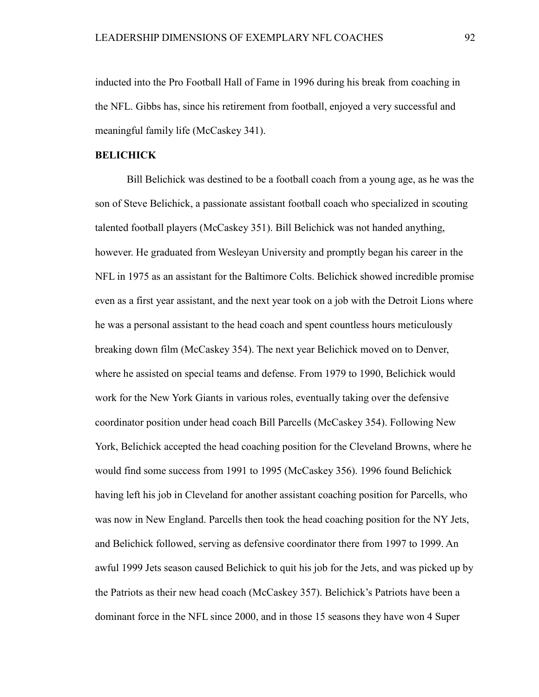inducted into the Pro Football Hall of Fame in 1996 during his break from coaching in the NFL. Gibbs has, since his retirement from football, enjoyed a very successful and meaningful family life (McCaskey 341).

# **BELICHICK**

Bill Belichick was destined to be a football coach from a young age, as he was the son of Steve Belichick, a passionate assistant football coach who specialized in scouting talented football players (McCaskey 351). Bill Belichick was not handed anything, however. He graduated from Wesleyan University and promptly began his career in the NFL in 1975 as an assistant for the Baltimore Colts. Belichick showed incredible promise even as a first year assistant, and the next year took on a job with the Detroit Lions where he was a personal assistant to the head coach and spent countless hours meticulously breaking down film (McCaskey 354). The next year Belichick moved on to Denver, where he assisted on special teams and defense. From 1979 to 1990, Belichick would work for the New York Giants in various roles, eventually taking over the defensive coordinator position under head coach Bill Parcells (McCaskey 354). Following New York, Belichick accepted the head coaching position for the Cleveland Browns, where he would find some success from 1991 to 1995 (McCaskey 356). 1996 found Belichick having left his job in Cleveland for another assistant coaching position for Parcells, who was now in New England. Parcells then took the head coaching position for the NY Jets, and Belichick followed, serving as defensive coordinator there from 1997 to 1999. An awful 1999 Jets season caused Belichick to quit his job for the Jets, and was picked up by the Patriots as their new head coach (McCaskey 357). Belichick's Patriots have been a dominant force in the NFL since 2000, and in those 15 seasons they have won 4 Super